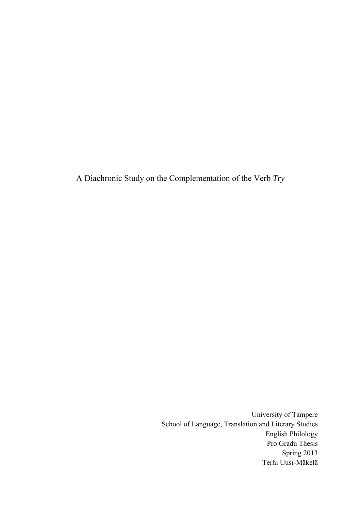A Diachronic Study on the Complementation of the Verb *Try*

University of Tampere School of Language, Translation and Literary Studies English Philology Pro Gradu Thesis Spring 2013 Terhi Uusi-Mäkelä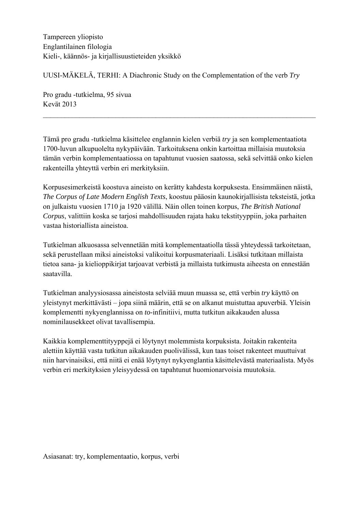Tampereen yliopisto Englantilainen filologia Kieli-, käännös- ja kirjallisuustieteiden yksikkö

UUSI-MÄKELÄ, TERHI: A Diachronic Study on the Complementation of the verb *Try* 

Pro gradu -tutkielma, 95 sivua Kevät 2013

Tämä pro gradu -tutkielma käsittelee englannin kielen verbiä *try* ja sen komplementaatiota 1700-luvun alkupuolelta nykypäivään. Tarkoituksena onkin kartoittaa millaisia muutoksia tämän verbin komplementaatiossa on tapahtunut vuosien saatossa, sekä selvittää onko kielen rakenteilla yhteyttä verbin eri merkityksiin.

 $\_$  , and the contribution of the contribution of  $\mathcal{L}_\mathcal{A}$  , and the contribution of  $\mathcal{L}_\mathcal{A}$ 

Korpusesimerkeistä koostuva aineisto on kerätty kahdesta korpuksesta. Ensimmäinen näistä, *The Corpus of Late Modern English Texts*, koostuu pääosin kaunokirjallisista teksteistä, jotka on julkaistu vuosien 1710 ja 1920 välillä. Näin ollen toinen korpus, *The British National Corpus*, valittiin koska se tarjosi mahdollisuuden rajata haku tekstityyppiin, joka parhaiten vastaa historiallista aineistoa.

Tutkielman alkuosassa selvennetään mitä komplementaatiolla tässä yhteydessä tarkoitetaan, sekä perustellaan miksi aineistoksi valikoitui korpusmateriaali. Lisäksi tutkitaan millaista tietoa sana- ja kielioppikirjat tarjoavat verbistä ja millaista tutkimusta aiheesta on ennestään saatavilla.

Tutkielman analyysiosassa aineistosta selviää muun muassa se, että verbin *try* käyttö on yleistynyt merkittävästi – jopa siinä määrin, että se on alkanut muistuttaa apuverbiä. Yleisin komplementti nykyenglannissa on *to*-infinitiivi, mutta tutkitun aikakauden alussa nominilausekkeet olivat tavallisempia.

Kaikkia komplementtityyppejä ei löytynyt molemmista korpuksista. Joitakin rakenteita alettiin käyttää vasta tutkitun aikakauden puolivälissä, kun taas toiset rakenteet muuttuivat niin harvinaisiksi, että niitä ei enää löytynyt nykyenglantia käsittelevästä materiaalista. Myös verbin eri merkityksien yleisyydessä on tapahtunut huomionarvoisia muutoksia.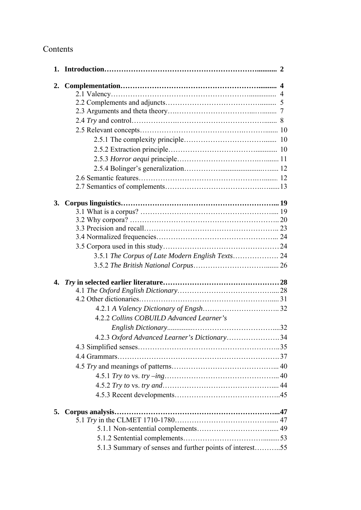# Contents

|    |                                                          | $\mathbf{2}$ |
|----|----------------------------------------------------------|--------------|
| 2. |                                                          |              |
|    |                                                          |              |
|    |                                                          |              |
|    |                                                          |              |
|    |                                                          |              |
|    |                                                          |              |
|    |                                                          |              |
|    |                                                          |              |
|    |                                                          |              |
|    |                                                          |              |
|    |                                                          |              |
|    |                                                          |              |
|    |                                                          |              |
| 3. |                                                          |              |
|    |                                                          |              |
|    |                                                          |              |
|    |                                                          |              |
|    |                                                          |              |
|    |                                                          |              |
|    | 3.5.1 The Corpus of Late Modern English Texts 24         |              |
|    |                                                          |              |
|    |                                                          |              |
|    |                                                          |              |
|    |                                                          |              |
|    |                                                          |              |
|    | 4.2.2 Collins COBUILD Advanced Learner's                 |              |
|    |                                                          |              |
|    | 4.2.3 Oxford Advanced Learner's Dictionary34             |              |
|    |                                                          |              |
|    |                                                          |              |
|    |                                                          |              |
|    |                                                          |              |
|    |                                                          |              |
|    |                                                          |              |
|    |                                                          |              |
| 5. |                                                          |              |
|    |                                                          |              |
|    |                                                          |              |
|    |                                                          |              |
|    | 5.1.3 Summary of senses and further points of interest55 |              |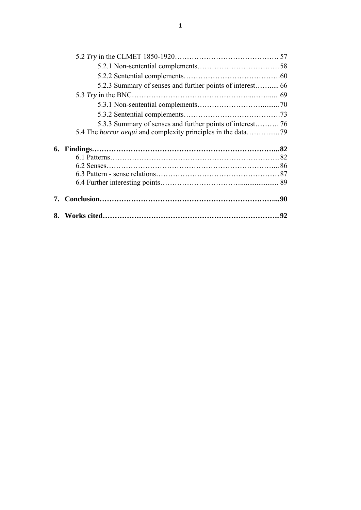| 5.2.3 Summary of senses and further points of interest 66 |  |
|-----------------------------------------------------------|--|
|                                                           |  |
|                                                           |  |
|                                                           |  |
|                                                           |  |
|                                                           |  |
|                                                           |  |
|                                                           |  |
|                                                           |  |
|                                                           |  |
|                                                           |  |
|                                                           |  |
|                                                           |  |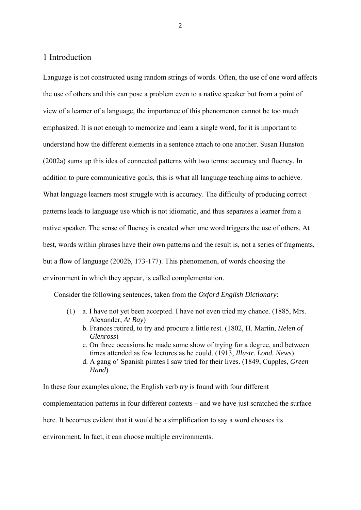#### 1 Introduction

Language is not constructed using random strings of words. Often, the use of one word affects the use of others and this can pose a problem even to a native speaker but from a point of view of a learner of a language, the importance of this phenomenon cannot be too much emphasized. It is not enough to memorize and learn a single word, for it is important to understand how the different elements in a sentence attach to one another. Susan Hunston (2002a) sums up this idea of connected patterns with two terms: accuracy and fluency. In addition to pure communicative goals, this is what all language teaching aims to achieve. What language learners most struggle with is accuracy. The difficulty of producing correct patterns leads to language use which is not idiomatic, and thus separates a learner from a native speaker. The sense of fluency is created when one word triggers the use of others. At best, words within phrases have their own patterns and the result is, not a series of fragments, but a flow of language (2002b, 173-177). This phenomenon, of words choosing the environment in which they appear, is called complementation.

Consider the following sentences, taken from the *Oxford English Dictionary*:

- (1) a. I have not yet been accepted. I have not even tried my chance. (1885, Mrs. Alexander, *At Bay*)
	- b. Frances retired, to try and procure a little rest. (1802, H. Martin, *Helen of Glenross*)
	- c. On three occasions he made some show of trying for a degree, and between times attended as few lectures as he could. (1913, *Illustr. Lond. News*)
	- d. A gang o' Spanish pirates I saw tried for their lives. (1849, Cupples, *Green Hand*)

In these four examples alone, the English verb *try* is found with four different complementation patterns in four different contexts – and we have just scratched the surface here. It becomes evident that it would be a simplification to say a word chooses its environment. In fact, it can choose multiple environments.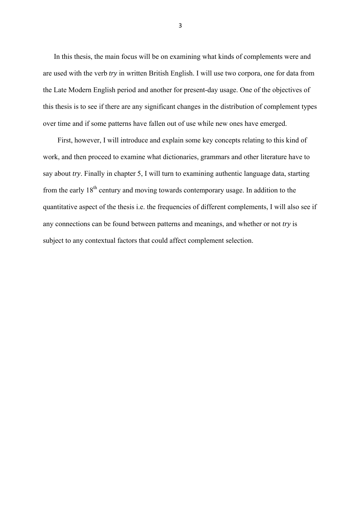In this thesis, the main focus will be on examining what kinds of complements were and are used with the verb *try* in written British English. I will use two corpora, one for data from the Late Modern English period and another for present-day usage. One of the objectives of this thesis is to see if there are any significant changes in the distribution of complement types over time and if some patterns have fallen out of use while new ones have emerged.

 First, however, I will introduce and explain some key concepts relating to this kind of work, and then proceed to examine what dictionaries, grammars and other literature have to say about *try*. Finally in chapter 5, I will turn to examining authentic language data, starting from the early  $18<sup>th</sup>$  century and moving towards contemporary usage. In addition to the quantitative aspect of the thesis i.e. the frequencies of different complements, I will also see if any connections can be found between patterns and meanings, and whether or not *try* is subject to any contextual factors that could affect complement selection.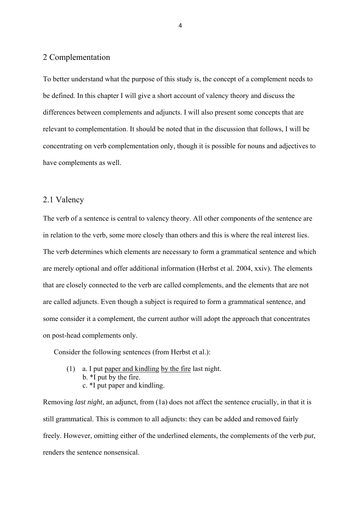## 2 Complementation

To better understand what the purpose of this study is, the concept of a complement needs to be defined. In this chapter I will give a short account of valency theory and discuss the differences between complements and adjuncts. I will also present some concepts that are relevant to complementation. It should be noted that in the discussion that follows, I will be concentrating on verb complementation only, though it is possible for nouns and adjectives to have complements as well.

### 2.1 Valency

The verb of a sentence is central to valency theory. All other components of the sentence are in relation to the verb, some more closely than others and this is where the real interest lies. The verb determines which elements are necessary to form a grammatical sentence and which are merely optional and offer additional information (Herbst et al. 2004, xxiv). The elements that are closely connected to the verb are called complements, and the elements that are not are called adjuncts. Even though a subject is required to form a grammatical sentence, and some consider it a complement, the current author will adopt the approach that concentrates on post-head complements only.

Consider the following sentences (from Herbst et al.):

 (1) a. I put paper and kindling by the fire last night. b. \*I put by the fire. c. \*I put paper and kindling.

Removing *last night*, an adjunct, from (1a) does not affect the sentence crucially, in that it is still grammatical. This is common to all adjuncts: they can be added and removed fairly freely. However, omitting either of the underlined elements, the complements of the verb *put*, renders the sentence nonsensical.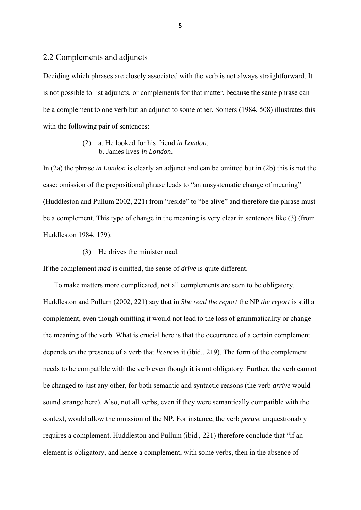## 2.2 Complements and adjuncts

Deciding which phrases are closely associated with the verb is not always straightforward. It is not possible to list adjuncts, or complements for that matter, because the same phrase can be a complement to one verb but an adjunct to some other. Somers (1984, 508) illustrates this with the following pair of sentences:

#### (2) a. He looked for his friend *in London*. b. James lives *in London*.

In (2a) the phrase *in London* is clearly an adjunct and can be omitted but in (2b) this is not the case: omission of the prepositional phrase leads to "an unsystematic change of meaning" (Huddleston and Pullum 2002, 221) from "reside" to "be alive" and therefore the phrase must be a complement. This type of change in the meaning is very clear in sentences like (3) (from Huddleston 1984, 179):

(3) He drives the minister mad.

If the complement *mad* is omitted, the sense of *drive* is quite different.

 To make matters more complicated, not all complements are seen to be obligatory. Huddleston and Pullum (2002, 221) say that in *She read the report* the NP *the report* is still a complement, even though omitting it would not lead to the loss of grammaticality or change the meaning of the verb. What is crucial here is that the occurrence of a certain complement depends on the presence of a verb that *licences* it (ibid., 219). The form of the complement needs to be compatible with the verb even though it is not obligatory. Further, the verb cannot be changed to just any other, for both semantic and syntactic reasons (the verb *arrive* would sound strange here). Also, not all verbs, even if they were semantically compatible with the context, would allow the omission of the NP. For instance, the verb *peruse* unquestionably requires a complement. Huddleston and Pullum (ibid., 221) therefore conclude that "if an element is obligatory, and hence a complement, with some verbs, then in the absence of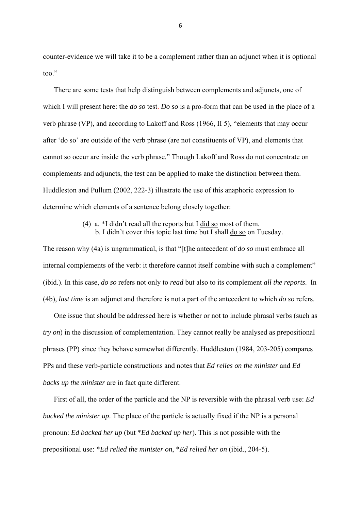counter-evidence we will take it to be a complement rather than an adjunct when it is optional too."

 There are some tests that help distinguish between complements and adjuncts, one of which I will present here: the *do so* test. *Do so* is a pro-form that can be used in the place of a verb phrase (VP), and according to Lakoff and Ross (1966, II 5), "elements that may occur after 'do so' are outside of the verb phrase (are not constituents of VP), and elements that cannot so occur are inside the verb phrase." Though Lakoff and Ross do not concentrate on complements and adjuncts, the test can be applied to make the distinction between them. Huddleston and Pullum (2002, 222-3) illustrate the use of this anaphoric expression to determine which elements of a sentence belong closely together:

> (4) a. \*I didn't read all the reports but I did so most of them. b. I didn't cover this topic last time but I shall do so on Tuesday.

The reason why (4a) is ungrammatical, is that "[t]he antecedent of *do so* must embrace all internal complements of the verb: it therefore cannot itself combine with such a complement" (ibid.). In this case, *do so* refers not only to *read* but also to its complement *all the reports*. In (4b), *last time* is an adjunct and therefore is not a part of the antecedent to which *do so* refers.

 One issue that should be addressed here is whether or not to include phrasal verbs (such as *try on*) in the discussion of complementation. They cannot really be analysed as prepositional phrases (PP) since they behave somewhat differently. Huddleston (1984, 203-205) compares PPs and these verb-particle constructions and notes that *Ed relies on the minister* and *Ed backs up the minister* are in fact quite different.

 First of all, the order of the particle and the NP is reversible with the phrasal verb use: *Ed backed the minister up*. The place of the particle is actually fixed if the NP is a personal pronoun: *Ed backed her up* (but \**Ed backed up her*). This is not possible with the prepositional use: \**Ed relied the minister on*, \**Ed relied her on* (ibid., 204-5).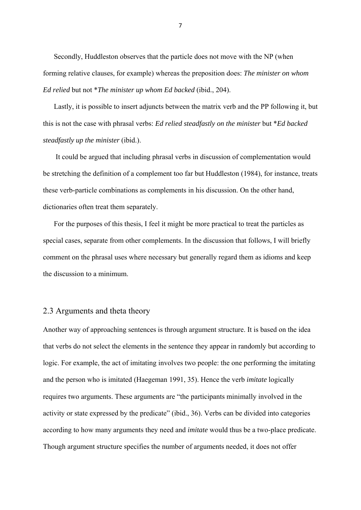Secondly, Huddleston observes that the particle does not move with the NP (when forming relative clauses, for example) whereas the preposition does: *The minister on whom Ed relied* but not \**The minister up whom Ed backed* (ibid., 204).

 Lastly, it is possible to insert adjuncts between the matrix verb and the PP following it, but this is not the case with phrasal verbs: *Ed relied steadfastly on the minister* but \**Ed backed steadfastly up the minister* (ibid.).

 It could be argued that including phrasal verbs in discussion of complementation would be stretching the definition of a complement too far but Huddleston (1984), for instance, treats these verb-particle combinations as complements in his discussion. On the other hand, dictionaries often treat them separately.

 For the purposes of this thesis, I feel it might be more practical to treat the particles as special cases, separate from other complements. In the discussion that follows, I will briefly comment on the phrasal uses where necessary but generally regard them as idioms and keep the discussion to a minimum.

#### 2.3 Arguments and theta theory

Another way of approaching sentences is through argument structure. It is based on the idea that verbs do not select the elements in the sentence they appear in randomly but according to logic. For example, the act of imitating involves two people: the one performing the imitating and the person who is imitated (Haegeman 1991, 35). Hence the verb *imitate* logically requires two arguments. These arguments are "the participants minimally involved in the activity or state expressed by the predicate" (ibid., 36). Verbs can be divided into categories according to how many arguments they need and *imitate* would thus be a two-place predicate. Though argument structure specifies the number of arguments needed, it does not offer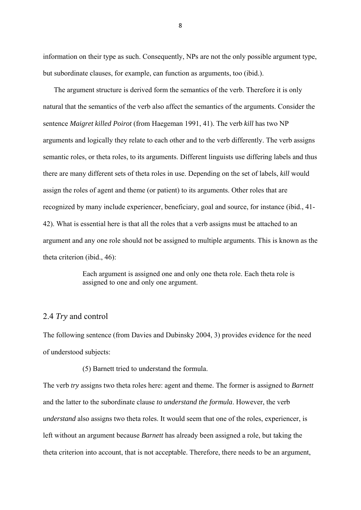information on their type as such. Consequently, NPs are not the only possible argument type, but subordinate clauses, for example, can function as arguments, too (ibid.).

 The argument structure is derived form the semantics of the verb. Therefore it is only natural that the semantics of the verb also affect the semantics of the arguments. Consider the sentence *Maigret killed Poirot* (from Haegeman 1991, 41). The verb *kill* has two NP arguments and logically they relate to each other and to the verb differently. The verb assigns semantic roles, or theta roles, to its arguments. Different linguists use differing labels and thus there are many different sets of theta roles in use. Depending on the set of labels, *kill* would assign the roles of agent and theme (or patient) to its arguments. Other roles that are recognized by many include experiencer, beneficiary, goal and source, for instance (ibid., 41- 42). What is essential here is that all the roles that a verb assigns must be attached to an argument and any one role should not be assigned to multiple arguments. This is known as the theta criterion (ibid., 46):

> Each argument is assigned one and only one theta role. Each theta role is assigned to one and only one argument.

## 2.4 *Try* and control

The following sentence (from Davies and Dubinsky 2004, 3) provides evidence for the need of understood subjects:

(5) Barnett tried to understand the formula.

The verb *try* assigns two theta roles here: agent and theme. The former is assigned to *Barnett* and the latter to the subordinate clause *to understand the formula*. However, the verb *understand* also assigns two theta roles. It would seem that one of the roles, experiencer, is left without an argument because *Barnett* has already been assigned a role, but taking the theta criterion into account, that is not acceptable. Therefore, there needs to be an argument,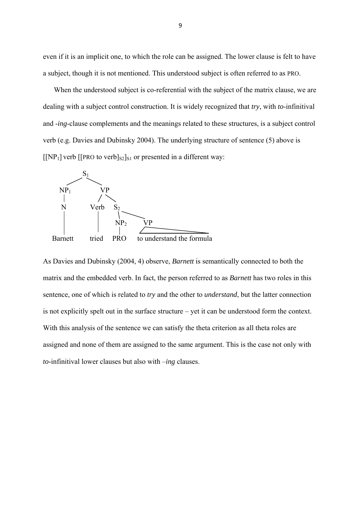even if it is an implicit one, to which the role can be assigned. The lower clause is felt to have a subject, though it is not mentioned. This understood subject is often referred to as PRO.

When the understood subject is co-referential with the subject of the matrix clause, we are dealing with a subject control construction. It is widely recognized that *try*, with *to*-infinitival and -*ing*-clause complements and the meanings related to these structures, is a subject control verb (e.g. Davies and Dubinsky 2004). The underlying structure of sentence (5) above is  $\left[\left[NP_1\right]$  verb  $\left[\left[PRO\ to\ verb\right]_{S2}\right]_{S1}$  or presented in a different way:



As Davies and Dubinsky (2004, 4) observe, *Barnett* is semantically connected to both the matrix and the embedded verb. In fact, the person referred to as *Barnett* has two roles in this sentence, one of which is related to *try* and the other to *understand*, but the latter connection is not explicitly spelt out in the surface structure – yet it can be understood form the context. With this analysis of the sentence we can satisfy the theta criterion as all theta roles are assigned and none of them are assigned to the same argument. This is the case not only with *to*-infinitival lower clauses but also with –*ing* clauses.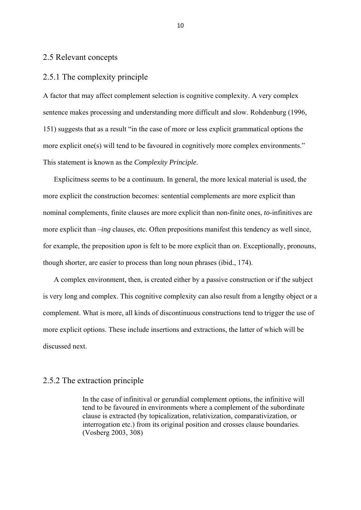#### 2.5 Relevant concepts

# 2.5.1 The complexity principle

A factor that may affect complement selection is cognitive complexity. A very complex sentence makes processing and understanding more difficult and slow. Rohdenburg (1996, 151) suggests that as a result "in the case of more or less explicit grammatical options the more explicit one(s) will tend to be favoured in cognitively more complex environments." This statement is known as the *Complexity Principle*.

 Explicitness seems to be a continuum. In general, the more lexical material is used, the more explicit the construction becomes: sentential complements are more explicit than nominal complements, finite clauses are more explicit than non-finite ones, *to*-infinitives are more explicit than –*ing* clauses, etc. Often prepositions manifest this tendency as well since, for example, the preposition *upon* is felt to be more explicit than *on*. Exceptionally, pronouns, though shorter, are easier to process than long noun phrases (ibid., 174).

 A complex environment, then, is created either by a passive construction or if the subject is very long and complex. This cognitive complexity can also result from a lengthy object or a complement. What is more, all kinds of discontinuous constructions tend to trigger the use of more explicit options. These include insertions and extractions, the latter of which will be discussed next.

#### 2.5.2 The extraction principle

In the case of infinitival or gerundial complement options, the infinitive will tend to be favoured in environments where a complement of the subordinate clause is extracted (by topicalization, relativization, comparativization, or interrogation etc.) from its original position and crosses clause boundaries. (Vosberg 2003, 308)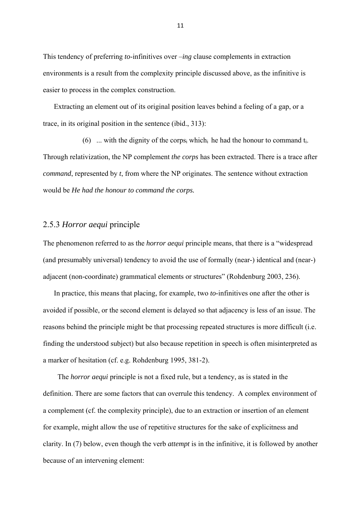This tendency of preferring *to*-infinitives over –*ing* clause complements in extraction environments is a result from the complexity principle discussed above, as the infinitive is easier to process in the complex construction.

 Extracting an element out of its original position leaves behind a feeling of a gap, or a trace, in its original position in the sentence (ibid., 313):

(6) ... with the dignity of the corps<sub>i</sub> which<sub>i</sub> he had the honour to command  $t_i$ . Through relativization, the NP complement *the corps* has been extracted. There is a trace after *command*, represented by *t*, from where the NP originates. The sentence without extraction would be *He had the honour to command the corps.* 

# 2.5.3 *Horror aequi* principle

The phenomenon referred to as the *horror aequi* principle means, that there is a "widespread (and presumably universal) tendency to avoid the use of formally (near-) identical and (near-) adjacent (non-coordinate) grammatical elements or structures" (Rohdenburg 2003, 236).

 In practice, this means that placing, for example, two *to*-infinitives one after the other is avoided if possible, or the second element is delayed so that adjacency is less of an issue. The reasons behind the principle might be that processing repeated structures is more difficult (i.e. finding the understood subject) but also because repetition in speech is often misinterpreted as a marker of hesitation (cf. e.g. Rohdenburg 1995, 381-2).

 The *horror aequi* principle is not a fixed rule, but a tendency, as is stated in the definition. There are some factors that can overrule this tendency. A complex environment of a complement (cf. the complexity principle), due to an extraction or insertion of an element for example, might allow the use of repetitive structures for the sake of explicitness and clarity. In (7) below, even though the verb *attempt* is in the infinitive, it is followed by another because of an intervening element: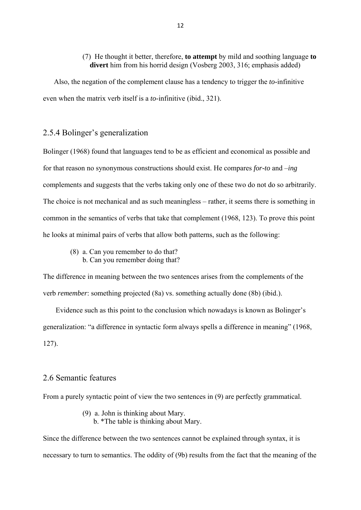#### (7) He thought it better, therefore, **to attempt** by mild and soothing language **to divert** him from his horrid design (Vosberg 2003, 316; emphasis added)

 Also, the negation of the complement clause has a tendency to trigger the *to*-infinitive even when the matrix verb itself is a *to*-infinitive (ibid., 321).

# 2.5.4 Bolinger's generalization

Bolinger (1968) found that languages tend to be as efficient and economical as possible and for that reason no synonymous constructions should exist. He compares *for-to* and –*ing* complements and suggests that the verbs taking only one of these two do not do so arbitrarily. The choice is not mechanical and as such meaningless – rather, it seems there is something in common in the semantics of verbs that take that complement (1968, 123). To prove this point he looks at minimal pairs of verbs that allow both patterns, such as the following:

- (8) a. Can you remember to do that?
	- b. Can you remember doing that?

The difference in meaning between the two sentences arises from the complements of the verb *remember*: something projected (8a) vs. something actually done (8b) (ibid.).

 Evidence such as this point to the conclusion which nowadays is known as Bolinger's generalization: "a difference in syntactic form always spells a difference in meaning" (1968, 127).

### 2.6 Semantic features

From a purely syntactic point of view the two sentences in (9) are perfectly grammatical.

- (9) a. John is thinking about Mary.
	- b. \*The table is thinking about Mary.

Since the difference between the two sentences cannot be explained through syntax, it is necessary to turn to semantics. The oddity of (9b) results from the fact that the meaning of the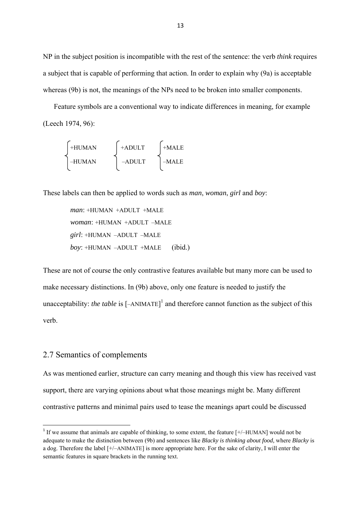NP in the subject position is incompatible with the rest of the sentence: the verb *think* requires a subject that is capable of performing that action. In order to explain why (9a) is acceptable whereas (9b) is not, the meanings of the NPs need to be broken into smaller components.

 Feature symbols are a conventional way to indicate differences in meaning, for example (Leech 1974, 96):

$$
\begin{cases}\n+HUMAN \\
-HUMAN\n\end{cases}\n\begin{cases}\n+ADULT \\
-ADULT\n\end{cases}\n\begin{cases}\n+MALE \\
-ADULT\n\end{cases}
$$

These labels can then be applied to words such as *man*, *woman*, *girl* and *boy*:

*man*: +HUMAN +ADULT +MALE *woman*: +HUMAN +ADULT –MALE *girl*: +HUMAN –ADULT –MALE *boy*: +HUMAN –ADULT +MALE (ibid.)

These are not of course the only contrastive features available but many more can be used to make necessary distinctions. In (9b) above, only one feature is needed to justify the unacceptability: *the table* is  $[-ANIMATE]^1$  and therefore cannot function as the subject of this verb.

### 2.7 Semantics of complements

As was mentioned earlier, structure can carry meaning and though this view has received vast support, there are varying opinions about what those meanings might be. Many different contrastive patterns and minimal pairs used to tease the meanings apart could be discussed

<sup>&</sup>lt;sup>1</sup> If we assume that animals are capable of thinking, to some extent, the feature [+/–HUMAN] would not be adequate to make the distinction between (9b) and sentences like *Blacky is thinking about food,* where *Blacky* is a dog. Therefore the label [+/–ANIMATE] is more appropriate here. For the sake of clarity, I will enter the semantic features in square brackets in the running text.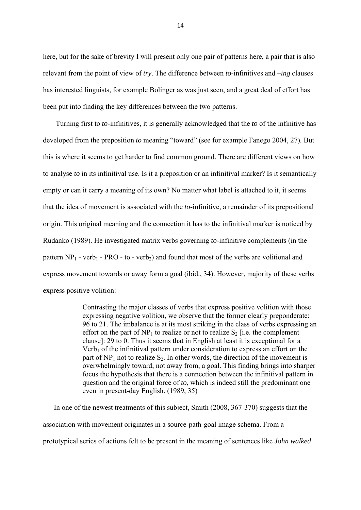here, but for the sake of brevity I will present only one pair of patterns here, a pair that is also relevant from the point of view of *try*. The difference between *to*-infinitives and –*ing* clauses has interested linguists, for example Bolinger as was just seen, and a great deal of effort has been put into finding the key differences between the two patterns.

 Turning first to *to*-infinitives, it is generally acknowledged that the *to* of the infinitive has developed from the preposition *to* meaning "toward" (see for example Fanego 2004, 27)*.* But this is where it seems to get harder to find common ground. There are different views on how to analyse *to* in its infinitival use. Is it a preposition or an infinitival marker? Is it semantically empty or can it carry a meaning of its own? No matter what label is attached to it, it seems that the idea of movement is associated with the *to*-infinitive, a remainder of its prepositional origin. This original meaning and the connection it has to the infinitival marker is noticed by Rudanko (1989). He investigated matrix verbs governing *to*-infinitive complements (in the pattern  $NP_1$  - verb<sub>1</sub> - PRO - to - verb<sub>2</sub>) and found that most of the verbs are volitional and express movement towards or away form a goal (ibid., 34). However, majority of these verbs express positive volition:

> Contrasting the major classes of verbs that express positive volition with those expressing negative volition, we observe that the former clearly preponderate: 96 to 21. The imbalance is at its most striking in the class of verbs expressing an effort on the part of  $NP_1$  to realize or not to realize  $S_2$  [i.e. the complement clause]: 29 to 0. Thus it seems that in English at least it is exceptional for a  $Verb<sub>1</sub>$  of the infinitival pattern under consideration to express an effort on the part of  $NP_1$  not to realize  $S_2$ . In other words, the direction of the movement is overwhelmingly toward, not away from, a goal. This finding brings into sharper focus the hypothesis that there is a connection between the infinitival pattern in question and the original force of *to*, which is indeed still the predominant one even in present-day English. (1989, 35)

 In one of the newest treatments of this subject, Smith (2008, 367-370) suggests that the association with movement originates in a source-path-goal image schema. From a prototypical series of actions felt to be present in the meaning of sentences like *John walked*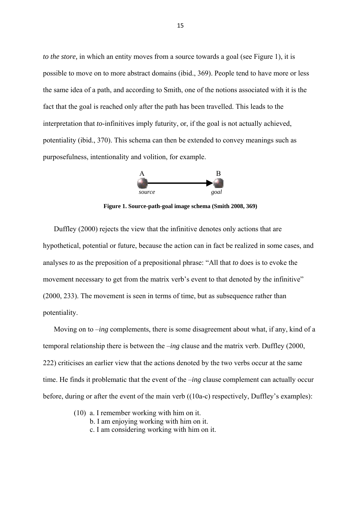*to the store,* in which an entity moves from a source towards a goal (see Figure 1), it is possible to move on to more abstract domains (ibid., 369). People tend to have more or less the same idea of a path, and according to Smith, one of the notions associated with it is the fact that the goal is reached only after the path has been travelled. This leads to the interpretation that *to*-infinitives imply futurity, or, if the goal is not actually achieved, potentiality (ibid., 370). This schema can then be extended to convey meanings such as purposefulness, intentionality and volition, for example.



**Figure 1. Source-path-goal image schema (Smith 2008, 369)** 

 Duffley (2000) rejects the view that the infinitive denotes only actions that are hypothetical, potential or future, because the action can in fact be realized in some cases, and analyses *to* as the preposition of a prepositional phrase: "All that *to* does is to evoke the movement necessary to get from the matrix verb's event to that denoted by the infinitive" (2000, 233). The movement is seen in terms of time, but as subsequence rather than potentiality.

 Moving on to –*ing* complements, there is some disagreement about what, if any, kind of a temporal relationship there is between the –*ing* clause and the matrix verb. Duffley (2000, 222) criticises an earlier view that the actions denoted by the two verbs occur at the same time. He finds it problematic that the event of the –*ing* clause complement can actually occur before, during or after the event of the main verb ((10a-c) respectively, Duffley's examples):

- (10) a. I remember working with him on it.
	- b. I am enjoying working with him on it.
	- c. I am considering working with him on it.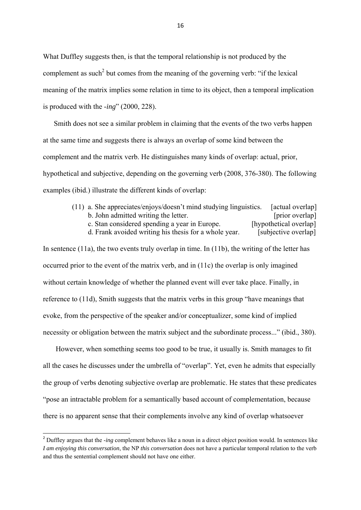What Duffley suggests then, is that the temporal relationship is not produced by the complement as such<sup>2</sup> but comes from the meaning of the governing verb: "if the lexical meaning of the matrix implies some relation in time to its object, then a temporal implication is produced with the -*ing*" (2000, 228).

 Smith does not see a similar problem in claiming that the events of the two verbs happen at the same time and suggests there is always an overlap of some kind between the complement and the matrix verb. He distinguishes many kinds of overlap: actual, prior, hypothetical and subjective, depending on the governing verb (2008, 376-380). The following examples (ibid.) illustrate the different kinds of overlap:

> (11) a. She appreciates/enjoys/doesn't mind studying linguistics. [actual overlap] b. John admitted writing the letter. [prior overlap] c. Stan considered spending a year in Europe. [hypothetical overlap] d. Frank avoided writing his thesis for a whole year. [subjective overlap]

In sentence (11a), the two events truly overlap in time. In (11b), the writing of the letter has occurred prior to the event of the matrix verb, and in (11c) the overlap is only imagined without certain knowledge of whether the planned event will ever take place. Finally, in reference to (11d), Smith suggests that the matrix verbs in this group "have meanings that evoke, from the perspective of the speaker and/or conceptualizer, some kind of implied necessity or obligation between the matrix subject and the subordinate process..." (ibid., 380).

 However, when something seems too good to be true, it usually is. Smith manages to fit all the cases he discusses under the umbrella of "overlap". Yet, even he admits that especially the group of verbs denoting subjective overlap are problematic. He states that these predicates "pose an intractable problem for a semantically based account of complementation, because there is no apparent sense that their complements involve any kind of overlap whatsoever

<sup>&</sup>lt;sup>2</sup> Duffley argues that the -*ing* complement behaves like a noun in a direct object position would. In sentences like *I am enjoying this conversation*, the NP *this conversation* does not have a particular temporal relation to the verb and thus the sentential complement should not have one either.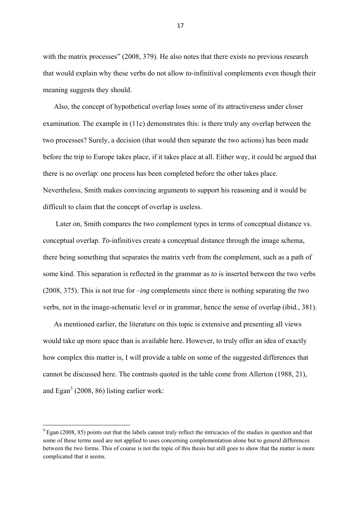with the matrix processes" (2008, 379). He also notes that there exists no previous research that would explain why these verbs do not allow *to*-infinitival complements even though their meaning suggests they should.

 Also, the concept of hypothetical overlap loses some of its attractiveness under closer examination. The example in (11c) demonstrates this: is there truly any overlap between the two processes? Surely, a decision (that would then separate the two actions) has been made before the trip to Europe takes place, if it takes place at all. Either way, it could be argued that there is no overlap: one process has been completed before the other takes place. Nevertheless, Smith makes convincing arguments to support his reasoning and it would be difficult to claim that the concept of overlap is useless.

 Later on, Smith compares the two complement types in terms of conceptual distance vs. conceptual overlap. *To*-infinitives create a conceptual distance through the image schema, there being something that separates the matrix verb from the complement, such as a path of some kind. This separation is reflected in the grammar as *to* is inserted between the two verbs (2008, 375). This is not true for –*ing* complements since there is nothing separating the two verbs, not in the image-schematic level or in grammar, hence the sense of overlap (ibid., 381).

 As mentioned earlier, the literature on this topic is extensive and presenting all views would take up more space than is available here. However, to truly offer an idea of exactly how complex this matter is, I will provide a table on some of the suggested differences that cannot be discussed here. The contrasts quoted in the table come from Allerton (1988, 21), and Egan<sup>3</sup> (2008, 86) listing earlier work:

<sup>&</sup>lt;sup>3</sup> Egan (2008, 85) points out that the labels cannot truly reflect the intricacies of the studies in question and that some of these terms used are not applied to uses concerning complementation alone but to general differences between the two forms. This of course is not the topic of this thesis but still goes to show that the matter is more complicated that it seems.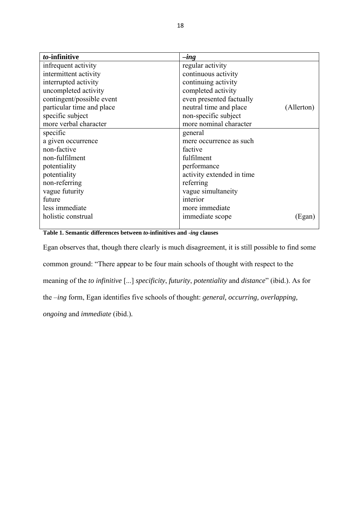| to-infinitive             | $-$ <i>ing</i>                       |
|---------------------------|--------------------------------------|
| infrequent activity       | regular activity                     |
| intermittent activity     | continuous activity                  |
| interrupted activity      | continuing activity                  |
| uncompleted activity      | completed activity                   |
| contingent/possible event | even presented factually             |
| particular time and place | neutral time and place<br>(Allerton) |
| specific subject          | non-specific subject                 |
| more verbal character     | more nominal character               |
| specific                  | general                              |
| a given occurrence        | mere occurrence as such              |
| non-factive               | factive                              |
| non-fulfilment            | fulfilment                           |
| potentiality              | performance                          |
| potentiality              | activity extended in time            |
| non-referring             | referring                            |
| vague futurity            | vague simultaneity                   |
| future                    | interior                             |
| less immediate            | more immediate                       |
| holistic construal        | immediate scope<br>(Egan)            |
|                           |                                      |

**Table 1. Semantic differences between** *to***-infinitives and -***ing* **clauses** 

Egan observes that, though there clearly is much disagreement, it is still possible to find some common ground: "There appear to be four main schools of thought with respect to the meaning of the *to infinitive* [...] *specificity*, *futurity*, *potentiality* and *distance*" (ibid.). As for the –*ing* form, Egan identifies five schools of thought: *general, occurring, overlapping,* 

*ongoing* and *immediate* (ibid.)*.*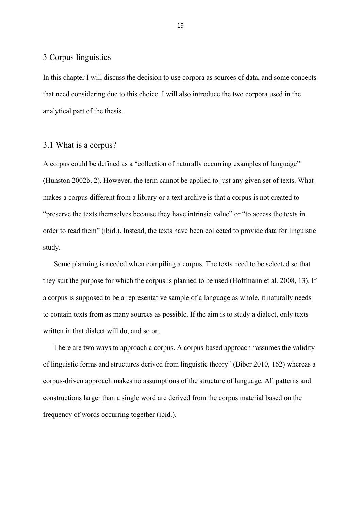#### 3 Corpus linguistics

In this chapter I will discuss the decision to use corpora as sources of data, and some concepts that need considering due to this choice. I will also introduce the two corpora used in the analytical part of the thesis.

### 3.1 What is a corpus?

A corpus could be defined as a "collection of naturally occurring examples of language" (Hunston 2002b, 2). However, the term cannot be applied to just any given set of texts. What makes a corpus different from a library or a text archive is that a corpus is not created to "preserve the texts themselves because they have intrinsic value" or "to access the texts in order to read them" (ibid.). Instead, the texts have been collected to provide data for linguistic study.

 Some planning is needed when compiling a corpus. The texts need to be selected so that they suit the purpose for which the corpus is planned to be used (Hoffmann et al. 2008, 13). If a corpus is supposed to be a representative sample of a language as whole, it naturally needs to contain texts from as many sources as possible. If the aim is to study a dialect, only texts written in that dialect will do, and so on.

 There are two ways to approach a corpus. A corpus-based approach "assumes the validity of linguistic forms and structures derived from linguistic theory" (Biber 2010, 162) whereas a corpus-driven approach makes no assumptions of the structure of language. All patterns and constructions larger than a single word are derived from the corpus material based on the frequency of words occurring together (ibid.).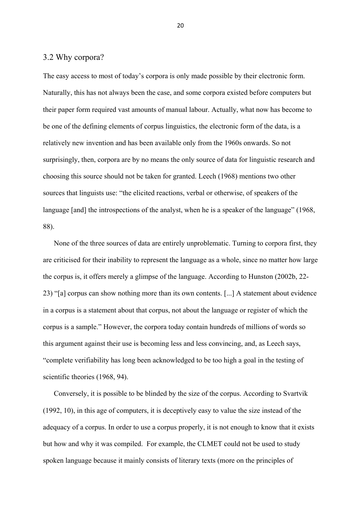### 3.2 Why corpora?

The easy access to most of today's corpora is only made possible by their electronic form. Naturally, this has not always been the case, and some corpora existed before computers but their paper form required vast amounts of manual labour. Actually, what now has become to be one of the defining elements of corpus linguistics, the electronic form of the data, is a relatively new invention and has been available only from the 1960s onwards. So not surprisingly, then, corpora are by no means the only source of data for linguistic research and choosing this source should not be taken for granted. Leech (1968) mentions two other sources that linguists use: "the elicited reactions, verbal or otherwise, of speakers of the language [and] the introspections of the analyst, when he is a speaker of the language" (1968, 88).

 None of the three sources of data are entirely unproblematic. Turning to corpora first, they are criticised for their inability to represent the language as a whole, since no matter how large the corpus is, it offers merely a glimpse of the language. According to Hunston (2002b, 22- 23) "[a] corpus can show nothing more than its own contents. [...] A statement about evidence in a corpus is a statement about that corpus, not about the language or register of which the corpus is a sample." However, the corpora today contain hundreds of millions of words so this argument against their use is becoming less and less convincing, and, as Leech says, "complete verifiability has long been acknowledged to be too high a goal in the testing of scientific theories (1968, 94).

 Conversely, it is possible to be blinded by the size of the corpus. According to Svartvik (1992, 10), in this age of computers, it is deceptively easy to value the size instead of the adequacy of a corpus. In order to use a corpus properly, it is not enough to know that it exists but how and why it was compiled. For example, the CLMET could not be used to study spoken language because it mainly consists of literary texts (more on the principles of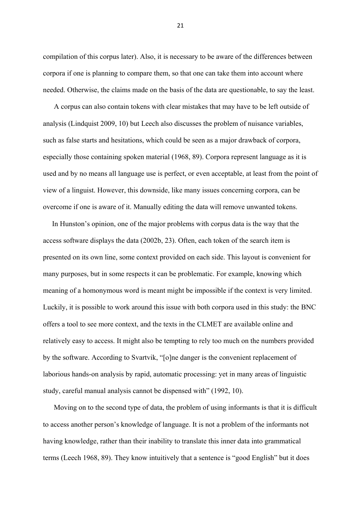compilation of this corpus later). Also, it is necessary to be aware of the differences between corpora if one is planning to compare them, so that one can take them into account where needed. Otherwise, the claims made on the basis of the data are questionable, to say the least.

 A corpus can also contain tokens with clear mistakes that may have to be left outside of analysis (Lindquist 2009, 10) but Leech also discusses the problem of nuisance variables, such as false starts and hesitations, which could be seen as a major drawback of corpora, especially those containing spoken material (1968, 89). Corpora represent language as it is used and by no means all language use is perfect, or even acceptable, at least from the point of view of a linguist. However, this downside, like many issues concerning corpora, can be overcome if one is aware of it. Manually editing the data will remove unwanted tokens.

 In Hunston's opinion, one of the major problems with corpus data is the way that the access software displays the data (2002b, 23). Often, each token of the search item is presented on its own line, some context provided on each side. This layout is convenient for many purposes, but in some respects it can be problematic. For example, knowing which meaning of a homonymous word is meant might be impossible if the context is very limited. Luckily, it is possible to work around this issue with both corpora used in this study: the BNC offers a tool to see more context, and the texts in the CLMET are available online and relatively easy to access. It might also be tempting to rely too much on the numbers provided by the software. According to Svartvik, "[o]ne danger is the convenient replacement of laborious hands-on analysis by rapid, automatic processing: yet in many areas of linguistic study, careful manual analysis cannot be dispensed with" (1992, 10).

 Moving on to the second type of data, the problem of using informants is that it is difficult to access another person's knowledge of language. It is not a problem of the informants not having knowledge, rather than their inability to translate this inner data into grammatical terms (Leech 1968, 89). They know intuitively that a sentence is "good English" but it does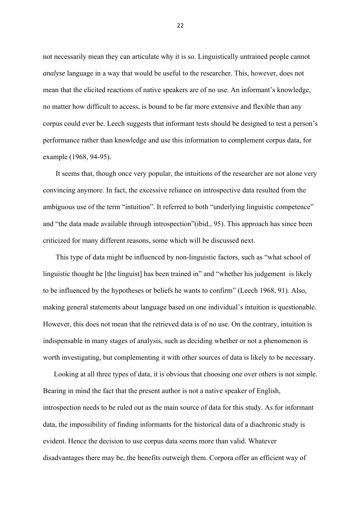not necessarily mean they can articulate why it is so. Linguistically untrained people cannot *analyse* language in a way that would be useful to the researcher. This, however, does not mean that the elicited reactions of native speakers are of no use. An informant's knowledge, no matter how difficult to access, is bound to be far more extensive and flexible than any corpus could ever be. Leech suggests that informant tests should be designed to test a person's performance rather than knowledge and use this information to complement corpus data, for example (1968, 94-95).

 It seems that, though once very popular, the intuitions of the researcher are not alone very convincing anymore. In fact, the excessive reliance on introspective data resulted from the ambiguous use of the term "intuition". It referred to both "underlying linguistic competence" and "the data made available through introspection"(ibid., 95). This approach has since been criticized for many different reasons, some which will be discussed next.

 This type of data might be influenced by non-linguistic factors, such as "what school of linguistic thought he [the linguist] has been trained in" and "whether his judgement is likely to be influenced by the hypotheses or beliefs he wants to confirm" (Leech 1968, 91). Also, making general statements about language based on one individual's intuition is questionable. However, this does not mean that the retrieved data is of no use. On the contrary, intuition is indispensable in many stages of analysis, such as deciding whether or not a phenomenon is worth investigating, but complementing it with other sources of data is likely to be necessary.

 Looking at all three types of data, it is obvious that choosing one over others is not simple. Bearing in mind the fact that the present author is not a native speaker of English, introspection needs to be ruled out as the main source of data for this study. As for informant data, the impossibility of finding informants for the historical data of a diachronic study is evident. Hence the decision to use corpus data seems more than valid. Whatever disadvantages there may be, the benefits outweigh them. Corpora offer an efficient way of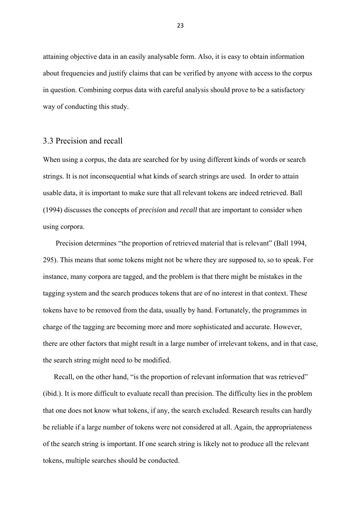attaining objective data in an easily analysable form. Also, it is easy to obtain information about frequencies and justify claims that can be verified by anyone with access to the corpus in question. Combining corpus data with careful analysis should prove to be a satisfactory way of conducting this study.

#### 3.3 Precision and recall

When using a corpus, the data are searched for by using different kinds of words or search strings. It is not inconsequential what kinds of search strings are used. In order to attain usable data, it is important to make sure that all relevant tokens are indeed retrieved. Ball (1994) discusses the concepts of *precision* and *recall* that are important to consider when using corpora.

Precision determines "the proportion of retrieved material that is relevant" (Ball 1994, 295). This means that some tokens might not be where they are supposed to, so to speak. For instance, many corpora are tagged, and the problem is that there might be mistakes in the tagging system and the search produces tokens that are of no interest in that context. These tokens have to be removed from the data, usually by hand. Fortunately, the programmes in charge of the tagging are becoming more and more sophisticated and accurate. However, there are other factors that might result in a large number of irrelevant tokens, and in that case, the search string might need to be modified.

Recall, on the other hand, "is the proportion of relevant information that was retrieved" (ibid.). It is more difficult to evaluate recall than precision. The difficulty lies in the problem that one does not know what tokens, if any, the search excluded. Research results can hardly be reliable if a large number of tokens were not considered at all. Again, the appropriateness of the search string is important. If one search string is likely not to produce all the relevant tokens, multiple searches should be conducted.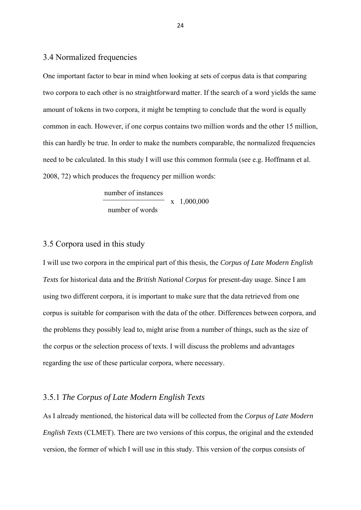### 3.4 Normalized frequencies

One important factor to bear in mind when looking at sets of corpus data is that comparing two corpora to each other is no straightforward matter. If the search of a word yields the same amount of tokens in two corpora, it might be tempting to conclude that the word is equally common in each. However, if one corpus contains two million words and the other 15 million, this can hardly be true. In order to make the numbers comparable, the normalized frequencies need to be calculated. In this study I will use this common formula (see e.g. Hoffmann et al. 2008, 72) which produces the frequency per million words:

> number of instances x 1,000,000 number of words

# 3.5 Corpora used in this study

I will use two corpora in the empirical part of this thesis, the *Corpus of Late Modern English Texts* for historical data and the *British National Corpus* for present-day usage. Since I am using two different corpora, it is important to make sure that the data retrieved from one corpus is suitable for comparison with the data of the other. Differences between corpora, and the problems they possibly lead to, might arise from a number of things, such as the size of the corpus or the selection process of texts. I will discuss the problems and advantages regarding the use of these particular corpora, where necessary.

## 3.5.1 *The Corpus of Late Modern English Texts*

As I already mentioned, the historical data will be collected from the *Corpus of Late Modern English Texts* (CLMET). There are two versions of this corpus, the original and the extended version, the former of which I will use in this study. This version of the corpus consists of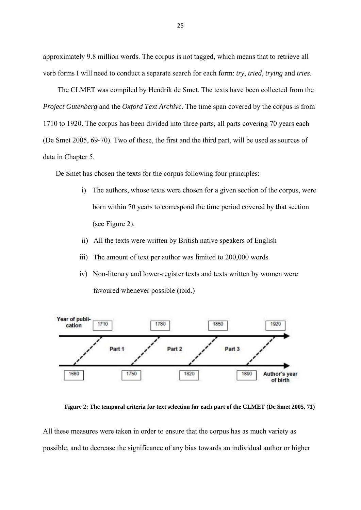approximately 9.8 million words. The corpus is not tagged, which means that to retrieve all verb forms I will need to conduct a separate search for each form: *try*, *tried*, *trying* and *tries*.

 The CLMET was compiled by Hendrik de Smet. The texts have been collected from the *Project Gutenberg* and the *Oxford Text Archive*. The time span covered by the corpus is from 1710 to 1920. The corpus has been divided into three parts, all parts covering 70 years each (De Smet 2005, 69-70). Two of these, the first and the third part, will be used as sources of data in Chapter 5.

De Smet has chosen the texts for the corpus following four principles:

- i) The authors, whose texts were chosen for a given section of the corpus, were born within 70 years to correspond the time period covered by that section (see Figure 2).
- ii) All the texts were written by British native speakers of English
- iii) The amount of text per author was limited to 200,000 words
- iv) Non-literary and lower-register texts and texts written by women were favoured whenever possible (ibid.)



**Figure 2: The temporal criteria for text selection for each part of the CLMET (De Smet 2005, 71)**

All these measures were taken in order to ensure that the corpus has as much variety as possible, and to decrease the significance of any bias towards an individual author or higher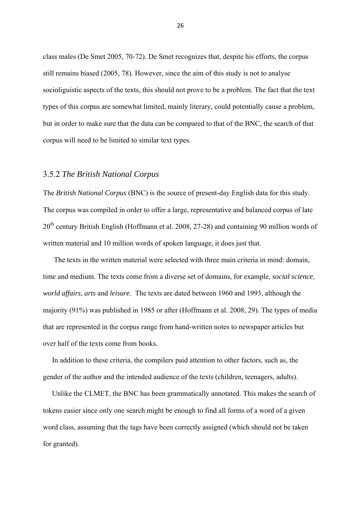class males (De Smet 2005, 70-72). De Smet recognizes that, despite his efforts, the corpus still remains biased (2005, 78). However, since the aim of this study is not to analyse socioliguistic aspects of the texts, this should not prove to be a problem. The fact that the text types of this corpus are somewhat limited, mainly literary, could potentially cause a problem, but in order to make sure that the data can be compared to that of the BNC, the search of that corpus will need to be limited to similar text types.

#### 3.5.2 *The British National Corpus*

The *British National Corpus* (BNC) is the source of present-day English data for this study. The corpus was compiled in order to offer a large, representative and balanced corpus of late 20<sup>th</sup> century British English (Hoffmann et al. 2008, 27-28) and containing 90 million words of written material and 10 million words of spoken language, it does just that.

 The texts in the written material were selected with three main criteria in mind: domain, time and medium. The texts come from a diverse set of domains, for example, *social science*, *world affairs*, *arts* and *leisure*. The texts are dated between 1960 and 1993, although the majority (91%) was published in 1985 or after (Hoffmann et al. 2008, 29). The types of media that are represented in the corpus range from hand-written notes to newspaper articles but over half of the texts come from books.

 In addition to these criteria, the compilers paid attention to other factors, such as, the gender of the author and the intended audience of the texts (children, teenagers, adults).

 Unlike the CLMET, the BNC has been grammatically annotated. This makes the search of tokens easier since only one search might be enough to find all forms of a word of a given word class, assuming that the tags have been correctly assigned (which should not be taken for granted).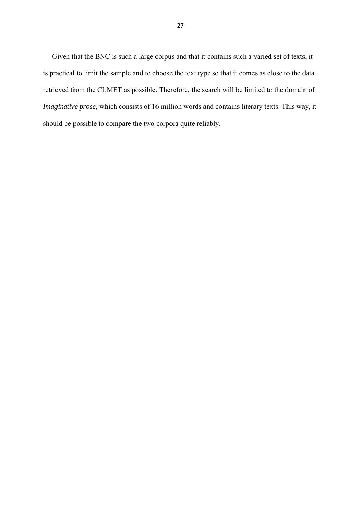Given that the BNC is such a large corpus and that it contains such a varied set of texts, it is practical to limit the sample and to choose the text type so that it comes as close to the data retrieved from the CLMET as possible. Therefore, the search will be limited to the domain of *Imaginative prose*, which consists of 16 million words and contains literary texts. This way, it should be possible to compare the two corpora quite reliably.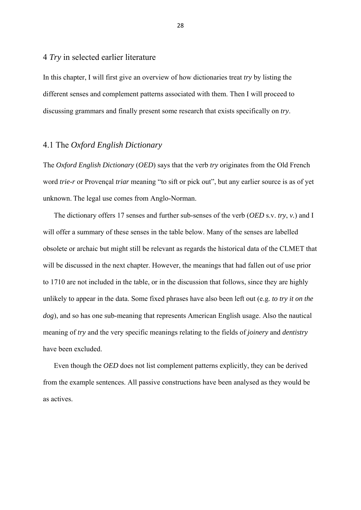#### 4 *Try* in selected earlier literature

In this chapter, I will first give an overview of how dictionaries treat *try* by listing the different senses and complement patterns associated with them. Then I will proceed to discussing grammars and finally present some research that exists specifically on *try*.

# 4.1 The *Oxford English Dictionary*

The *Oxford English Dictionary* (*OED*) says that the verb *try* originates from the Old French word *trie-r* or Provençal *triar* meaning "to sift or pick out", but any earlier source is as of yet unknown. The legal use comes from Anglo-Norman.

 The dictionary offers 17 senses and further sub-senses of the verb (*OED* s.v. *try*, *v.*) and I will offer a summary of these senses in the table below. Many of the senses are labelled obsolete or archaic but might still be relevant as regards the historical data of the CLMET that will be discussed in the next chapter. However, the meanings that had fallen out of use prior to 1710 are not included in the table, or in the discussion that follows, since they are highly unlikely to appear in the data. Some fixed phrases have also been left out (e.g*. to try it on the dog*), and so has one sub-meaning that represents American English usage. Also the nautical meaning of *try* and the very specific meanings relating to the fields of *joinery* and *dentistry* have been excluded.

 Even though the *OED* does not list complement patterns explicitly, they can be derived from the example sentences. All passive constructions have been analysed as they would be as actives.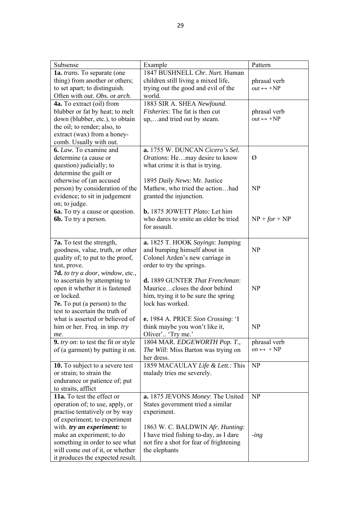| Subsense                               | Example                                         | Pattern                        |
|----------------------------------------|-------------------------------------------------|--------------------------------|
| 1a. trans. To separate (one            | 1847 BUSHNELL Chr. Nurt. Human                  |                                |
| thing) from another or others;         | children still living a mixed life,             | phrasal verb                   |
| to set apart; to distinguish.          | trying out the good and evil of the             | $out \leftrightarrow +NP$      |
| Often with out. Obs. or arch.          | world.                                          |                                |
| 4a. To extract (oil) from              | 1883 SIR A. SHEA Newfound.                      |                                |
| blubber or fat by heat; to melt        | Fisheries: The fat is then cut                  | phrasal verb                   |
| down (blubber, etc.), to obtain        | up,and tried out by steam.                      | $out \leftrightarrow +NP$      |
| the oil; to render; also, to           |                                                 |                                |
| extract (wax) from a honey-            |                                                 |                                |
| comb. Usually with out.                |                                                 |                                |
| 6. Law. To examine and                 | a. 1755 W. DUNCAN Cicero's Sel.                 |                                |
| determine (a cause or                  | Orations: Hemay desire to know                  | Ø                              |
| question) judicially; to               | what crime it is that is trying.                |                                |
| determine the guilt or                 |                                                 |                                |
| otherwise of (an accused               | 1895 Daily News: Mr. Justice                    |                                |
| person) by consideration of the        | Mathew, who tried the actionhad                 | NP                             |
| evidence; to sit in judgement          | granted the injunction.                         |                                |
| on; to judge.                          |                                                 |                                |
| <b>6a.</b> To try a cause or question. | <b>b.</b> 1875 JOWETT <i>Plato</i> : Let him    |                                |
| <b>6b.</b> To try a person.            | who dares to smite an elder be tried            | $NP + for + NP$                |
|                                        | for assault.                                    |                                |
|                                        |                                                 |                                |
| <b>7a.</b> To test the strength,       | a. 1825 T. HOOK Sayings: Jumping                |                                |
| goodness, value, truth, or other       | and bumping himself about in                    | NP                             |
| quality of; to put to the proof,       | Colonel Arden's new carriage in                 |                                |
| test, prove.                           | order to try the springs.                       |                                |
| 7d. to try a door, window, etc.,       |                                                 |                                |
| to ascertain by attempting to          | d. 1889 GUNTER That Frenchman:                  |                                |
| open it whether it is fastened         | Mauricecloses the door behind                   | NP                             |
| or locked.                             | him, trying it to be sure the spring            |                                |
| <b>7e.</b> To put (a person) to the    | lock has worked.                                |                                |
| test to ascertain the truth of         |                                                 |                                |
| what is asserted or believed of        | e. 1984 A. PRICE Sion Crossing: 'I              |                                |
| him or her. Freq. in imp. try          | think maybe you won't like it,                  | <b>NP</b>                      |
| me.                                    | Oliver' 'Try me.'                               |                                |
| 9. try on: to test the fit or style    | 1804 MAR. EDGEWORTH Pop. T.,                    | phrasal verb                   |
| of (a garment) by putting it on.       | The Will: Miss Barton was trying on             | $\omega n \leftrightarrow +NP$ |
|                                        | her dress.                                      |                                |
| <b>10.</b> To subject to a severe test | 1859 MACAULAY Life & Lett.: This                | <b>NP</b>                      |
| or strain; to strain the               | malady tries me severely.                       |                                |
| endurance or patience of; put          |                                                 |                                |
| to straits, afflict                    |                                                 |                                |
| 11a. To test the effect or             | <b>a.</b> 1875 JEVONS <i>Money</i> : The United | NP                             |
| operation of; to use, apply, or        | States government tried a similar               |                                |
| practise tentatively or by way         | experiment.                                     |                                |
| of experiment; to experiment           |                                                 |                                |
| with. try an experiment: to            | 1863 W. C. BALDWIN Afr. Hunting:                |                                |
| make an experiment; to do              | I have tried fishing to-day, as I dare          | $-$ <i>ing</i>                 |
| something in order to see what         | not fire a shot for fear of frightening         |                                |
| will come out of it, or whether        | the elephants                                   |                                |
| it produces the expected result.       |                                                 |                                |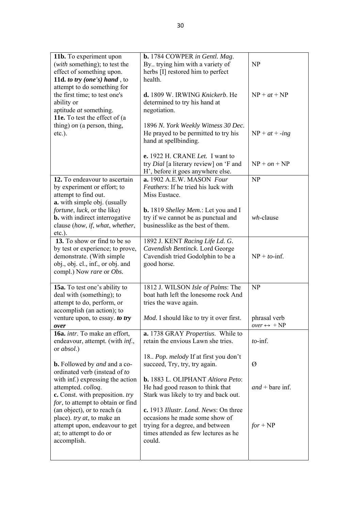| 11b. To experiment upon<br>(with something); to test the<br>effect of something upon.                                                                                 | b. 1784 COWPER in Gentl. Mag.<br>By trying him with a variety of<br>herbs [I] restored him to perfect                                                         | NP                                          |
|-----------------------------------------------------------------------------------------------------------------------------------------------------------------------|---------------------------------------------------------------------------------------------------------------------------------------------------------------|---------------------------------------------|
| 11d. to try (one's) hand, to<br>attempt to do something for<br>the first time; to test one's<br>ability or<br>aptitude at something.<br>11e. To test the effect of (a | health.<br>d. 1809 W. IRWING Knickerb. He<br>determined to try his hand at<br>negotiation.                                                                    | $NP + at + NP$                              |
| thing) on (a person, thing,<br>$etc.$ ).                                                                                                                              | 1896 N. York Weekly Witness 30 Dec.<br>He prayed to be permitted to try his<br>hand at spellbinding.                                                          | $NP + at + -ing$                            |
|                                                                                                                                                                       | e. 1922 H. CRANE Let. I want to<br>try <i>Dial</i> [a literary review] on 'F and<br>H', before it goes anywhere else.                                         | $NP + on + NP$                              |
| 12. To endeavour to ascertain<br>by experiment or effort; to<br>attempt to find out.                                                                                  | a. 1902 A.E.W. MASON Four<br><i>Feathers:</i> If he tried his luck with<br>Miss Eustace.                                                                      | <b>NP</b>                                   |
| a. with simple obj. (usually<br><i>fortune</i> , <i>luck</i> , or the like)<br><b>b.</b> with indirect interrogative<br>clause (how, if, what, whether,<br>$etc.$ ).  | <b>b.</b> 1819 Shelley Mem.: Let you and I<br>try if we cannot be as punctual and<br>businesslike as the best of them.                                        | $wh$ -clause                                |
| 13. To show or find to be so<br>by test or experience; to prove,<br>demonstrate. (With simple<br>obj., obj. cl., inf., or obj. and<br>compl.) Now rare or Obs.        | 1892 J. KENT Racing Life Ld. G.<br>Cavendish Bentinck. Lord George<br>Cavendish tried Godolphin to be a<br>good horse.                                        | $NP + to$ -inf.                             |
| 15a. To test one's ability to<br>deal with (something); to<br>attempt to do, perform, or<br>accomplish (an action); to                                                | 1812 J. WILSON Isle of Palms: The<br>boat hath left the lonesome rock And<br>tries the wave again.                                                            | NP                                          |
| venture upon, to essay. to try<br>over                                                                                                                                | Mod. I should like to try it over first.                                                                                                                      | phrasal verb<br>$over \leftrightarrow + NP$ |
| 16a. intr. To make an effort,<br>endeavour, attempt. (with <i>inf.</i> ,<br>or <i>absol</i> .)                                                                        | a. 1738 GRAY Propertius. While to<br>retain the envious Lawn she tries.                                                                                       | $to$ -inf.                                  |
| <b>b.</b> Followed by <i>and</i> and a co-<br>ordinated verb (instead of to                                                                                           | 18. Pop. melody If at first you don't<br>succeed, Try, try, try again.                                                                                        | Ø                                           |
| with inf.) expressing the action<br>attempted. colloq.<br>c. Const. with preposition. try<br>for, to attempt to obtain or find                                        | <b>b.</b> 1883 L. OLIPHANT Altiora Peto:<br>He had good reason to think that<br>Stark was likely to try and back out.                                         | $and + bare$ inf.                           |
| (an object), or to reach (a<br>place). try at, to make an<br>attempt upon, endeavour to get<br>at; to attempt to do or<br>accomplish.                                 | c. 1913 Illustr. Lond. News: On three<br>occasions he made some show of<br>trying for a degree, and between<br>times attended as few lectures as he<br>could. | $for + NP$                                  |
|                                                                                                                                                                       |                                                                                                                                                               |                                             |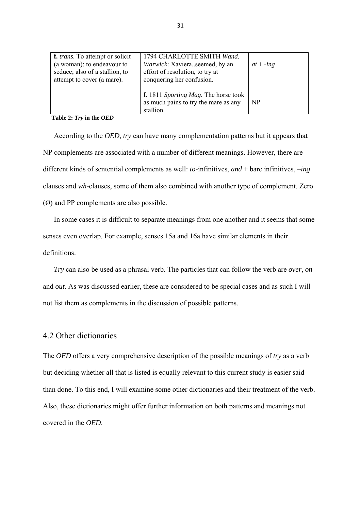| f. <i>trans</i> . To attempt or solicit<br>(a woman); to endeavour to<br>seduce; also of a stallion, to<br>attempt to cover (a mare). | 1794 CHARLOTTE SMITH Wand.<br>Warwick: Xavieraseemed, by an<br>effort of resolution, to try at<br>conquering her confusion. | $at + -ing$ |
|---------------------------------------------------------------------------------------------------------------------------------------|-----------------------------------------------------------------------------------------------------------------------------|-------------|
|                                                                                                                                       | <b>f.</b> 1811 Sporting Mag. The horse took<br>as much pains to try the mare as any<br>stallion.                            | <b>NP</b>   |

**Table 2:** *Try* **in the** *OED*

 According to the *OED*, *try* can have many complementation patterns but it appears that NP complements are associated with a number of different meanings. However, there are different kinds of sentential complements as well: *to*-infinitives, *and* + bare infinitives, –*ing* clauses and *wh*-clauses, some of them also combined with another type of complement. Zero (Ø) and PP complements are also possible.

 In some cases it is difficult to separate meanings from one another and it seems that some senses even overlap. For example, senses 15a and 16a have similar elements in their definitions.

 *Try* can also be used as a phrasal verb. The particles that can follow the verb are *over*, *on* and *out*. As was discussed earlier, these are considered to be special cases and as such I will not list them as complements in the discussion of possible patterns.

# 4.2 Other dictionaries

The *OED* offers a very comprehensive description of the possible meanings of *try* as a verb but deciding whether all that is listed is equally relevant to this current study is easier said than done. To this end, I will examine some other dictionaries and their treatment of the verb. Also, these dictionaries might offer further information on both patterns and meanings not covered in the *OED*.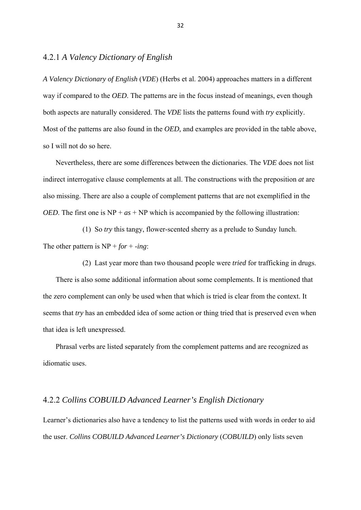## 4.2.1 *A Valency Dictionary of English*

*A Valency Dictionary of English* (*VDE*) (Herbs et al. 2004) approaches matters in a different way if compared to the *OED*. The patterns are in the focus instead of meanings, even though both aspects are naturally considered. The *VDE* lists the patterns found with *try* explicitly. Most of the patterns are also found in the *OED,* and examples are provided in the table above, so I will not do so here.

 Nevertheless, there are some differences between the dictionaries. The *VDE* does not list indirect interrogative clause complements at all. The constructions with the preposition *at* are also missing. There are also a couple of complement patterns that are not exemplified in the *OED*. The first one is  $NP + as + NP$  which is accompanied by the following illustration:

 (1) So *try* this tangy, flower-scented sherry as a prelude to Sunday lunch. The other pattern is  $NP + for + -ing$ :

(2) Last year more than two thousand people were *tried* for trafficking in drugs.

 There is also some additional information about some complements. It is mentioned that the zero complement can only be used when that which is tried is clear from the context. It seems that *try* has an embedded idea of some action or thing tried that is preserved even when that idea is left unexpressed.

 Phrasal verbs are listed separately from the complement patterns and are recognized as idiomatic uses.

## 4.2.2 *Collins COBUILD Advanced Learner's English Dictionary*

Learner's dictionaries also have a tendency to list the patterns used with words in order to aid the user. *Collins COBUILD Advanced Learner's Dictionary* (*COBUILD*) only lists seven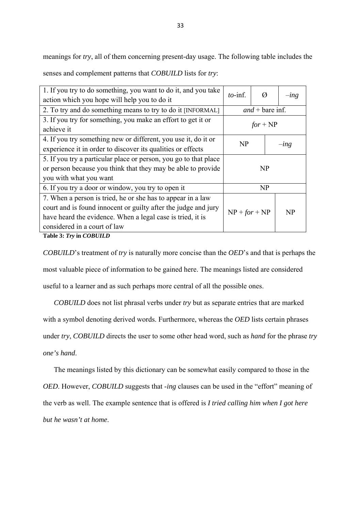meanings for *try*, all of them concerning present-day usage. The following table includes the

senses and complement patterns that *COBUILD* lists for *try*:

| 1. If you try to do something, you want to do it, and you take   |                       |            |  |         |  |
|------------------------------------------------------------------|-----------------------|------------|--|---------|--|
| $to$ -inf.<br>Ø<br>action which you hope will help you to do it  |                       |            |  | $-$ ing |  |
|                                                                  |                       |            |  |         |  |
| 2. To try and do something means to try to do it [INFORMAL]      | $and + bare$ inf.     |            |  |         |  |
| 3. If you try for something, you make an effort to get it or     |                       | $for + NP$ |  |         |  |
| achieve it                                                       |                       |            |  |         |  |
| 4. If you try something new or different, you use it, do it or   | NP                    |            |  |         |  |
| experience it in order to discover its qualities or effects      | $-$ <i>ing</i>        |            |  |         |  |
| 5. If you try a particular place or person, you go to that place |                       |            |  |         |  |
| or person because you think that they may be able to provide     |                       | NP         |  |         |  |
| you with what you want                                           |                       |            |  |         |  |
| 6. If you try a door or window, you try to open it               |                       | NP         |  |         |  |
| 7. When a person is tried, he or she has to appear in a law      |                       |            |  |         |  |
| court and is found innocent or guilty after the judge and jury   | $NP + for + NP$<br>NP |            |  |         |  |
| have heard the evidence. When a legal case is tried, it is       |                       |            |  |         |  |
| considered in a court of law                                     |                       |            |  |         |  |
| $\mathbf{m}$ ii $\mathbf{a}$ $\mathbf{m}$ is contrued            |                       |            |  |         |  |

**Table 3:** *Try* **in** *COBUILD*

*COBUILD*'s treatment of *try* is naturally more concise than the *OED*'s and that is perhaps the most valuable piece of information to be gained here. The meanings listed are considered useful to a learner and as such perhaps more central of all the possible ones.

 *COBUILD* does not list phrasal verbs under *try* but as separate entries that are marked with a symbol denoting derived words. Furthermore, whereas the *OED* lists certain phrases under *try*, *COBUILD* directs the user to some other head word, such as *hand* for the phrase *try one's hand*.

The meanings listed by this dictionary can be somewhat easily compared to those in the

*OED*. However, *COBUILD* suggests that -*ing* clauses can be used in the "effort" meaning of

the verb as well. The example sentence that is offered is *I tried calling him when I got here* 

*but he wasn't at home*.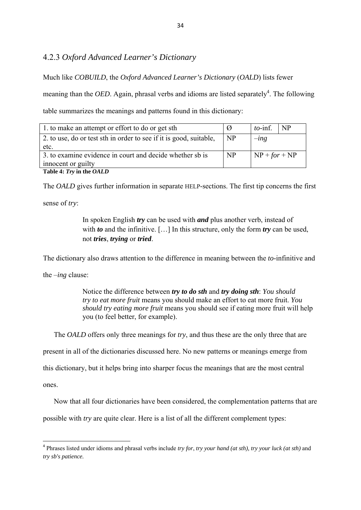# 4.2.3 *Oxford Advanced Learner's Dictionary*

Much like *COBUILD*, the *Oxford Advanced Learner's Dictionary* (*OALD*) lists fewer

meaning than the *OED*. Again, phrasal verbs and idioms are listed separately<sup>4</sup>. The following table summarizes the meanings and patterns found in this dictionary:

| 1. to make an attempt or effort to do or get sth.                  | Ø              | $to$ -inf.      | <b>NP</b> |
|--------------------------------------------------------------------|----------------|-----------------|-----------|
| 2. to use, do or test sth in order to see if it is good, suitable, | NP             | $-$ <i>ing</i>  |           |
| etc.                                                               |                |                 |           |
| 3. to examine evidence in court and decide whether sb is           | N <sub>P</sub> | $NP + for + NP$ |           |
| innocent or guilty                                                 |                |                 |           |
| Table 4: Try in the OALD                                           |                |                 |           |

The *OALD* gives further information in separate HELP-sections. The first tip concerns the first

sense of *try*:

 In spoken English *try* can be used with *and* plus another verb, instead of with *to* and the infinitive. [...] In this structure, only the form *try* can be used, not *tries*, *trying* or *tried*.

The dictionary also draws attention to the difference in meaning between the *to*-infinitive and

the –*ing* clause:

 Notice the difference between *try to do sth* and *try doing sth*: *You should try to eat more fruit* means you should make an effort to eat more fruit. *You should try eating more fruit* means you should see if eating more fruit will help you (to feel better, for example).

The *OALD* offers only three meanings for *try*, and thus these are the only three that are

present in all of the dictionaries discussed here. No new patterns or meanings emerge from

this dictionary, but it helps bring into sharper focus the meanings that are the most central

ones.

Now that all four dictionaries have been considered, the complementation patterns that are

possible with *try* are quite clear. Here is a list of all the different complement types:

<sup>4</sup> Phrases listed under idioms and phrasal verbs include *try for*, *try your hand (at sth), try your luck (at sth)* and *try sb's patience.*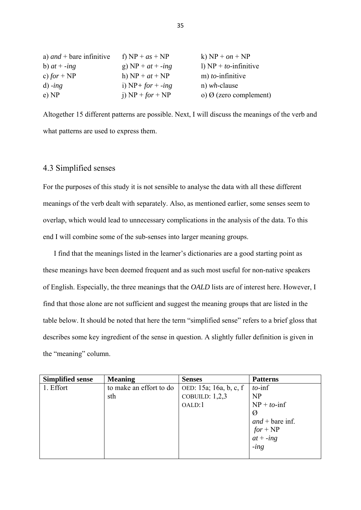| a) <i>and</i> + bare infinitive | f) $NP + as + NP$    | k) $NP + on + NP$             |
|---------------------------------|----------------------|-------------------------------|
| b) $at + -ing$                  | g) $NP + at + -ing$  | 1) $NP + to$ -infinitive      |
| c) for $+ NP$                   | h) $NP + at + NP$    | $m)$ to-infinitive            |
| $d$ ) - $ing$                   | i) $NP + for + -ing$ | n) $wh$ -clause               |
| e) NP                           | j) $NP + for + NP$   | o) $\Omega$ (zero complement) |

Altogether 15 different patterns are possible. Next, I will discuss the meanings of the verb and what patterns are used to express them.

### 4.3 Simplified senses

For the purposes of this study it is not sensible to analyse the data with all these different meanings of the verb dealt with separately. Also, as mentioned earlier, some senses seem to overlap, which would lead to unnecessary complications in the analysis of the data. To this end I will combine some of the sub-senses into larger meaning groups.

 I find that the meanings listed in the learner's dictionaries are a good starting point as these meanings have been deemed frequent and as such most useful for non-native speakers of English. Especially, the three meanings that the *OALD* lists are of interest here. However, I find that those alone are not sufficient and suggest the meaning groups that are listed in the table below. It should be noted that here the term "simplified sense" refers to a brief gloss that describes some key ingredient of the sense in question. A slightly fuller definition is given in the "meaning" column.

| <b>Simplified sense</b> | <b>Meaning</b>          | <b>Senses</b>          | <b>Patterns</b>           |
|-------------------------|-------------------------|------------------------|---------------------------|
| 1. Effort               | to make an effort to do | OED: 15a; 16a, b, c, f | $to$ -inf                 |
|                         | sth                     | COBUILD: $1,2,3$       | NP                        |
|                         |                         | OALD:1                 | $NP + to$ -inf            |
|                         |                         |                        | Ø                         |
|                         |                         |                        | $and + bare$ inf.         |
|                         |                         |                        |                           |
|                         |                         |                        | $for + NP$<br>$at + -ing$ |
|                         |                         |                        | $-$ <i>ing</i>            |
|                         |                         |                        |                           |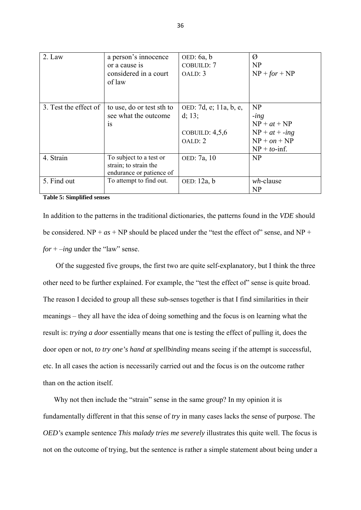| 2. Law                | a person's innocence<br>or a cause is<br>considered in a court<br>of law     | OED: $6a, b$<br>COBUILD: 7<br>OALD: 3                           | Ø<br>NP<br>$NP + for + NP$                                                                     |
|-----------------------|------------------------------------------------------------------------------|-----------------------------------------------------------------|------------------------------------------------------------------------------------------------|
| 3. Test the effect of | to use, do or test sth to<br>see what the outcome<br><b>1S</b>               | OED: 7d, e; 11a, b, e,<br>d; 13;<br>COBUILD: $4,5,6$<br>OALD: 2 | NP<br>$-$ <i>ing</i><br>$NP + at + NP$<br>$NP + at + -ing$<br>$NP + on + NP$<br>$NP + to-inf.$ |
| 4. Strain             | To subject to a test or<br>strain; to strain the<br>endurance or patience of | OED: 7a, 10                                                     | NP                                                                                             |
| 5. Find out           | To attempt to find out.                                                      | OED: 12a, b                                                     | $wh$ -clause<br>NP                                                                             |

**Table 5: Simplified senses** 

In addition to the patterns in the traditional dictionaries, the patterns found in the *VDE* should be considered.  $NP + as + NP$  should be placed under the "test the effect of" sense, and  $NP +$ *for* + –*ing* under the "law" sense.

 Of the suggested five groups, the first two are quite self-explanatory, but I think the three other need to be further explained. For example, the "test the effect of" sense is quite broad. The reason I decided to group all these sub-senses together is that I find similarities in their meanings – they all have the idea of doing something and the focus is on learning what the result is: *trying a door* essentially means that one is testing the effect of pulling it, does the door open or not, *to try one's hand at spellbinding* means seeing if the attempt is successful, etc. In all cases the action is necessarily carried out and the focus is on the outcome rather than on the action itself.

 Why not then include the "strain" sense in the same group? In my opinion it is fundamentally different in that this sense of *try* in many cases lacks the sense of purpose. The *OED'*s example sentence *This malady tries me severely* illustrates this quite well. The focus is not on the outcome of trying, but the sentence is rather a simple statement about being under a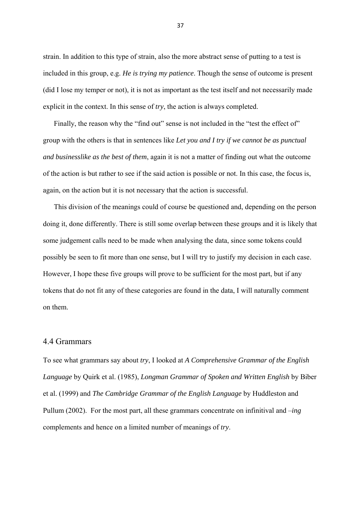strain. In addition to this type of strain, also the more abstract sense of putting to a test is included in this group, e.g. *He is trying my patience*. Though the sense of outcome is present (did I lose my temper or not), it is not as important as the test itself and not necessarily made explicit in the context. In this sense of *try*, the action is always completed.

Finally, the reason why the "find out" sense is not included in the "test the effect of" group with the others is that in sentences like *Let you and I try if we cannot be as punctual and businesslike as the best of them*, again it is not a matter of finding out what the outcome of the action is but rather to see if the said action is possible or not. In this case, the focus is, again, on the action but it is not necessary that the action is successful.

 This division of the meanings could of course be questioned and, depending on the person doing it, done differently. There is still some overlap between these groups and it is likely that some judgement calls need to be made when analysing the data, since some tokens could possibly be seen to fit more than one sense, but I will try to justify my decision in each case. However, I hope these five groups will prove to be sufficient for the most part, but if any tokens that do not fit any of these categories are found in the data, I will naturally comment on them.

### 4.4 Grammars

To see what grammars say about *try*, I looked at *A Comprehensive Grammar of the English Language* by Quirk et al. (1985), *Longman Grammar of Spoken and Written English* by Biber et al. (1999) and *The Cambridge Grammar of the English Language* by Huddleston and Pullum (2002). For the most part, all these grammars concentrate on infinitival and –*ing* complements and hence on a limited number of meanings of *try*.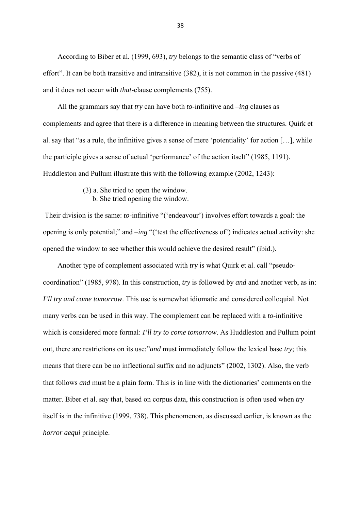According to Biber et al. (1999, 693), *try* belongs to the semantic class of "verbs of effort". It can be both transitive and intransitive (382), it is not common in the passive (481) and it does not occur with *that*-clause complements (755).

 All the grammars say that *try* can have both *to*-infinitive and –*ing* clauses as complements and agree that there is a difference in meaning between the structures. Quirk et al. say that "as a rule, the infinitive gives a sense of mere 'potentiality' for action […], while the participle gives a sense of actual 'performance' of the action itself" (1985, 1191). Huddleston and Pullum illustrate this with the following example (2002, 1243):

- (3) a. She tried to open the window.
	- b. She tried opening the window.

 Their division is the same: *to*-infinitive "('endeavour') involves effort towards a goal: the opening is only potential;" and –*ing* "('test the effectiveness of') indicates actual activity: she opened the window to see whether this would achieve the desired result" (ibid.).

 Another type of complement associated with *try* is what Quirk et al. call "pseudocoordination" (1985, 978). In this construction, *try* is followed by *and* and another verb, as in: *I'll try and come tomorrow*. This use is somewhat idiomatic and considered colloquial. Not many verbs can be used in this way. The complement can be replaced with a *to*-infinitive which is considered more formal: *I'll try to come tomorrow*. As Huddleston and Pullum point out, there are restrictions on its use:"*and* must immediately follow the lexical base *try*; this means that there can be no inflectional suffix and no adjuncts" (2002, 1302). Also, the verb that follows *and* must be a plain form. This is in line with the dictionaries' comments on the matter. Biber et al. say that, based on corpus data, this construction is often used when *try* itself is in the infinitive (1999, 738). This phenomenon, as discussed earlier, is known as the *horror aequi* principle.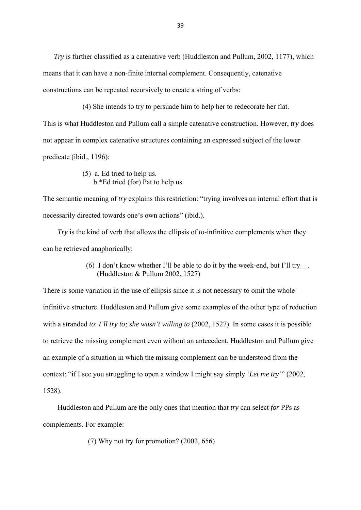*Try* is further classified as a catenative verb (Huddleston and Pullum, 2002, 1177), which means that it can have a non-finite internal complement. Consequently, catenative constructions can be repeated recursively to create a string of verbs:

 (4) She intends to try to persuade him to help her to redecorate her flat. This is what Huddleston and Pullum call a simple catenative construction. However, *try* does not appear in complex catenative structures containing an expressed subject of the lower predicate (ibid., 1196):

> (5) a. Ed tried to help us. b.\*Ed tried (for) Pat to help us.

The semantic meaning of *try* explains this restriction: "trying involves an internal effort that is necessarily directed towards one's own actions" (ibid.).

 *Try* is the kind of verb that allows the ellipsis of *to*-infinitive complements when they can be retrieved anaphorically:

> (6) I don't know whether I'll be able to do it by the week-end, but I'll try\_\_. (Huddleston & Pullum 2002, 1527)

There is some variation in the use of ellipsis since it is not necessary to omit the whole infinitive structure. Huddleston and Pullum give some examples of the other type of reduction with a stranded *to*: *I'll try to; she wasn't willing to* (2002, 1527). In some cases it is possible to retrieve the missing complement even without an antecedent. Huddleston and Pullum give an example of a situation in which the missing complement can be understood from the context: "if I see you struggling to open a window I might say simply '*Let me try'*" (2002, 1528).

 Huddleston and Pullum are the only ones that mention that *try* can select *for* PPs as complements. For example:

(7) Why not try for promotion? (2002, 656)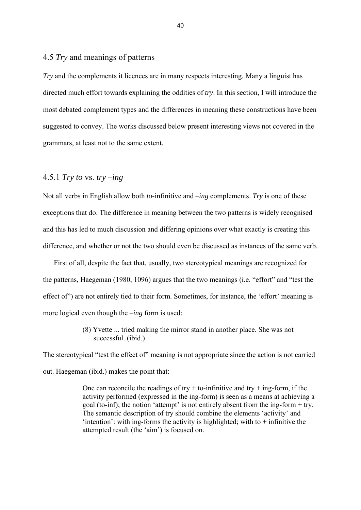## 4.5 *Try* and meanings of patterns

*Try* and the complements it licences are in many respects interesting. Many a linguist has directed much effort towards explaining the oddities of *try*. In this section, I will introduce the most debated complement types and the differences in meaning these constructions have been suggested to convey. The works discussed below present interesting views not covered in the grammars, at least not to the same extent.

## 4.5.1 *Try to* vs. *try –ing*

Not all verbs in English allow both *to*-infinitive and –*ing* complements. *Try* is one of these exceptions that do. The difference in meaning between the two patterns is widely recognised and this has led to much discussion and differing opinions over what exactly is creating this difference, and whether or not the two should even be discussed as instances of the same verb.

 First of all, despite the fact that, usually, two stereotypical meanings are recognized for the patterns, Haegeman (1980, 1096) argues that the two meanings (i.e. "effort" and "test the effect of") are not entirely tied to their form. Sometimes, for instance, the 'effort' meaning is more logical even though the –*ing* form is used:

> (8) Yvette ... tried making the mirror stand in another place. She was not successful. (ibid.)

The stereotypical "test the effect of" meaning is not appropriate since the action is not carried out. Haegeman (ibid.) makes the point that:

> One can reconcile the readings of try  $+$  to-infinitive and try  $+$  ing-form, if the activity performed (expressed in the ing-form) is seen as a means at achieving a goal (to-inf); the notion 'attempt' is not entirely absent from the ing-form + try. The semantic description of try should combine the elements 'activity' and  $'$ intention': with ing-forms the activity is highlighted; with to  $+$  infinitive the attempted result (the 'aim') is focused on.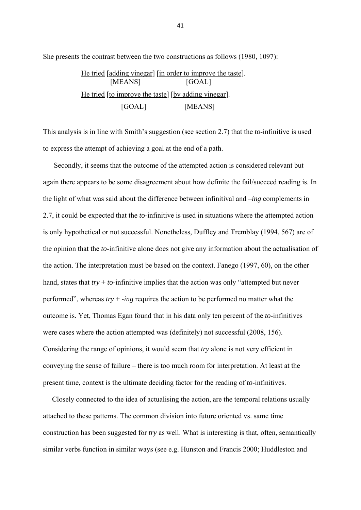She presents the contrast between the two constructions as follows (1980, 1097):

He tried [adding vinegar] [in order to improve the taste]. [MEANS] [GOAL] He tried [to improve the taste] [by adding vinegar]. [GOAL] [MEANS]

This analysis is in line with Smith's suggestion (see section 2.7) that the *to*-infinitive is used to express the attempt of achieving a goal at the end of a path.

 Secondly, it seems that the outcome of the attempted action is considered relevant but again there appears to be some disagreement about how definite the fail/succeed reading is. In the light of what was said about the difference between infinitival and –*ing* complements in 2.7, it could be expected that the *to*-infinitive is used in situations where the attempted action is only hypothetical or not successful. Nonetheless, Duffley and Tremblay (1994, 567) are of the opinion that the *to*-infinitive alone does not give any information about the actualisation of the action. The interpretation must be based on the context. Fanego (1997, 60), on the other hand, states that *try* + *to*-infinitive implies that the action was only "attempted but never performed", whereas *try* + -*ing* requires the action to be performed no matter what the outcome is. Yet, Thomas Egan found that in his data only ten percent of the *to*-infinitives were cases where the action attempted was (definitely) not successful (2008, 156). Considering the range of opinions, it would seem that *try* alone is not very efficient in conveying the sense of failure – there is too much room for interpretation. At least at the present time, context is the ultimate deciding factor for the reading of *to*-infinitives.

 Closely connected to the idea of actualising the action, are the temporal relations usually attached to these patterns. The common division into future oriented vs. same time construction has been suggested for *try* as well. What is interesting is that, often, semantically similar verbs function in similar ways (see e.g. Hunston and Francis 2000; Huddleston and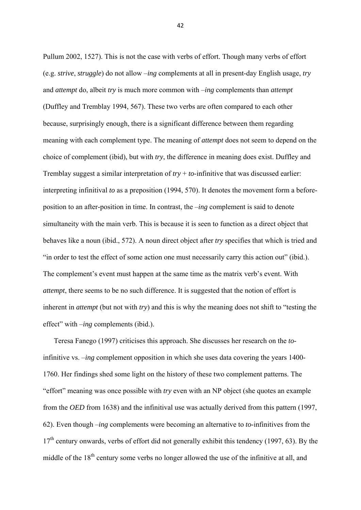Pullum 2002, 1527). This is not the case with verbs of effort. Though many verbs of effort (e.g. *strive*, *struggle*) do not allow –*ing* complements at all in present-day English usage, *try* and *attempt* do, albeit *try* is much more common with –*ing* complements than *attempt* (Duffley and Tremblay 1994, 567). These two verbs are often compared to each other because, surprisingly enough, there is a significant difference between them regarding meaning with each complement type. The meaning of *attempt* does not seem to depend on the choice of complement (ibid), but with *try*, the difference in meaning does exist. Duffley and Tremblay suggest a similar interpretation of *try* + *to*-infinitive that was discussed earlier: interpreting infinitival *to* as a preposition (1994, 570). It denotes the movement form a beforeposition to an after-position in time. In contrast, the –*ing* complement is said to denote simultaneity with the main verb. This is because it is seen to function as a direct object that behaves like a noun (ibid., 572). A noun direct object after *try* specifies that which is tried and "in order to test the effect of some action one must necessarily carry this action out" (ibid.). The complement's event must happen at the same time as the matrix verb's event. With *attempt*, there seems to be no such difference. It is suggested that the notion of effort is inherent in *attempt* (but not with *try*) and this is why the meaning does not shift to "testing the effect" with –*ing* complements (ibid.).

 Teresa Fanego (1997) criticises this approach. She discusses her research on the *to*infinitive vs. –*ing* complement opposition in which she uses data covering the years 1400- 1760. Her findings shed some light on the history of these two complement patterns. The "effort" meaning was once possible with *try* even with an NP object (she quotes an example from the *OED* from 1638) and the infinitival use was actually derived from this pattern (1997, 62). Even though –*ing* complements were becoming an alternative to *to*-infinitives from the  $17<sup>th</sup>$  century onwards, verbs of effort did not generally exhibit this tendency (1997, 63). By the middle of the  $18<sup>th</sup>$  century some verbs no longer allowed the use of the infinitive at all, and

42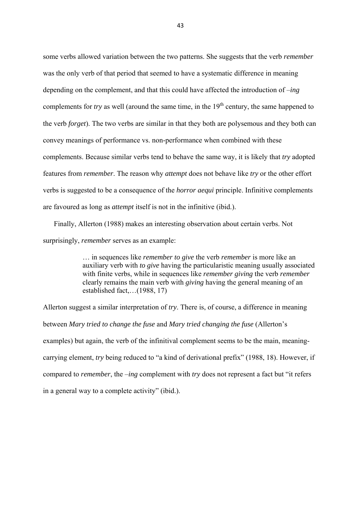some verbs allowed variation between the two patterns. She suggests that the verb *remember* was the only verb of that period that seemed to have a systematic difference in meaning depending on the complement, and that this could have affected the introduction of –*ing* complements for *try* as well (around the same time, in the 19<sup>th</sup> century, the same happened to the verb *forget*). The two verbs are similar in that they both are polysemous and they both can convey meanings of performance vs. non-performance when combined with these complements. Because similar verbs tend to behave the same way, it is likely that *try* adopted features from *remember*. The reason why *attempt* does not behave like *try* or the other effort verbs is suggested to be a consequence of the *horror aequi* principle. Infinitive complements are favoured as long as *attempt* itself is not in the infinitive (ibid.).

 Finally, Allerton (1988) makes an interesting observation about certain verbs. Not surprisingly, *remember* serves as an example:

> … in sequences like *remember to give* the verb *remember* is more like an auxiliary verb with *to give* having the particularistic meaning usually associated with finite verbs, while in sequences like *remember giving* the verb *remember* clearly remains the main verb with *giving* having the general meaning of an established fact,…(1988, 17)

Allerton suggest a similar interpretation of *try*. There is, of course, a difference in meaning between *Mary tried to change the fuse* and *Mary tried changing the fuse* (Allerton's examples) but again, the verb of the infinitival complement seems to be the main, meaningcarrying element, *try* being reduced to "a kind of derivational prefix" (1988, 18). However, if compared to *remember*, the –*ing* complement with *try* does not represent a fact but "it refers in a general way to a complete activity" (ibid.).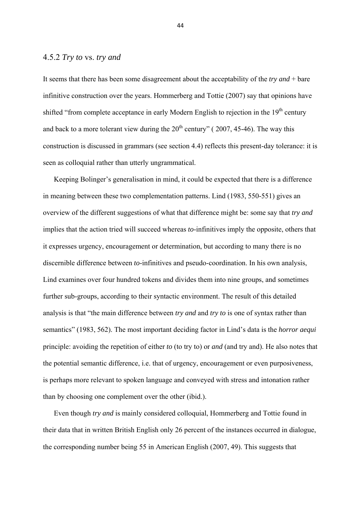#### 4.5.2 *Try to* vs. *try and*

It seems that there has been some disagreement about the acceptability of the *try and* + bare infinitive construction over the years. Hommerberg and Tottie (2007) say that opinions have shifted "from complete acceptance in early Modern English to rejection in the 19<sup>th</sup> century and back to a more tolerant view during the  $20<sup>th</sup>$  century" (2007, 45-46). The way this construction is discussed in grammars (see section 4.4) reflects this present-day tolerance: it is seen as colloquial rather than utterly ungrammatical.

 Keeping Bolinger's generalisation in mind, it could be expected that there is a difference in meaning between these two complementation patterns. Lind (1983, 550-551) gives an overview of the different suggestions of what that difference might be: some say that *try and* implies that the action tried will succeed whereas *to*-infinitives imply the opposite, others that it expresses urgency, encouragement or determination, but according to many there is no discernible difference between *to*-infinitives and pseudo-coordination. In his own analysis, Lind examines over four hundred tokens and divides them into nine groups, and sometimes further sub-groups, according to their syntactic environment. The result of this detailed analysis is that "the main difference between *try and* and *try to* is one of syntax rather than semantics" (1983, 562). The most important deciding factor in Lind's data is the *horror aequi* principle: avoiding the repetition of either *to* (to try to) or *and* (and try and). He also notes that the potential semantic difference, i.e. that of urgency, encouragement or even purposiveness, is perhaps more relevant to spoken language and conveyed with stress and intonation rather than by choosing one complement over the other (ibid.).

 Even though *try and* is mainly considered colloquial, Hommerberg and Tottie found in their data that in written British English only 26 percent of the instances occurred in dialogue, the corresponding number being 55 in American English (2007, 49). This suggests that

44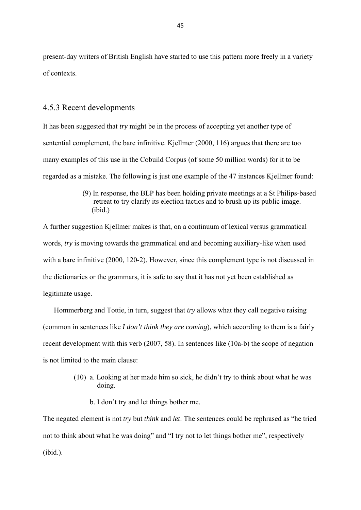present-day writers of British English have started to use this pattern more freely in a variety of contexts.

#### 4.5.3 Recent developments

It has been suggested that *try* might be in the process of accepting yet another type of sentential complement, the bare infinitive. Kjellmer (2000, 116) argues that there are too many examples of this use in the Cobuild Corpus (of some 50 million words) for it to be regarded as a mistake. The following is just one example of the 47 instances Kjellmer found:

> (9) In response, the BLP has been holding private meetings at a St Philips-based retreat to try clarify its election tactics and to brush up its public image.  $(i$ hid $)$

A further suggestion Kjellmer makes is that, on a continuum of lexical versus grammatical words, *try* is moving towards the grammatical end and becoming auxiliary-like when used with a bare infinitive (2000, 120-2). However, since this complement type is not discussed in the dictionaries or the grammars, it is safe to say that it has not yet been established as legitimate usage.

 Hommerberg and Tottie, in turn, suggest that *try* allows what they call negative raising (common in sentences like *I don't think they are coming*), which according to them is a fairly recent development with this verb (2007, 58). In sentences like (10a-b) the scope of negation is not limited to the main clause:

- (10) a. Looking at her made him so sick, he didn't try to think about what he was doing.
	- b. I don't try and let things bother me.

The negated element is not *try* but *think* and *let*. The sentences could be rephrased as "he tried not to think about what he was doing" and "I try not to let things bother me", respectively (ibid.).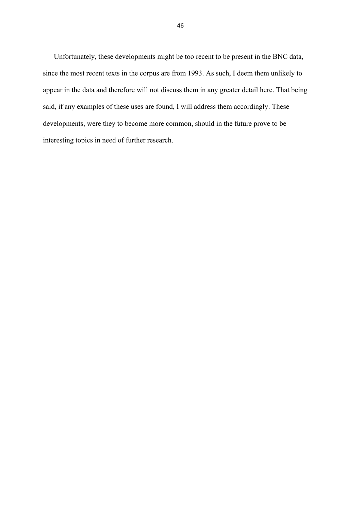Unfortunately, these developments might be too recent to be present in the BNC data, since the most recent texts in the corpus are from 1993. As such, I deem them unlikely to appear in the data and therefore will not discuss them in any greater detail here. That being said, if any examples of these uses are found, I will address them accordingly. These developments, were they to become more common, should in the future prove to be interesting topics in need of further research.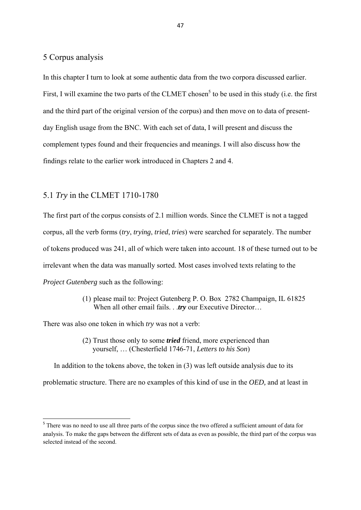## 5 Corpus analysis

In this chapter I turn to look at some authentic data from the two corpora discussed earlier. First, I will examine the two parts of the CLMET chosen<sup>5</sup> to be used in this study (i.e. the first and the third part of the original version of the corpus) and then move on to data of presentday English usage from the BNC. With each set of data, I will present and discuss the complement types found and their frequencies and meanings. I will also discuss how the findings relate to the earlier work introduced in Chapters 2 and 4.

### 5.1 *Try* in the CLMET 1710-1780

The first part of the corpus consists of 2.1 million words. Since the CLMET is not a tagged corpus, all the verb forms (*try*, *trying*, *tried*, *tries*) were searched for separately. The number of tokens produced was 241, all of which were taken into account. 18 of these turned out to be irrelevant when the data was manually sorted. Most cases involved texts relating to the *Project Gutenberg* such as the following:

> (1) please mail to: Project Gutenberg P. O. Box 2782 Champaign, IL 61825 When all other email fails. . *try* our Executive Director...

There was also one token in which *try* was not a verb:

 (2) Trust those only to some *tried* friend, more experienced than yourself, … (Chesterfield 1746-71, *Letters to his Son*)

 In addition to the tokens above, the token in (3) was left outside analysis due to its problematic structure. There are no examples of this kind of use in the *OED,* and at least in

<sup>&</sup>lt;sup>5</sup> There was no need to use all three parts of the corpus since the two offered a sufficient amount of data for analysis. To make the gaps between the different sets of data as even as possible, the third part of the corpus was selected instead of the second.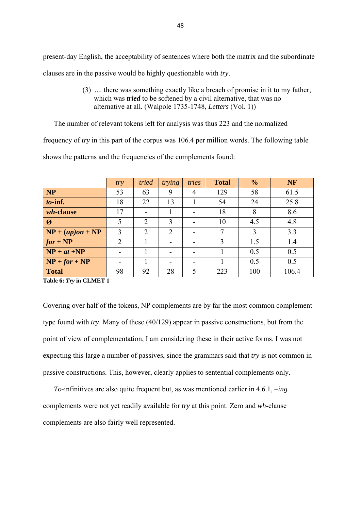present-day English, the acceptability of sentences where both the matrix and the subordinate clauses are in the passive would be highly questionable with *try*.

> (3) .... there was something exactly like a breach of promise in it to my father, which was *tried* to be softened by a civil alternative, that was no alternative at all. (Walpole 1735-1748, *Letters* (Vol. 1))

The number of relevant tokens left for analysis was thus 223 and the normalized

frequency of *try* in this part of the corpus was 106.4 per million words. The following table

shows the patterns and the frequencies of the complements found:

|                          | try            | tried          | trying                   | tries | <b>Total</b> | $\frac{0}{0}$ | <b>NF</b> |
|--------------------------|----------------|----------------|--------------------------|-------|--------------|---------------|-----------|
| <b>NP</b>                | 53             | 63             | 9                        | 4     | 129          | 58            | 61.5      |
| $to$ -inf.               | 18             | 22             | 13                       |       | 54           | 24            | 25.8      |
| <i>wh</i> -clause        | 17             |                |                          |       | 18           | 8             | 8.6       |
| $\boldsymbol{\emptyset}$ | 5              | $\overline{2}$ | 3                        |       | 10           | 4.5           | 4.8       |
| $NP + (up)on + NP$       | 3              | $\overline{2}$ | $\overline{2}$           |       | 7            | 3             | 3.3       |
| $for + NP$               | $\overline{2}$ |                |                          |       | 3            | 1.5           | 1.4       |
| $NP + at + NP$           |                |                | $\overline{\phantom{0}}$ |       |              | 0.5           | 0.5       |
| $NP + for + NP$          |                |                | -                        |       |              | 0.5           | 0.5       |
| <b>Total</b>             | 98             | 92             | 28                       | 5     | 223          | 100           | 106.4     |

**Table 6:** *Try* **in CLMET 1** 

Covering over half of the tokens, NP complements are by far the most common complement type found with *try*. Many of these (40/129) appear in passive constructions, but from the point of view of complementation, I am considering these in their active forms. I was not expecting this large a number of passives, since the grammars said that *try* is not common in passive constructions. This, however, clearly applies to sentential complements only.

 *To*-infinitives are also quite frequent but, as was mentioned earlier in 4.6.1, –*ing* complements were not yet readily available for *try* at this point. Zero and *wh*-clause complements are also fairly well represented.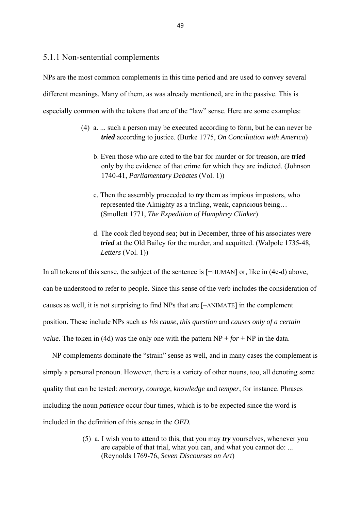## 5.1.1 Non-sentential complements

NPs are the most common complements in this time period and are used to convey several different meanings. Many of them, as was already mentioned, are in the passive. This is especially common with the tokens that are of the "law" sense. Here are some examples:

- (4) a. ... such a person may be executed according to form, but he can never be *tried* according to justice. (Burke 1775, *On Conciliation with America*)
	- b. Even those who are cited to the bar for murder or for treason, are *tried* only by the evidence of that crime for which they are indicted. (Johnson 1740-41, *Parliamentary Debates* (Vol. 1))
	- c. Then the assembly proceeded to *try* them as impious impostors, who represented the Almighty as a trifling, weak, capricious being… (Smollett 1771, *The Expedition of Humphrey Clinker*)
	- d. The cook fled beyond sea; but in December, three of his associates were *tried* at the Old Bailey for the murder, and acquitted. (Walpole 1735-48,  *Letters* (Vol. 1))

In all tokens of this sense, the subject of the sentence is  $[+HUMAN]$  or, like in (4c-d) above, can be understood to refer to people. Since this sense of the verb includes the consideration of causes as well, it is not surprising to find NPs that are [–ANIMATE] in the complement position. These include NPs such as *his cause, this question* and *causes only of a certain value*. The token in (4d) was the only one with the pattern  $NP + for + NP$  in the data.

 NP complements dominate the "strain" sense as well, and in many cases the complement is simply a personal pronoun. However, there is a variety of other nouns, too, all denoting some quality that can be tested: *memory*, *courage, knowledge* and *temper*, for instance. Phrases including the noun *patience* occur four times, which is to be expected since the word is included in the definition of this sense in the *OED.* 

> (5) a. I wish you to attend to this, that you may *try* yourselves, whenever you are capable of that trial, what you can, and what you cannot do: ... (Reynolds 1769-76, *Seven Discourses on Art*)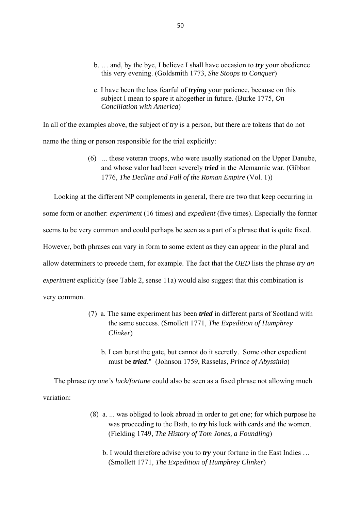- b. … and, by the bye, I believe I shall have occasion to *try* your obedience this very evening. (Goldsmith 1773, *She Stoops to Conquer*)
- c. I have been the less fearful of *trying* your patience, because on this subject I mean to spare it altogether in future. (Burke 1775, *On Conciliation with America*)

In all of the examples above, the subject of *try* is a person, but there are tokens that do not name the thing or person responsible for the trial explicitly:

> (6) ... these veteran troops, who were usually stationed on the Upper Danube, and whose valor had been severely *tried* in the Alemannic war. (Gibbon 1776, *The Decline and Fall of the Roman Empire* (Vol. 1))

 Looking at the different NP complements in general, there are two that keep occurring in some form or another: *experiment* (16 times) and *expedient* (five times). Especially the former seems to be very common and could perhaps be seen as a part of a phrase that is quite fixed. However, both phrases can vary in form to some extent as they can appear in the plural and allow determiners to precede them, for example. The fact that the *OED* lists the phrase *try an experiment* explicitly (see Table 2, sense 11a) would also suggest that this combination is very common.

- (7) a. The same experiment has been *tried* in different parts of Scotland with the same success. (Smollett 1771, *The Expedition of Humphrey Clinker*)
	- b. I can burst the gate, but cannot do it secretly. Some other expedient must be *tried*." (Johnson 1759, Rasselas, *Prince of Abyssinia*)

 The phrase *try one's luck/fortune* could also be seen as a fixed phrase not allowing much variation:

- (8) a. ... was obliged to look abroad in order to get one; for which purpose he was proceeding to the Bath, to *try* his luck with cards and the women. (Fielding 1749, *The History of Tom Jones, a Foundling*)
	- b. I would therefore advise you to *try* your fortune in the East Indies … (Smollett 1771, *The Expedition of Humphrey Clinker*)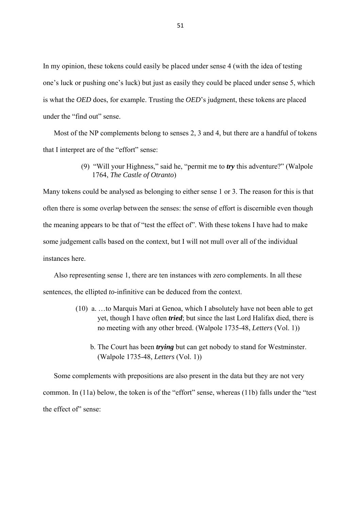In my opinion, these tokens could easily be placed under sense 4 (with the idea of testing one's luck or pushing one's luck) but just as easily they could be placed under sense 5, which is what the *OED* does, for example. Trusting the *OED*'s judgment, these tokens are placed under the "find out" sense.

 Most of the NP complements belong to senses 2, 3 and 4, but there are a handful of tokens that I interpret are of the "effort" sense:

> (9) "Will your Highness," said he, "permit me to *try* this adventure?" (Walpole 1764, *The Castle of Otranto*)

Many tokens could be analysed as belonging to either sense 1 or 3. The reason for this is that often there is some overlap between the senses: the sense of effort is discernible even though the meaning appears to be that of "test the effect of". With these tokens I have had to make some judgement calls based on the context, but I will not mull over all of the individual instances here.

 Also representing sense 1, there are ten instances with zero complements. In all these sentences, the ellipted *to*-infinitive can be deduced from the context.

- (10) a. …to Marquis Mari at Genoa, which I absolutely have not been able to get yet, though I have often *tried*; but since the last Lord Halifax died, there is no meeting with any other breed. (Walpole 1735-48, *Letters* (Vol. 1))
	- b. The Court has been *trying* but can get nobody to stand for Westminster. (Walpole 1735-48, *Letters* (Vol. 1))

 Some complements with prepositions are also present in the data but they are not very common. In (11a) below, the token is of the "effort" sense, whereas (11b) falls under the "test the effect of" sense: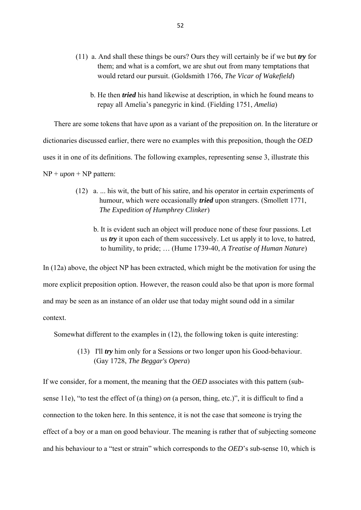- (11) a. And shall these things be ours? Ours they will certainly be if we but *try* for them; and what is a comfort, we are shut out from many temptations that would retard our pursuit. (Goldsmith 1766, *The Vicar of Wakefield*)
	- b. He then *tried* his hand likewise at description, in which he found means to repay all Amelia's panegyric in kind. (Fielding 1751, *Amelia*)

There are some tokens that have *upon* as a variant of the preposition *on*. In the literature or

dictionaries discussed earlier, there were no examples with this preposition, though the *OED*

uses it in one of its definitions. The following examples, representing sense 3, illustrate this

 $NP + upon + NP$  pattern:

- (12) a. ... his wit, the butt of his satire, and his operator in certain experiments of humour, which were occasionally *tried* upon strangers. (Smollett 1771, *The Expedition of Humphrey Clinker*)
	- b. It is evident such an object will produce none of these four passions. Let us *try* it upon each of them successively. Let us apply it to love, to hatred, to humility, to pride; … (Hume 1739-40, *A Treatise of Human Nature*)

In (12a) above, the object NP has been extracted, which might be the motivation for using the more explicit preposition option. However, the reason could also be that *upon* is more formal and may be seen as an instance of an older use that today might sound odd in a similar context.

Somewhat different to the examples in (12), the following token is quite interesting:

 (13) I'll *try* him only for a Sessions or two longer upon his Good-behaviour. (Gay 1728, *The Beggar's Opera*)

If we consider, for a moment, the meaning that the *OED* associates with this pattern (subsense 11e), "to test the effect of (a thing) *on* (a person, thing, etc.)", it is difficult to find a connection to the token here. In this sentence, it is not the case that someone is trying the effect of a boy or a man on good behaviour. The meaning is rather that of subjecting someone and his behaviour to a "test or strain" which corresponds to the *OED*'s sub-sense 10, which is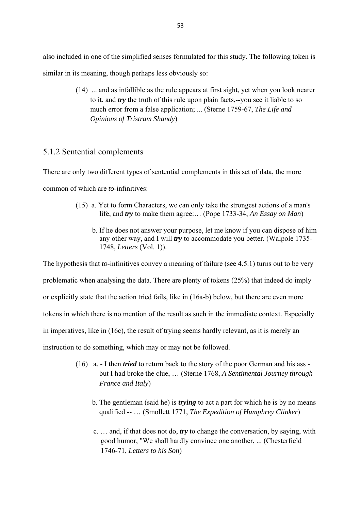also included in one of the simplified senses formulated for this study. The following token is similar in its meaning, though perhaps less obviously so:

> (14) ... and as infallible as the rule appears at first sight, yet when you look nearer to it, and *try* the truth of this rule upon plain facts,--you see it liable to so much error from a false application; ... (Sterne 1759-67, *The Life and Opinions of Tristram Shandy*)

## 5.1.2 Sentential complements

There are only two different types of sentential complements in this set of data, the more common of which are *to*-infinitives:

- (15) a. Yet to form Characters, we can only take the strongest actions of a man's life, and *try* to make them agree:… (Pope 1733-34, *An Essay on Man*)
	- b. If he does not answer your purpose, let me know if you can dispose of him any other way, and I will *try* to accommodate you better. (Walpole 1735- 1748, *Letters* (Vol. 1)).

The hypothesis that *to*-infinitives convey a meaning of failure (see 4.5.1) turns out to be very

problematic when analysing the data. There are plenty of tokens (25%) that indeed do imply

or explicitly state that the action tried fails, like in (16a-b) below, but there are even more

tokens in which there is no mention of the result as such in the immediate context. Especially

in imperatives, like in (16c), the result of trying seems hardly relevant, as it is merely an

instruction to do something, which may or may not be followed.

- (16) a. I then *tried* to return back to the story of the poor German and his ass but I had broke the clue, … (Sterne 1768, *A Sentimental Journey through France and Italy*)
	- b. The gentleman (said he) is *trying* to act a part for which he is by no means qualified -- … (Smollett 1771, *The Expedition of Humphrey Clinker*)
	- c. … and, if that does not do, *try* to change the conversation, by saying, with good humor, "We shall hardly convince one another, ... (Chesterfield 1746-71, *Letters to his Son*)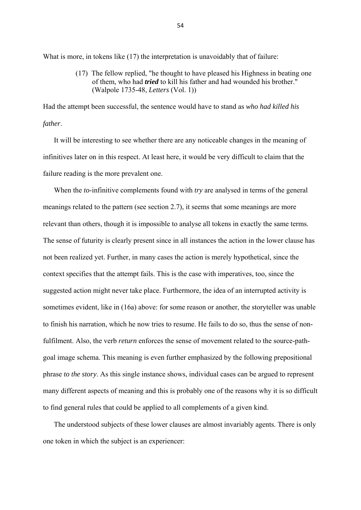What is more, in tokens like (17) the interpretation is unavoidably that of failure:

 (17) The fellow replied, "he thought to have pleased his Highness in beating one of them, who had *tried* to kill his father and had wounded his brother." (Walpole 1735-48, *Letters* (Vol. 1))

Had the attempt been successful, the sentence would have to stand as *who had killed his father*.

 It will be interesting to see whether there are any noticeable changes in the meaning of infinitives later on in this respect. At least here, it would be very difficult to claim that the failure reading is the more prevalent one.

 When the *to*-infinitive complements found with *try* are analysed in terms of the general meanings related to the pattern (see section 2.7), it seems that some meanings are more relevant than others, though it is impossible to analyse all tokens in exactly the same terms. The sense of futurity is clearly present since in all instances the action in the lower clause has not been realized yet. Further, in many cases the action is merely hypothetical, since the context specifies that the attempt fails. This is the case with imperatives, too, since the suggested action might never take place. Furthermore, the idea of an interrupted activity is sometimes evident, like in (16a) above: for some reason or another, the storyteller was unable to finish his narration, which he now tries to resume. He fails to do so, thus the sense of nonfulfilment. Also, the verb *return* enforces the sense of movement related to the source-pathgoal image schema. This meaning is even further emphasized by the following prepositional phrase *to the story*. As this single instance shows, individual cases can be argued to represent many different aspects of meaning and this is probably one of the reasons why it is so difficult to find general rules that could be applied to all complements of a given kind.

 The understood subjects of these lower clauses are almost invariably agents. There is only one token in which the subject is an experiencer: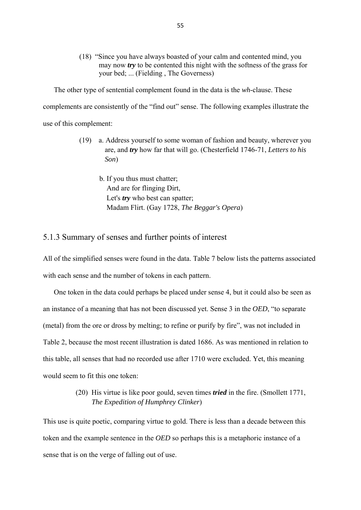(18) "Since you have always boasted of your calm and contented mind, you may now *try* to be contented this night with the softness of the grass for your bed; ... (Fielding , The Governess)

 The other type of sentential complement found in the data is the *wh*-clause. These complements are consistently of the "find out" sense. The following examples illustrate the use of this complement:

> (19) a. Address yourself to some woman of fashion and beauty, wherever you are, and *try* how far that will go. (Chesterfield 1746-71, *Letters to his Son*)

 b. If you thus must chatter; And are for flinging Dirt, Let's *try* who best can spatter; Madam Flirt. (Gay 1728, *The Beggar's Opera*)

## 5.1.3 Summary of senses and further points of interest

All of the simplified senses were found in the data. Table 7 below lists the patterns associated with each sense and the number of tokens in each pattern.

 One token in the data could perhaps be placed under sense 4, but it could also be seen as an instance of a meaning that has not been discussed yet. Sense 3 in the *OED*, "to separate (metal) from the ore or dross by melting; to refine or purify by fire", was not included in Table 2, because the most recent illustration is dated 1686. As was mentioned in relation to this table, all senses that had no recorded use after 1710 were excluded. Yet, this meaning would seem to fit this one token:

> (20) His virtue is like poor gould, seven times *tried* in the fire. (Smollett 1771, *The Expedition of Humphrey Clinker*)

This use is quite poetic, comparing virtue to gold. There is less than a decade between this token and the example sentence in the *OED* so perhaps this is a metaphoric instance of a sense that is on the verge of falling out of use.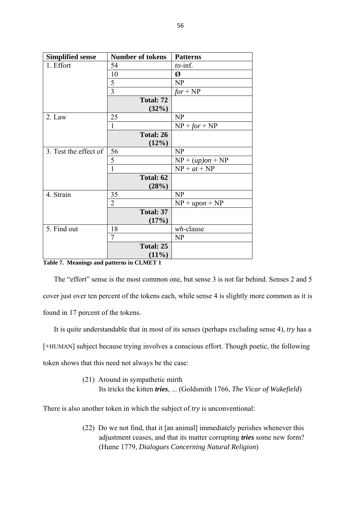| <b>Simplified sense</b> | <b>Number of tokens</b> | <b>Patterns</b>    |
|-------------------------|-------------------------|--------------------|
| 1. Effort               | 54                      | $to$ -inf.         |
|                         | 10                      | Ø                  |
|                         | 5                       | NP                 |
|                         | 3                       | $for + NP$         |
|                         | Total: 72               |                    |
|                         | (32%)                   |                    |
| 2. Law                  | 25                      | NP                 |
|                         | 1                       | $NP + for + NP$    |
|                         | Total: 26               |                    |
|                         | (12%)                   |                    |
| 3. Test the effect of   | 56                      | NP                 |
|                         | 5                       | $NP + (up)on + NP$ |
|                         | $\mathbf{1}$            | $NP + at + NP$     |
|                         | Total: 62               |                    |
|                         | (28%)                   |                    |
| 4. Strain               | 35                      | <b>NP</b>          |
|                         | $\overline{2}$          | $NP + upon + NP$   |
|                         | Total: 37               |                    |
|                         | (17%)                   |                    |
| 5. Find out             | 18                      | wh-clause          |
|                         | $\tau$                  | NP                 |
|                         | Total: 25               |                    |
|                         | $(11\%)$                |                    |

**Table 7. Meanings and patterns in CLMET 1** 

 The "effort" sense is the most common one, but sense 3 is not far behind. Senses 2 and 5 cover just over ten percent of the tokens each, while sense 4 is slightly more common as it is found in 17 percent of the tokens.

 It is quite understandable that in most of its senses (perhaps excluding sense 4), *try* has a [+HUMAN] subject because trying involves a conscious effort. Though poetic, the following token shows that this need not always be the case:

> (21) Around in sympathetic mirth Its tricks the kitten *tries*, ... (Goldsmith 1766, *The Vicar of Wakefield*)

There is also another token in which the subject of *try* is unconventional:

(22) Do we not find, that it [an animal] immediately perishes whenever this adjustment ceases, and that its matter corrupting *tries* some new form? (Hume 1779, *Dialogues Concerning Natural Religion*)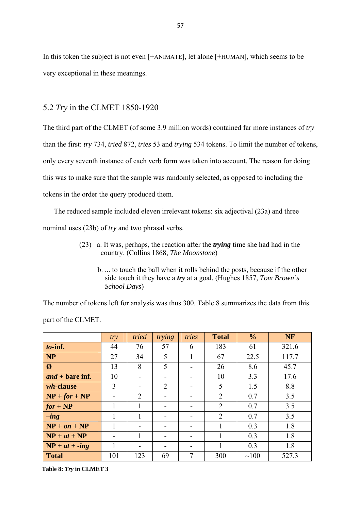In this token the subject is not even [+ANIMATE], let alone [+HUMAN], which seems to be very exceptional in these meanings.

### 5.2 *Try* in the CLMET 1850-1920

The third part of the CLMET (of some 3.9 million words) contained far more instances of *try* than the first: *try* 734, *tried* 872, *tries* 53 and *trying* 534 tokens. To limit the number of tokens, only every seventh instance of each verb form was taken into account. The reason for doing this was to make sure that the sample was randomly selected, as opposed to including the tokens in the order the query produced them.

 The reduced sample included eleven irrelevant tokens: six adjectival (23a) and three nominal uses (23b) of *try* and two phrasal verbs.

- (23) a. It was, perhaps, the reaction after the *trying* time she had had in the country. (Collins 1868, *The Moonstone*)
	- b. ... to touch the ball when it rolls behind the posts, because if the other side touch it they have a *try* at a goal. (Hughes 1857, *Tom Brown's School Days*)

The number of tokens left for analysis was thus 300. Table 8 summarizes the data from this part of the CLMET.

|                          | try          | tried                    | trying | tries | <b>Total</b>   | $\frac{0}{0}$ | <b>NF</b> |
|--------------------------|--------------|--------------------------|--------|-------|----------------|---------------|-----------|
| to-inf.                  | 44           | 76                       | 57     | 6     | 183            | 61            | 321.6     |
| <b>NP</b>                | 27           | 34                       | 5      | 1     | 67             | 22.5          | 117.7     |
| $\boldsymbol{\emptyset}$ | 13           | 8                        | 5      |       | 26             | 8.6           | 45.7      |
| $and + bare$ inf.        | 10           | -                        |        |       | 10             | 3.3           | 17.6      |
| <i>wh</i> -clause        | 3            | -                        | 2      |       | 5              | 1.5           | 8.8       |
| $NP + for + NP$          |              | 2                        |        |       | $\overline{2}$ | 0.7           | 3.5       |
| $for + NP$               | 1            | 1                        |        |       | $\overline{2}$ | 0.7           | 3.5       |
| $-$ <i>ing</i>           | $\mathbf{1}$ | 1                        |        |       | $\overline{2}$ | 0.7           | 3.5       |
| $NP + on + NP$           | 1            | $\overline{\phantom{0}}$ |        | -     | 1              | 0.3           | 1.8       |
| $NP + at + NP$           |              |                          |        |       |                | 0.3           | 1.8       |
| $NP + at + -ing$         | 1            | -                        |        |       |                | 0.3           | 1.8       |
| <b>Total</b>             | 101          | 123                      | 69     | 7     | 300            | $\sim 100$    | 527.3     |

**Table 8:** *Try* **in CLMET 3**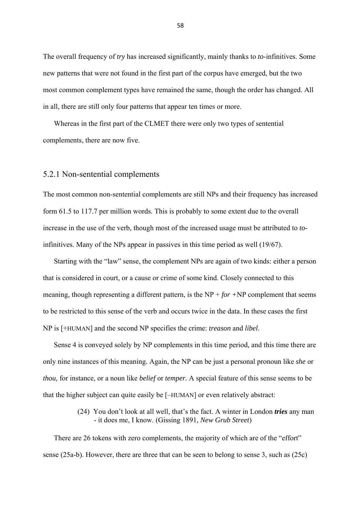The overall frequency of *try* has increased significantly, mainly thanks to *to*-infinitives. Some new patterns that were not found in the first part of the corpus have emerged, but the two most common complement types have remained the same, though the order has changed. All in all, there are still only four patterns that appear ten times or more.

 Whereas in the first part of the CLMET there were only two types of sentential complements, there are now five.

#### 5.2.1 Non-sentential complements

The most common non-sentential complements are still NPs and their frequency has increased form 61.5 to 117.7 per million words. This is probably to some extent due to the overall increase in the use of the verb, though most of the increased usage must be attributed to *to*infinitives. Many of the NPs appear in passives in this time period as well (19/67).

 Starting with the "law" sense, the complement NPs are again of two kinds: either a person that is considered in court, or a cause or crime of some kind. Closely connected to this meaning, though representing a different pattern, is the NP + *for +*NP complement that seems to be restricted to this sense of the verb and occurs twice in the data. In these cases the first NP is [+HUMAN] and the second NP specifies the crime: *treason* and *libel*.

 Sense 4 is conveyed solely by NP complements in this time period, and this time there are only nine instances of this meaning. Again, the NP can be just a personal pronoun like *she* or *thou*, for instance, or a noun like *belief* or *temper*. A special feature of this sense seems to be that the higher subject can quite easily be [–HUMAN] or even relatively abstract:

> (24) You don't look at all well, that's the fact. A winter in London *tries* any man - it does me, I know. (Gissing 1891, *New Grub Street*)

 There are 26 tokens with zero complements, the majority of which are of the "effort" sense (25a-b). However, there are three that can be seen to belong to sense 3, such as (25c)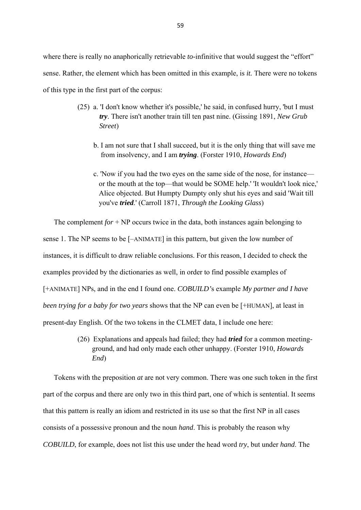where there is really no anaphorically retrievable *to*-infinitive that would suggest the "effort" sense. Rather, the element which has been omitted in this example, is *it.* There were no tokens of this type in the first part of the corpus:

- (25) a. 'I don't know whether it's possible,' he said, in confused hurry, 'but I must *try*. There isn't another train till ten past nine. (Gissing 1891, *New Grub Street*)
	- b. I am not sure that I shall succeed, but it is the only thing that will save me from insolvency, and I am *trying*. (Forster 1910, *Howards End*)
	- c. 'Now if you had the two eyes on the same side of the nose, for instance or the mouth at the top—that would be SOME help.' 'It wouldn't look nice,' Alice objected. But Humpty Dumpty only shut his eyes and said 'Wait till you've *tried*.' (Carroll 1871, *Through the Looking Glass*)

 The complement *for* + NP occurs twice in the data, both instances again belonging to sense 1. The NP seems to be [–ANIMATE] in this pattern, but given the low number of instances, it is difficult to draw reliable conclusions. For this reason, I decided to check the examples provided by the dictionaries as well, in order to find possible examples of [+ANIMATE] NPs, and in the end I found one. *COBUILD'*s example *My partner and I have been trying for a baby for two years* shows that the NP can even be [+HUMAN], at least in present-day English. Of the two tokens in the CLMET data, I include one here:

> (26) Explanations and appeals had failed; they had *tried* for a common meeting ground, and had only made each other unhappy. (Forster 1910, *Howards End*)

 Tokens with the preposition *at* are not very common. There was one such token in the first part of the corpus and there are only two in this third part, one of which is sentential. It seems that this pattern is really an idiom and restricted in its use so that the first NP in all cases consists of a possessive pronoun and the noun *hand*. This is probably the reason why *COBUILD*, for example, does not list this use under the head word *try*, but under *hand*. The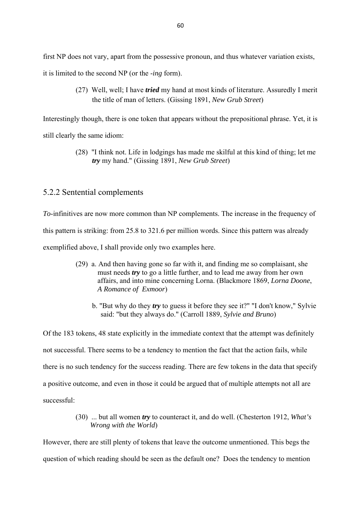first NP does not vary, apart from the possessive pronoun, and thus whatever variation exists, it is limited to the second NP (or the -*ing* form).

> (27) Well, well; I have *tried* my hand at most kinds of literature. Assuredly I merit the title of man of letters. (Gissing 1891, *New Grub Street*)

Interestingly though, there is one token that appears without the prepositional phrase. Yet, it is still clearly the same idiom:

> (28) "I think not. Life in lodgings has made me skilful at this kind of thing; let me *try* my hand." (Gissing 1891, *New Grub Street*)

## 5.2.2 Sentential complements

*To*-infinitives are now more common than NP complements. The increase in the frequency of this pattern is striking: from 25.8 to 321.6 per million words. Since this pattern was already exemplified above, I shall provide only two examples here.

- (29) a. And then having gone so far with it, and finding me so complaisant, she must needs *try* to go a little further, and to lead me away from her own affairs, and into mine concerning Lorna. (Blackmore 1869, *Lorna Doone*, *A Romance of Exmoor*)
	- b. "But why do they *try* to guess it before they see it?" "I don't know," Sylvie said: "but they always do." (Carroll 1889, *Sylvie and Bruno*)

Of the 183 tokens, 48 state explicitly in the immediate context that the attempt was definitely not successful. There seems to be a tendency to mention the fact that the action fails, while there is no such tendency for the success reading. There are few tokens in the data that specify a positive outcome, and even in those it could be argued that of multiple attempts not all are successful:

> (30) ... but all women *try* to counteract it, and do well. (Chesterton 1912, *What's Wrong with the World*)

However, there are still plenty of tokens that leave the outcome unmentioned. This begs the question of which reading should be seen as the default one? Does the tendency to mention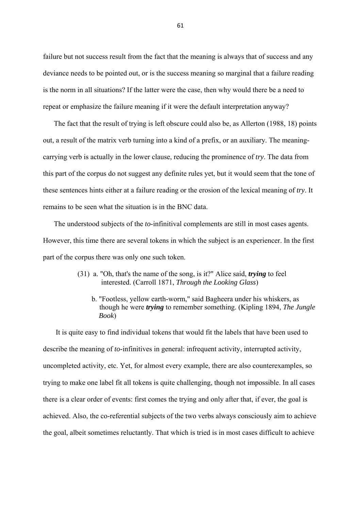failure but not success result from the fact that the meaning is always that of success and any deviance needs to be pointed out, or is the success meaning so marginal that a failure reading is the norm in all situations? If the latter were the case, then why would there be a need to repeat or emphasize the failure meaning if it were the default interpretation anyway?

 The fact that the result of trying is left obscure could also be, as Allerton (1988, 18) points out, a result of the matrix verb turning into a kind of a prefix, or an auxiliary. The meaningcarrying verb is actually in the lower clause, reducing the prominence of *try*. The data from this part of the corpus do not suggest any definite rules yet, but it would seem that the tone of these sentences hints either at a failure reading or the erosion of the lexical meaning of *try*. It remains to be seen what the situation is in the BNC data.

 The understood subjects of the *to*-infinitival complements are still in most cases agents. However, this time there are several tokens in which the subject is an experiencer. In the first part of the corpus there was only one such token.

- (31) a. "Oh, that's the name of the song, is it?" Alice said, *trying* to feel interested. (Carroll 1871, *Through the Looking Glass*)
	- b. "Footless, yellow earth-worm," said Bagheera under his whiskers, as though he were *trying* to remember something. (Kipling 1894, *The Jungle Book*)

 It is quite easy to find individual tokens that would fit the labels that have been used to describe the meaning of *to*-infinitives in general: infrequent activity, interrupted activity, uncompleted activity, etc. Yet, for almost every example, there are also counterexamples, so trying to make one label fit all tokens is quite challenging, though not impossible. In all cases there is a clear order of events: first comes the trying and only after that, if ever, the goal is achieved. Also, the co-referential subjects of the two verbs always consciously aim to achieve the goal, albeit sometimes reluctantly. That which is tried is in most cases difficult to achieve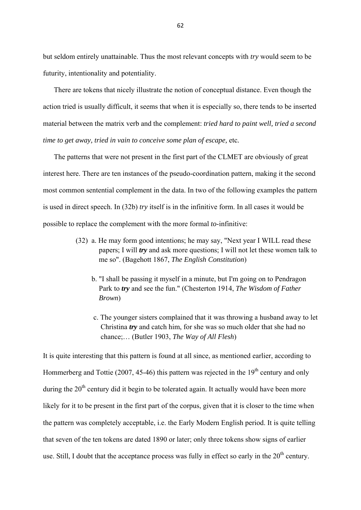but seldom entirely unattainable. Thus the most relevant concepts with *try* would seem to be futurity, intentionality and potentiality.

 There are tokens that nicely illustrate the notion of conceptual distance. Even though the action tried is usually difficult, it seems that when it is especially so, there tends to be inserted material between the matrix verb and the complement: *tried hard to paint well, tried a second time to get away, tried in vain to conceive some plan of escape,* etc*.* 

 The patterns that were not present in the first part of the CLMET are obviously of great interest here. There are ten instances of the pseudo-coordination pattern, making it the second most common sentential complement in the data. In two of the following examples the pattern is used in direct speech. In (32b) *try* itself is in the infinitive form. In all cases it would be possible to replace the complement with the more formal *to*-infinitive:

- (32) a. He may form good intentions; he may say, "Next year I WILL read these papers; I will *try* and ask more questions; I will not let these women talk to me so". (Bagehott 1867, *The English Constitution*)
	- b. "I shall be passing it myself in a minute, but I'm going on to Pendragon Park to *try* and see the fun." (Chesterton 1914, *The Wisdom of Father Brown*)
	- c. The younger sisters complained that it was throwing a husband away to let Christina *try* and catch him, for she was so much older that she had no chance;… (Butler 1903, *The Way of All Flesh*)

It is quite interesting that this pattern is found at all since, as mentioned earlier, according to Hommerberg and Tottie (2007, 45-46) this pattern was rejected in the  $19<sup>th</sup>$  century and only during the  $20<sup>th</sup>$  century did it begin to be tolerated again. It actually would have been more likely for it to be present in the first part of the corpus, given that it is closer to the time when the pattern was completely acceptable, i.e. the Early Modern English period. It is quite telling that seven of the ten tokens are dated 1890 or later; only three tokens show signs of earlier use. Still, I doubt that the acceptance process was fully in effect so early in the  $20<sup>th</sup>$  century.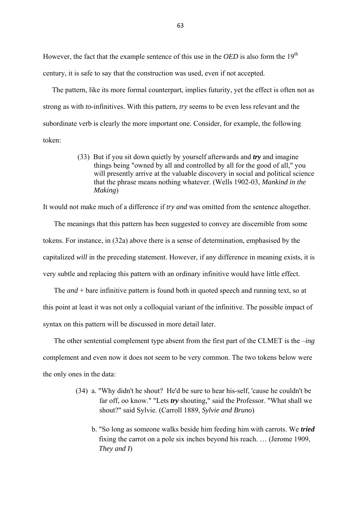However, the fact that the example sentence of this use in the *OED* is also form the 19<sup>th</sup> century, it is safe to say that the construction was used, even if not accepted.

 The pattern, like its more formal counterpart, implies futurity, yet the effect is often not as strong as with *to*-infinitives. With this pattern, *try* seems to be even less relevant and the subordinate verb is clearly the more important one. Consider, for example, the following token:

> (33) But if you sit down quietly by yourself afterwards and *try* and imagine things being "owned by all and controlled by all for the good of all," you will presently arrive at the valuable discovery in social and political science that the phrase means nothing whatever. (Wells 1902-03, *Mankind in the Making*)

It would not make much of a difference if *try and* was omitted from the sentence altogether.

 The meanings that this pattern has been suggested to convey are discernible from some tokens. For instance, in (32a) above there is a sense of determination, emphasised by the capitalized *will* in the preceding statement. However, if any difference in meaning exists, it is very subtle and replacing this pattern with an ordinary infinitive would have little effect.

 The *and* + bare infinitive pattern is found both in quoted speech and running text, so at this point at least it was not only a colloquial variant of the infinitive. The possible impact of syntax on this pattern will be discussed in more detail later.

 The other sentential complement type absent from the first part of the CLMET is the –*ing* complement and even now it does not seem to be very common. The two tokens below were the only ones in the data:

- (34) a. "Why didn't he shout? He'd be sure to hear his-self, 'cause he couldn't be far off, oo know." "Lets *try* shouting," said the Professor. "What shall we shout?" said Sylvie. (Carroll 1889, *Sylvie and Bruno*)
	- b. "So long as someone walks beside him feeding him with carrots. We *tried* fixing the carrot on a pole six inches beyond his reach. … (Jerome 1909, *They and I*)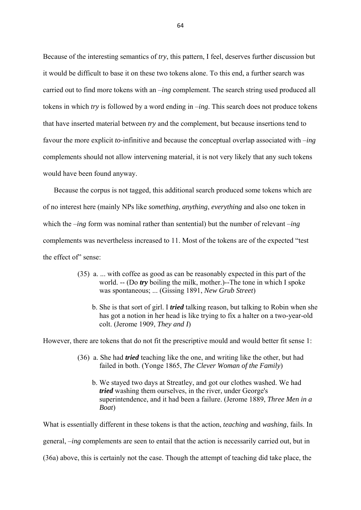Because of the interesting semantics of *try*, this pattern, I feel, deserves further discussion but it would be difficult to base it on these two tokens alone. To this end, a further search was carried out to find more tokens with an –*ing* complement. The search string used produced all tokens in which *try* is followed by a word ending in –*ing*. This search does not produce tokens that have inserted material between *try* and the complement, but because insertions tend to favour the more explicit *to*-infinitive and because the conceptual overlap associated with –*ing* complements should not allow intervening material, it is not very likely that any such tokens would have been found anyway.

 Because the corpus is not tagged, this additional search produced some tokens which are of no interest here (mainly NPs like *something*, *anything*, *everything* and also one token in which the –*ing* form was nominal rather than sentential) but the number of relevant –*ing* complements was nevertheless increased to 11. Most of the tokens are of the expected "test the effect of" sense:

- (35) a. ... with coffee as good as can be reasonably expected in this part of the world. -- (Do *try* boiling the milk, mother.)--The tone in which I spoke was spontaneous; ... (Gissing 1891, *New Grub Street*)
	- b. She is that sort of girl. I *tried* talking reason, but talking to Robin when she has got a notion in her head is like trying to fix a halter on a two-year-old colt. (Jerome 1909, *They and I*)

However, there are tokens that do not fit the prescriptive mould and would better fit sense 1:

- (36) a. She had *tried* teaching like the one, and writing like the other, but had failed in both. (Yonge 1865, *The Clever Woman of the Family*)
	- b. We stayed two days at Streatley, and got our clothes washed. We had *tried* washing them ourselves, in the river, under George's superintendence, and it had been a failure. (Jerome 1889, *Three Men in a Boat*)

What is essentially different in these tokens is that the action, *teaching* and *washing*, fails. In general, –*ing* complements are seen to entail that the action is necessarily carried out, but in (36a) above, this is certainly not the case. Though the attempt of teaching did take place, the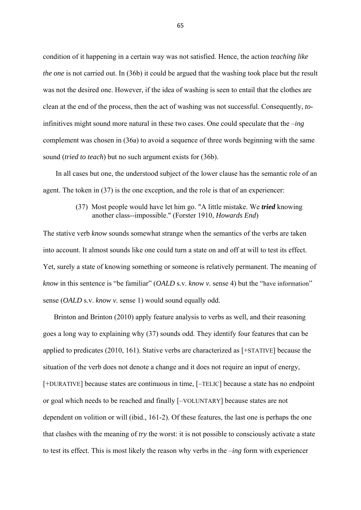condition of it happening in a certain way was not satisfied. Hence, the action *teaching like the one* is not carried out. In (36b) it could be argued that the washing took place but the result was not the desired one. However, if the idea of washing is seen to entail that the clothes are clean at the end of the process, then the act of washing was not successful. Consequently, *to*infinitives might sound more natural in these two cases. One could speculate that the –*ing* complement was chosen in (36a) to avoid a sequence of three words beginning with the same sound (*tried to teach*) but no such argument exists for (36b).

 In all cases but one, the understood subject of the lower clause has the semantic role of an agent. The token in (37) is the one exception, and the role is that of an experiencer:

#### (37) Most people would have let him go. "A little mistake. We *tried* knowing another class--impossible." (Forster 1910, *Howards End*)

The stative verb *know* sounds somewhat strange when the semantics of the verbs are taken into account. It almost sounds like one could turn a state on and off at will to test its effect. Yet, surely a state of knowing something or someone is relatively permanent. The meaning of *know* in this sentence is "be familiar" (*OALD* s.v. *know v.* sense 4) but the "have information" sense (*OALD* s.v. *know v.* sense 1) would sound equally odd.

 Brinton and Brinton (2010) apply feature analysis to verbs as well, and their reasoning goes a long way to explaining why (37) sounds odd. They identify four features that can be applied to predicates (2010, 161). Stative verbs are characterized as [+STATIVE] because the situation of the verb does not denote a change and it does not require an input of energy, [+DURATIVE] because states are continuous in time, [–TELIC] because a state has no endpoint or goal which needs to be reached and finally [–VOLUNTARY] because states are not dependent on volition or will (ibid., 161-2). Of these features, the last one is perhaps the one that clashes with the meaning of *try* the worst: it is not possible to consciously activate a state to test its effect. This is most likely the reason why verbs in the –*ing* form with experiencer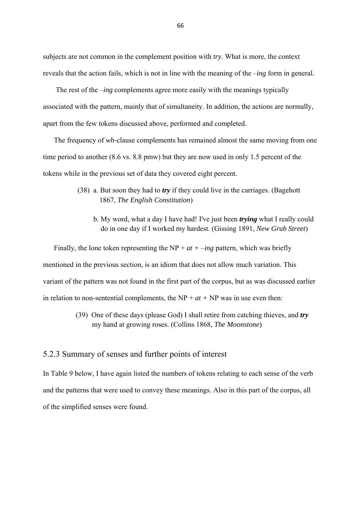subjects are not common in the complement position with *try*. What is more, the context reveals that the action fails, which is not in line with the meaning of the –*ing* form in general.

 The rest of the –*ing* complements agree more easily with the meanings typically associated with the pattern, mainly that of simultaneity. In addition, the actions are normally, apart from the few tokens discussed above, performed and completed.

 The frequency of *wh*-clause complements has remained almost the same moving from one time period to another (8.6 vs. 8.8 pmw) but they are now used in only 1.5 percent of the tokens while in the previous set of data they covered eight percent.

- (38) a. But soon they had to *try* if they could live in the carriages. (Bagehott 1867, *The English Constitution*)
	- b. My word, what a day I have had! I've just been *trying* what I really could do in one day if I worked my hardest. (Gissing 1891, *New Grub Street*)

Finally, the lone token representing the  $NP + at + -ing$  pattern, which was briefly mentioned in the previous section, is an idiom that does not allow much variation. This variant of the pattern was not found in the first part of the corpus, but as was discussed earlier in relation to non-sentential complements, the  $NP + at + NP$  was in use even then:

> (39) One of these days (please God) I shall retire from catching thieves, and *try* my hand at growing roses. (Collins 1868, *The Moonstone*)

## 5.2.3 Summary of senses and further points of interest

In Table 9 below, I have again listed the numbers of tokens relating to each sense of the verb and the patterns that were used to convey these meanings. Also in this part of the corpus, all of the simplified senses were found.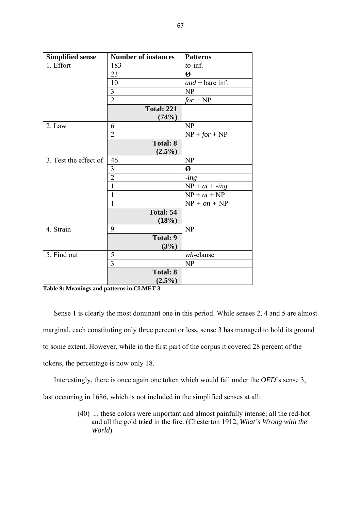| <b>Simplified sense</b> | <b>Number of instances</b> | <b>Patterns</b>   |
|-------------------------|----------------------------|-------------------|
| 1. Effort               | 183                        | $to$ -inf.        |
|                         | 23                         | Ø                 |
|                         | 10                         | $and + bare$ inf. |
|                         | 3                          | NP                |
|                         | $\overline{2}$             | $for + NP$        |
|                         | <b>Total: 221</b>          |                   |
|                         | (74%)                      |                   |
| 2. Law                  | 6                          | NP                |
|                         | $\overline{2}$             | $NP + for + NP$   |
|                         | <b>Total: 8</b>            |                   |
|                         | $(2.5\%)$                  |                   |
| 3. Test the effect of   | 46                         | NP                |
|                         | 3                          | Ø                 |
|                         | $\overline{2}$             | $-$ <i>ing</i>    |
|                         | $\mathbf{1}$               | $NP + at + -ing$  |
|                         | $\mathbf{1}$               | $NP + at + NP$    |
|                         | 1                          | $NP + on + NP$    |
|                         | Total: 54                  |                   |
|                         | (18%)                      |                   |
| 4. Strain               | 9                          | NP                |
|                         | <b>Total: 9</b>            |                   |
|                         | (3%)                       |                   |
| 5. Find out             | 5                          | $wh$ -clause      |
|                         | 3                          | NP                |
|                         | <b>Total: 8</b>            |                   |
|                         | $(2.5\%)$                  |                   |

**Table 9: Meanings and patterns in CLMET 3** 

 Sense 1 is clearly the most dominant one in this period. While senses 2, 4 and 5 are almost marginal, each constituting only three percent or less, sense 3 has managed to hold its ground to some extent. However, while in the first part of the corpus it covered 28 percent of the tokens, the percentage is now only 18.

 Interestingly, there is once again one token which would fall under the *OED*'s sense 3, last occurring in 1686, which is not included in the simplified senses at all:

> (40) ... these colors were important and almost painfully intense; all the red-hot and all the gold *tried* in the fire. (Chesterton 1912, *What's Wrong with the World*)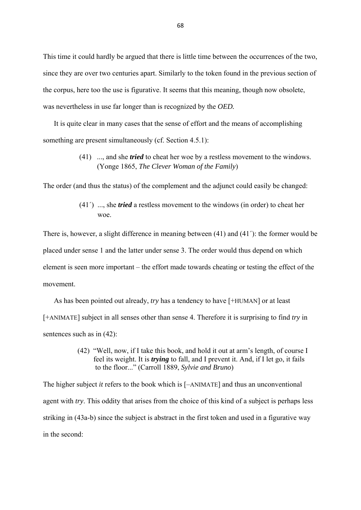This time it could hardly be argued that there is little time between the occurrences of the two, since they are over two centuries apart. Similarly to the token found in the previous section of the corpus, here too the use is figurative. It seems that this meaning, though now obsolete, was nevertheless in use far longer than is recognized by the *OED.* 

 It is quite clear in many cases that the sense of effort and the means of accomplishing something are present simultaneously (cf. Section 4.5.1):

> (41) ..., and she *tried* to cheat her woe by a restless movement to the windows. (Yonge 1865, *The Clever Woman of the Family*)

The order (and thus the status) of the complement and the adjunct could easily be changed:

 (41´) ..., she *tried* a restless movement to the windows (in order) to cheat her woe.

There is, however, a slight difference in meaning between (41) and (41´): the former would be placed under sense 1 and the latter under sense 3. The order would thus depend on which element is seen more important – the effort made towards cheating or testing the effect of the movement.

 As has been pointed out already, *try* has a tendency to have [+HUMAN] or at least [+ANIMATE] subject in all senses other than sense 4. Therefore it is surprising to find *try* in sentences such as in (42):

> (42) "Well, now, if I take this book, and hold it out at arm's length, of course I feel its weight. It is *trying* to fall, and I prevent it. And, if I let go, it fails to the floor..." (Carroll 1889, *Sylvie and Bruno*)

The higher subject *it* refers to the book which is [–ANIMATE] and thus an unconventional agent with *try*. This oddity that arises from the choice of this kind of a subject is perhaps less striking in (43a-b) since the subject is abstract in the first token and used in a figurative way in the second: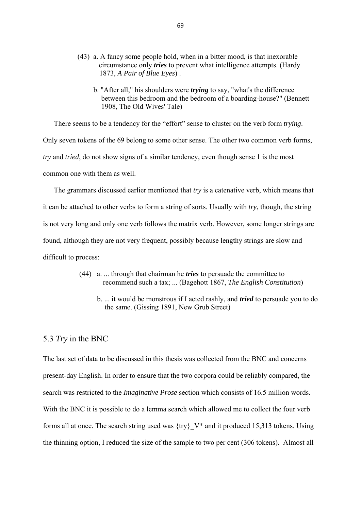- (43) a. A fancy some people hold, when in a bitter mood, is that inexorable circumstance only *tries* to prevent what intelligence attempts. (Hardy 1873, *A Pair of Blue Eyes*) .
	- b. "After all," his shoulders were *trying* to say, "what's the difference between this bedroom and the bedroom of a boarding-house?" (Bennett 1908, The Old Wives' Tale)

There seems to be a tendency for the "effort" sense to cluster on the verb form *trying*.

Only seven tokens of the 69 belong to some other sense. The other two common verb forms, *try* and *tried*, do not show signs of a similar tendency, even though sense 1 is the most common one with them as well.

 The grammars discussed earlier mentioned that *try* is a catenative verb, which means that it can be attached to other verbs to form a string of sorts. Usually with *try*, though, the string is not very long and only one verb follows the matrix verb. However, some longer strings are found, although they are not very frequent, possibly because lengthy strings are slow and difficult to process:

- (44) a. ... through that chairman he *tries* to persuade the committee to recommend such a tax; ... (Bagehott 1867, *The English Constitution*)
	- b. ... it would be monstrous if I acted rashly, and *tried* to persuade you to do the same. (Gissing 1891, New Grub Street)

#### 5.3 *Try* in the BNC

The last set of data to be discussed in this thesis was collected from the BNC and concerns present-day English. In order to ensure that the two corpora could be reliably compared, the search was restricted to the *Imaginative Prose* section which consists of 16.5 million words. With the BNC it is possible to do a lemma search which allowed me to collect the four verb forms all at once. The search string used was  $\{$ try $\}$  V\* and it produced 15,313 tokens. Using the thinning option, I reduced the size of the sample to two per cent (306 tokens). Almost all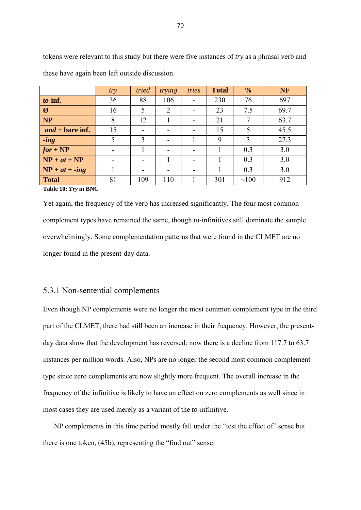|                          | try | tried | trying | tries | <b>Total</b> | $\frac{0}{0}$ | <b>NF</b> |
|--------------------------|-----|-------|--------|-------|--------------|---------------|-----------|
| to-inf.                  | 36  | 88    | 106    |       | 230          | 76            | 697       |
| $\boldsymbol{\emptyset}$ | 16  | 5     | 2      |       | 23           | 7.5           | 69.7      |
| <b>NP</b>                | 8   | 12    |        |       | 21           | 7             | 63.7      |
| $and + bare$ inf.        | 15  |       |        | -     | 15           | 5             | 45.5      |
| $-$ <i>ing</i>           | 5   | 3     |        |       | 9            | 3             | 27.3      |
| $for + NP$               | -   |       |        | -     |              | 0.3           | 3.0       |
| $NP + at + NP$           |     |       |        | -     |              | 0.3           | 3.0       |
| $NP + at + -ing$         |     |       |        |       |              | 0.3           | 3.0       |
| <b>Total</b>             | 81  | 109   | 110    |       | 301          | $\sim 100$    | 912       |

tokens were relevant to this study but there were five instances of *try* as a phrasal verb and these have again been left outside discussion.

**Table 10:** *Try* **in BNC** 

Yet again, the frequency of the verb has increased significantly. The four most common complement types have remained the same, though *to*-infinitives still dominate the sample overwhelmingly. Some complementation patterns that were found in the CLMET are no longer found in the present-day data.

## 5.3.1 Non-sentential complements

Even though NP complements were no longer the most common complement type in the third part of the CLMET, there had still been an increase in their frequency. However, the presentday data show that the development has reversed: now there is a decline from 117.7 to 63.7 instances per million words. Also, NPs are no longer the second most common complement type since zero complements are now slightly more frequent. The overall increase in the frequency of the infinitive is likely to have an effect on zero complements as well since in most cases they are used merely as a variant of the *to*-infinitive.

 NP complements in this time period mostly fall under the "test the effect of" sense but there is one token, (45b), representing the "find out" sense: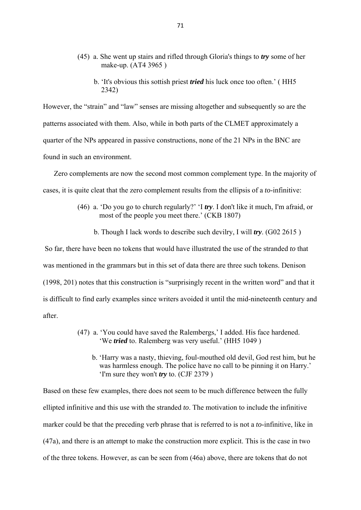- (45) a. She went up stairs and rifled through Gloria's things to *try* some of her make-up. (AT4 3965 )
	- b. 'It's obvious this sottish priest *tried* his luck once too often.' ( HH5 2342)

However, the "strain" and "law" senses are missing altogether and subsequently so are the patterns associated with them. Also, while in both parts of the CLMET approximately a quarter of the NPs appeared in passive constructions, none of the 21 NPs in the BNC are found in such an environment.

 Zero complements are now the second most common complement type. In the majority of cases, it is quite cleat that the zero complement results from the ellipsis of a *to*-infinitive:

- (46) a. 'Do you go to church regularly?' 'I *try*. I don't like it much, I'm afraid, or most of the people you meet there.' (CKB 1807)
	- b. Though I lack words to describe such devilry, I will *try*. (G02 2615 )

 So far, there have been no tokens that would have illustrated the use of the stranded *to* that was mentioned in the grammars but in this set of data there are three such tokens. Denison (1998, 201) notes that this construction is "surprisingly recent in the written word" and that it is difficult to find early examples since writers avoided it until the mid-nineteenth century and after.

- (47) a. 'You could have saved the Ralembergs,' I added. His face hardened. 'We *tried* to. Ralemberg was very useful.' (HH5 1049 )
	- b. 'Harry was a nasty, thieving, foul-mouthed old devil, God rest him, but he was harmless enough. The police have no call to be pinning it on Harry.' 'I'm sure they won't *try* to. (CJF 2379 )

Based on these few examples, there does not seem to be much difference between the fully ellipted infinitive and this use with the stranded *to*. The motivation to include the infinitive marker could be that the preceding verb phrase that is referred to is not a *to*-infinitive, like in (47a), and there is an attempt to make the construction more explicit. This is the case in two of the three tokens. However, as can be seen from (46a) above, there are tokens that do not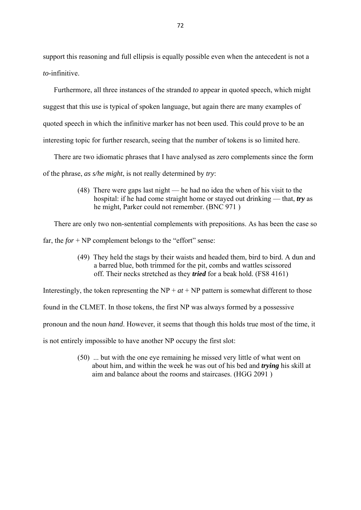support this reasoning and full ellipsis is equally possible even when the antecedent is not a *to*-infinitive.

 Furthermore, all three instances of the stranded *to* appear in quoted speech, which might suggest that this use is typical of spoken language, but again there are many examples of quoted speech in which the infinitive marker has not been used. This could prove to be an interesting topic for further research, seeing that the number of tokens is so limited here.

There are two idiomatic phrases that I have analysed as zero complements since the form

of the phrase, *as s/he might*, is not really determined by *try*:

 (48) There were gaps last night — he had no idea the when of his visit to the hospital: if he had come straight home or stayed out drinking — that, *try* as he might, Parker could not remember. (BNC 971 )

There are only two non-sentential complements with prepositions. As has been the case so

far, the *for* + NP complement belongs to the "effort" sense:

 (49) They held the stags by their waists and headed them, bird to bird. A dun and a barred blue, both trimmed for the pit, combs and wattles scissored off. Their necks stretched as they *tried* for a beak hold. (FS8 4161)

Interestingly, the token representing the  $NP + at + NP$  pattern is somewhat different to those

found in the CLMET. In those tokens, the first NP was always formed by a possessive

pronoun and the noun *hand*. However, it seems that though this holds true most of the time, it

is not entirely impossible to have another NP occupy the first slot:

 (50) ... but with the one eye remaining he missed very little of what went on about him, and within the week he was out of his bed and *trying* his skill at aim and balance about the rooms and staircases. (HGG 2091 )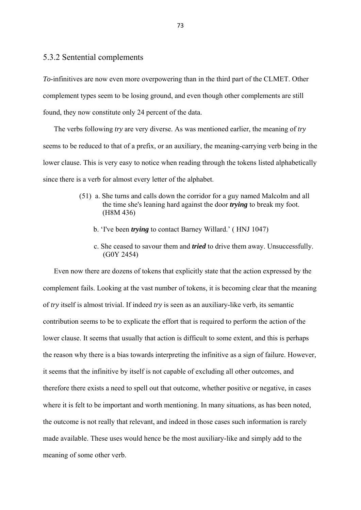## 5.3.2 Sentential complements

*To*-infinitives are now even more overpowering than in the third part of the CLMET. Other complement types seem to be losing ground, and even though other complements are still found, they now constitute only 24 percent of the data.

 The verbs following *try* are very diverse. As was mentioned earlier, the meaning of *try* seems to be reduced to that of a prefix, or an auxiliary, the meaning-carrying verb being in the lower clause. This is very easy to notice when reading through the tokens listed alphabetically since there is a verb for almost every letter of the alphabet.

- (51) a. She turns and calls down the corridor for a guy named Malcolm and all the time she's leaning hard against the door *trying* to break my foot. (H8M 436)
	- b. 'I've been *trying* to contact Barney Willard.' ( HNJ 1047)
	- c. She ceased to savour them and *tried* to drive them away. Unsuccessfully. (G0Y 2454)

 Even now there are dozens of tokens that explicitly state that the action expressed by the complement fails. Looking at the vast number of tokens, it is becoming clear that the meaning of *try* itself is almost trivial. If indeed *try* is seen as an auxiliary-like verb, its semantic contribution seems to be to explicate the effort that is required to perform the action of the lower clause. It seems that usually that action is difficult to some extent, and this is perhaps the reason why there is a bias towards interpreting the infinitive as a sign of failure. However, it seems that the infinitive by itself is not capable of excluding all other outcomes, and therefore there exists a need to spell out that outcome, whether positive or negative, in cases where it is felt to be important and worth mentioning. In many situations, as has been noted, the outcome is not really that relevant, and indeed in those cases such information is rarely made available. These uses would hence be the most auxiliary-like and simply add to the meaning of some other verb.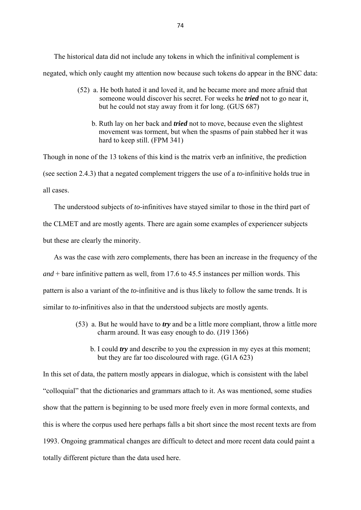The historical data did not include any tokens in which the infinitival complement is negated, which only caught my attention now because such tokens do appear in the BNC data:

- (52) a. He both hated it and loved it, and he became more and more afraid that someone would discover his secret. For weeks he *tried* not to go near it, but he could not stay away from it for long. (GUS 687)
	- b. Ruth lay on her back and *tried* not to move, because even the slightest movement was torment, but when the spasms of pain stabbed her it was hard to keep still. (FPM 341)

Though in none of the 13 tokens of this kind is the matrix verb an infinitive, the prediction (see section 2.4.3) that a negated complement triggers the use of a *to*-infinitive holds true in all cases.

The understood subjects of *to*-infinitives have stayed similar to those in the third part of

the CLMET and are mostly agents. There are again some examples of experiencer subjects

but these are clearly the minority.

 As was the case with zero complements, there has been an increase in the frequency of the *and* + bare infinitive pattern as well, from 17.6 to 45.5 instances per million words. This pattern is also a variant of the *to*-infinitive and is thus likely to follow the same trends. It is similar to *to*-infinitives also in that the understood subjects are mostly agents.

- (53) a. But he would have to *try* and be a little more compliant, throw a little more charm around. It was easy enough to do. (J19 1366)
	- b. I could *try* and describe to you the expression in my eyes at this moment; but they are far too discoloured with rage. (G1A 623)

In this set of data, the pattern mostly appears in dialogue, which is consistent with the label "colloquial" that the dictionaries and grammars attach to it. As was mentioned, some studies show that the pattern is beginning to be used more freely even in more formal contexts, and this is where the corpus used here perhaps falls a bit short since the most recent texts are from 1993. Ongoing grammatical changes are difficult to detect and more recent data could paint a totally different picture than the data used here.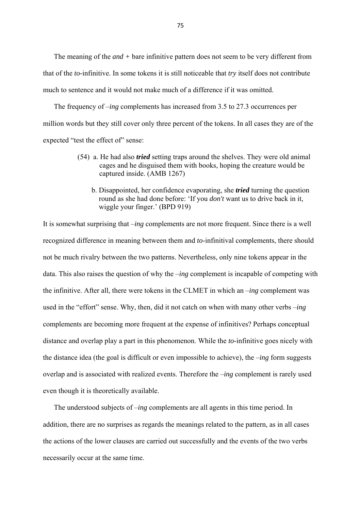The meaning of the *and +* bare infinitive pattern does not seem to be very different from that of the *to-*infinitive. In some tokens it is still noticeable that *try* itself does not contribute much to sentence and it would not make much of a difference if it was omitted.

 The frequency of –*ing* complements has increased from 3.5 to 27.3 occurrences per million words but they still cover only three percent of the tokens. In all cases they are of the expected "test the effect of" sense:

- (54) a. He had also *tried* setting traps around the shelves. They were old animal cages and he disguised them with books, hoping the creature would be captured inside. (AMB 1267)
	- b. Disappointed, her confidence evaporating, she *tried* turning the question round as she had done before: 'If you *don't* want us to drive back in it, wiggle your finger.' (BPD 919)

It is somewhat surprising that –*ing* complements are not more frequent. Since there is a well recognized difference in meaning between them and *to*-infinitival complements, there should not be much rivalry between the two patterns. Nevertheless, only nine tokens appear in the data. This also raises the question of why the –*ing* complement is incapable of competing with the infinitive. After all, there were tokens in the CLMET in which an –*ing* complement was used in the "effort" sense. Why, then, did it not catch on when with many other verbs –*ing* complements are becoming more frequent at the expense of infinitives? Perhaps conceptual distance and overlap play a part in this phenomenon. While the *to*-infinitive goes nicely with the distance idea (the goal is difficult or even impossible to achieve), the –*ing* form suggests overlap and is associated with realized events. Therefore the –*ing* complement is rarely used even though it is theoretically available.

 The understood subjects of –*ing* complements are all agents in this time period. In addition, there are no surprises as regards the meanings related to the pattern, as in all cases the actions of the lower clauses are carried out successfully and the events of the two verbs necessarily occur at the same time.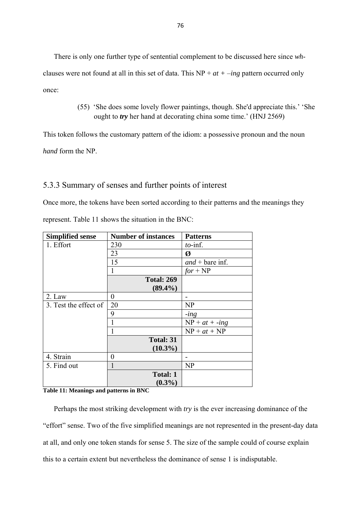There is only one further type of sentential complement to be discussed here since *wh*clauses were not found at all in this set of data. This NP + *at +* –*ing* pattern occurred only once:

> (55) 'She does some lovely flower paintings, though. She'd appreciate this.' 'She ought to *try* her hand at decorating china some time.' (HNJ 2569)

This token follows the customary pattern of the idiom: a possessive pronoun and the noun *hand* form the NP.

## 5.3.3 Summary of senses and further points of interest

Once more, the tokens have been sorted according to their patterns and the meanings they represent. Table 11 shows the situation in the BNC:

| <b>Simplified sense</b> | <b>Number of instances</b> | <b>Patterns</b>   |
|-------------------------|----------------------------|-------------------|
| 1. Effort               | 230                        | $to$ -inf.        |
|                         | 23                         | Ø                 |
|                         | 15                         | $and + bare$ inf. |
|                         | 1                          | $for + NP$        |
|                         | <b>Total: 269</b>          |                   |
|                         | $(89.4\%)$                 |                   |
| 2. Law                  | $\overline{0}$             |                   |
| 3. Test the effect of   | 20                         | NP                |
|                         | 9                          | $-$ <i>ing</i>    |
|                         |                            | $NP + at + -ing$  |
|                         |                            | $NP + at + NP$    |
|                         | <b>Total: 31</b>           |                   |
|                         | $(10.3\%)$                 |                   |
| 4. Strain               | $\theta$                   |                   |
| 5. Find out             | 1                          | <b>NP</b>         |
|                         | <b>Total: 1</b>            |                   |
|                         | $(0.3\%)$                  |                   |

#### **Table 11: Meanings and patterns in BNC**

 Perhaps the most striking development with *try* is the ever increasing dominance of the "effort" sense. Two of the five simplified meanings are not represented in the present-day data at all, and only one token stands for sense 5. The size of the sample could of course explain this to a certain extent but nevertheless the dominance of sense 1 is indisputable.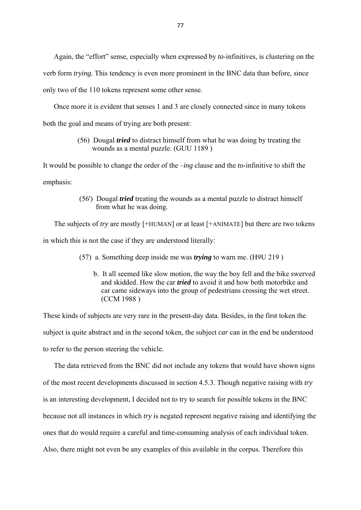Again, the "effort" sense, especially when expressed by *to*-infinitives, is clustering on the verb form *trying.* This tendency is even more prominent in the BNC data than before, since

only two of the 110 tokens represent some other sense.

Once more it is evident that senses 1 and 3 are closely connected since in many tokens

both the goal and means of trying are both present:

### (56) Dougal *tried* to distract himself from what he was doing by treating the wounds as a mental puzzle. (GUU 1189 )

It would be possible to change the order of the –*ing* clause and the *to*-infinitive to shift the emphasis:

### (56') Dougal *tried* treating the wounds as a mental puzzle to distract himself from what he was doing.

 The subjects of *try* are mostly [+HUMAN] or at least [+ANIMATE] but there are two tokens in which this is not the case if they are understood literally:

- (57) a. Something deep inside me was *trying* to warn me. (H9U 219 )
	- b. It all seemed like slow motion, the way the boy fell and the bike swerved and skidded. How the car *tried* to avoid it and how both motorbike and car came sideways into the group of pedestrians crossing the wet street. (CCM 1988 )

These kinds of subjects are very rare in the present-day data. Besides, in the first token the subject is quite abstract and in the second token, the subject *car* can in the end be understood to refer to the person steering the vehicle.

 The data retrieved from the BNC did not include any tokens that would have shown signs of the most recent developments discussed in section 4.5.3. Though negative raising with *try* is an interesting development, I decided not to try to search for possible tokens in the BNC because not all instances in which *try* is negated represent negative raising and identifying the ones that do would require a careful and time-consuming analysis of each individual token. Also, there might not even be any examples of this available in the corpus. Therefore this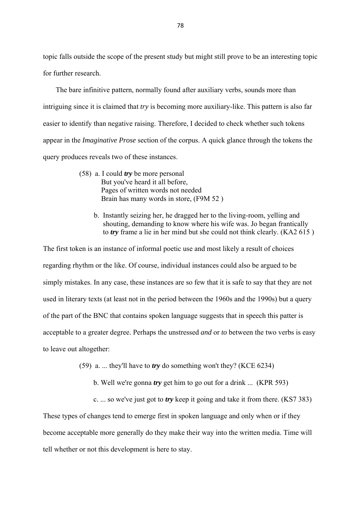topic falls outside the scope of the present study but might still prove to be an interesting topic for further research.

 The bare infinitive pattern, normally found after auxiliary verbs, sounds more than intriguing since it is claimed that *try* is becoming more auxiliary-like. This pattern is also far easier to identify than negative raising. Therefore, I decided to check whether such tokens appear in the *Imaginative Prose* section of the corpus. A quick glance through the tokens the query produces reveals two of these instances.

- (58) a. I could *try* be more personal But you've heard it all before, Pages of written words not needed Brain has many words in store, (F9M 52 )
	- b. Instantly seizing her, he dragged her to the living-room, yelling and shouting, demanding to know where his wife was. Jo began frantically to *try* frame a lie in her mind but she could not think clearly. (KA2 615 )

The first token is an instance of informal poetic use and most likely a result of choices regarding rhythm or the like. Of course, individual instances could also be argued to be simply mistakes. In any case, these instances are so few that it is safe to say that they are not used in literary texts (at least not in the period between the 1960s and the 1990s) but a query of the part of the BNC that contains spoken language suggests that in speech this patter is acceptable to a greater degree. Perhaps the unstressed *and* or *to* between the two verbs is easy to leave out altogether:

- (59) a. ... they'll have to *try* do something won't they? (KCE 6234)
	- b. Well we're gonna *try* get him to go out for a drink ... (KPR 593)
	- c. ... so we've just got to *try* keep it going and take it from there. (KS7 383)

These types of changes tend to emerge first in spoken language and only when or if they become acceptable more generally do they make their way into the written media. Time will tell whether or not this development is here to stay.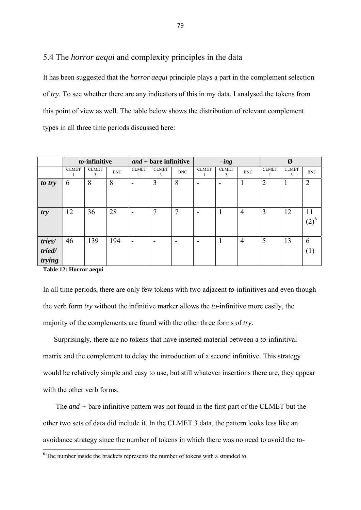## 5.4 The *horror aequi* and complexity principles in the data

It has been suggested that the *horror aequi* principle plays a part in the complement selection of *try*. To see whether there are any indicators of this in my data, I analysed the tokens from this point of view as well. The table below shows the distribution of relevant complement types in all three time periods discussed here:

|                            | to-infinitive |                   | $and + bare$ infinitive |              | $-$ <i>ing</i>    |            | Ø            |                   |                |                |                   |                |
|----------------------------|---------------|-------------------|-------------------------|--------------|-------------------|------------|--------------|-------------------|----------------|----------------|-------------------|----------------|
|                            | <b>CLMET</b>  | <b>CLMET</b><br>3 | <b>BNC</b>              | <b>CLMET</b> | <b>CLMET</b><br>3 | <b>BNC</b> | <b>CLMET</b> | <b>CLMET</b><br>3 | <b>BNC</b>     | <b>CLMET</b>   | <b>CLMET</b><br>3 | <b>BNC</b>     |
| to try                     | 6             | 8                 | 8                       | -            | $\overline{3}$    | 8          |              |                   |                | $\overline{2}$ |                   | $\overline{2}$ |
| try                        | 12            | 36                | 28                      | -            | 7                 | 7          | -            | 1                 | $\overline{4}$ | 3              | 12                | 11<br>$(2)^6$  |
| tries/<br>tried/<br>trying | 46            | 139               | 194                     |              |                   | -          |              | 1                 | $\overline{4}$ | 5              | 13                | 6<br>( 1 )     |

**Table 12: Horror aequi** 

In all time periods, there are only few tokens with two adjacent *to*-infinitives and even though the verb form *try* without the infinitive marker allows the *to-*infinitive more easily, the majority of the complements are found with the other three forms of *try*.

 Surprisingly, there are no tokens that have inserted material between a *to*-infinitival matrix and the complement to delay the introduction of a second infinitive. This strategy would be relatively simple and easy to use, but still whatever insertions there are, they appear with the other verb forms.

 The *and +* bare infinitive pattern was not found in the first part of the CLMET but the other two sets of data did include it. In the CLMET 3 data, the pattern looks less like an avoidance strategy since the number of tokens in which there was no need to avoid the *to-*

<sup>6</sup> The number inside the brackets represents the number of tokens with a stranded *to*.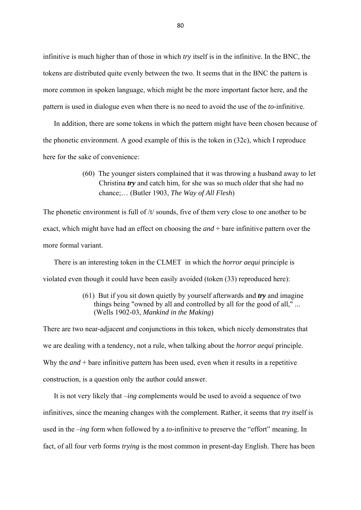infinitive is much higher than of those in which *try* itself is in the infinitive. In the BNC, the tokens are distributed quite evenly between the two. It seems that in the BNC the pattern is more common in spoken language, which might be the more important factor here, and the pattern is used in dialogue even when there is no need to avoid the use of the *to*-infinitive.

 In addition, there are some tokens in which the pattern might have been chosen because of the phonetic environment. A good example of this is the token in (32c), which I reproduce here for the sake of convenience:

> (60) The younger sisters complained that it was throwing a husband away to let Christina *try* and catch him, for she was so much older that she had no chance;… (Butler 1903, *The Way of All Flesh*)

The phonetic environment is full of /t/ sounds, five of them very close to one another to be exact, which might have had an effect on choosing the *and* + bare infinitive pattern over the more formal variant.

 There is an interesting token in the CLMET in which the *horror aequi* principle is violated even though it could have been easily avoided (token (33) reproduced here):

## (61) But if you sit down quietly by yourself afterwards and *try* and imagine things being "owned by all and controlled by all for the good of all," ... (Wells 1902-03, *Mankind in the Making*)

There are two near-adjacent *and* conjunctions in this token, which nicely demonstrates that we are dealing with a tendency, not a rule, when talking about the *horror aequi* principle. Why the *and* + bare infinitive pattern has been used, even when it results in a repetitive construction, is a question only the author could answer.

 It is not very likely that –*ing* complements would be used to avoid a sequence of two infinitives, since the meaning changes with the complement. Rather, it seems that *try* itself is used in the –*ing* form when followed by a *to*-infinitive to preserve the "effort" meaning. In fact, of all four verb forms *trying* is the most common in present-day English. There has been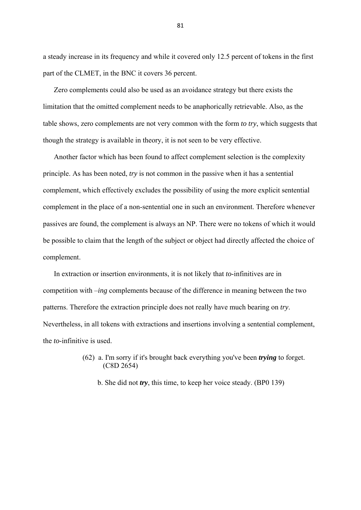a steady increase in its frequency and while it covered only 12.5 percent of tokens in the first part of the CLMET, in the BNC it covers 36 percent.

 Zero complements could also be used as an avoidance strategy but there exists the limitation that the omitted complement needs to be anaphorically retrievable. Also, as the table shows, zero complements are not very common with the form *to try*, which suggests that though the strategy is available in theory, it is not seen to be very effective.

 Another factor which has been found to affect complement selection is the complexity principle. As has been noted, *try* is not common in the passive when it has a sentential complement, which effectively excludes the possibility of using the more explicit sentential complement in the place of a non-sentential one in such an environment. Therefore whenever passives are found, the complement is always an NP. There were no tokens of which it would be possible to claim that the length of the subject or object had directly affected the choice of complement.

 In extraction or insertion environments, it is not likely that *to*-infinitives are in competition with –*ing* complements because of the difference in meaning between the two patterns. Therefore the extraction principle does not really have much bearing on *try*. Nevertheless, in all tokens with extractions and insertions involving a sentential complement, the *to*-infinitive is used.

# (62) a. I'm sorry if it's brought back everything you've been *trying* to forget. (C8D 2654)

b. She did not *try*, this time, to keep her voice steady. (BP0 139)

81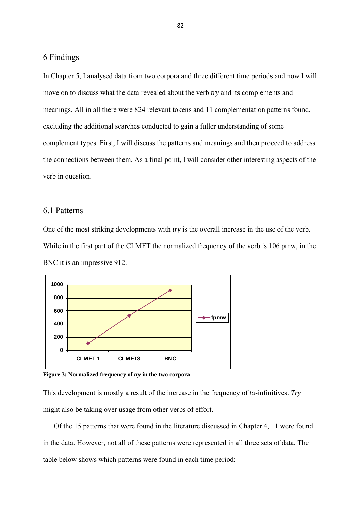#### 6 Findings

In Chapter 5, I analysed data from two corpora and three different time periods and now I will move on to discuss what the data revealed about the verb *try* and its complements and meanings. All in all there were 824 relevant tokens and 11 complementation patterns found, excluding the additional searches conducted to gain a fuller understanding of some complement types. First, I will discuss the patterns and meanings and then proceed to address the connections between them. As a final point, I will consider other interesting aspects of the verb in question.

### 6.1 Patterns

One of the most striking developments with *try* is the overall increase in the use of the verb. While in the first part of the CLMET the normalized frequency of the verb is 106 pmw, in the BNC it is an impressive 912.



**Figure 3: Normalized frequency of** *try* **in the two corpora** 

This development is mostly a result of the increase in the frequency of *to*-infinitives. *Try* might also be taking over usage from other verbs of effort.

 Of the 15 patterns that were found in the literature discussed in Chapter 4, 11 were found in the data. However, not all of these patterns were represented in all three sets of data. The table below shows which patterns were found in each time period: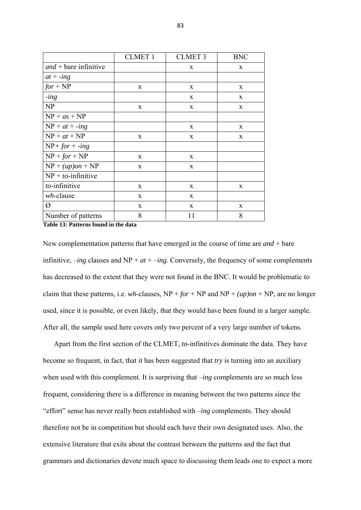|                         | <b>CLMET 1</b> | <b>CLMET 3</b> | <b>BNC</b>   |
|-------------------------|----------------|----------------|--------------|
| $and +$ bare infinitive |                | X              | $\mathbf{x}$ |
| $at + -ing$             |                |                |              |
| $for + NP$              | X              | X              | X            |
| $-$ <i>ing</i>          |                | X              | X            |
| NP                      | X              | X              | X            |
| $NP + as + NP$          |                |                |              |
| $NP + at + -ing$        |                | X              | X            |
| $NP + at + NP$          | $\mathbf{x}$   | X              | X            |
| $NP + for + -ing$       |                |                |              |
| $NP + for + NP$         | $\mathbf{x}$   | X              |              |
| $NP + (up)on + NP$      | $\mathbf{x}$   | X              |              |
| $NP + to$ -infinitive   |                |                |              |
| to-infinitive           | $\mathbf X$    | X              | X            |
| $wh$ -clause            | X              | X              |              |
| Ø                       | $\mathbf{x}$   | $\mathbf{X}$   | $\mathbf{x}$ |
| Number of patterns      | 8              | 11             | 8            |

**Table 13: Patterns found in the data** 

New complementation patterns that have emerged in the course of time are *and* + bare infinitive,  $-ing$  clauses and NP +  $at + -ing$ . Conversely, the frequency of some complements has decreased to the extent that they were not found in the BNC. It would be problematic to claim that these patterns, i.e. *wh*-clauses,  $NP + for + NP$  and  $NP + (up)on + NP$ , are no longer used, since it is possible, or even likely, that they would have been found in a larger sample. After all, the sample used here covers only two percent of a very large number of tokens.

 Apart from the first section of the CLMET, *to*-infinitives dominate the data. They have become so frequent, in fact, that it has been suggested that *try* is turning into an auxiliary when used with this complement. It is surprising that –*ing* complements are so much less frequent, considering there is a difference in meaning between the two patterns since the "effort" sense has never really been established with –*ing* complements. They should therefore not be in competition but should each have their own designated uses. Also, the extensive literature that exits about the contrast between the patterns and the fact that grammars and dictionaries devote much space to discussing them leads one to expect a more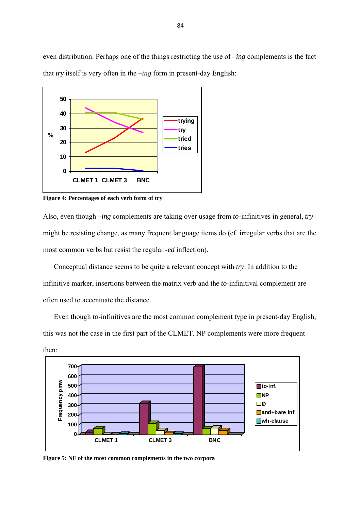even distribution. Perhaps one of the things restricting the use of –*ing* complements is the fact that *try* itself is very often in the –*ing* form in present-day English:



**Figure 4: Percentages of each verb form of try** 

Also, even though –*ing* complements are taking over usage from *to-*infinitives in general, *try* might be resisting change, as many frequent language items do (cf. irregular verbs that are the most common verbs but resist the regular -*ed* inflection).

 Conceptual distance seems to be quite a relevant concept with *try*. In addition to the infinitive marker, insertions between the matrix verb and the *to*-infinitival complement are often used to accentuate the distance.

 Even though *to*-infinitives are the most common complement type in present-day English, this was not the case in the first part of the CLMET. NP complements were more frequent then:



**Figure 5: NF of the most common complements in the two corpora**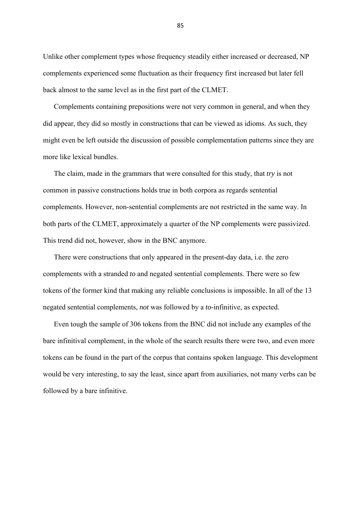Unlike other complement types whose frequency steadily either increased or decreased, NP complements experienced some fluctuation as their frequency first increased but later fell back almost to the same level as in the first part of the CLMET.

 Complements containing prepositions were not very common in general, and when they did appear, they did so mostly in constructions that can be viewed as idioms. As such, they might even be left outside the discussion of possible complementation patterns since they are more like lexical bundles.

 The claim, made in the grammars that were consulted for this study, that *try* is not common in passive constructions holds true in both corpora as regards sentential complements. However, non-sentential complements are not restricted in the same way. In both parts of the CLMET, approximately a quarter of the NP complements were passivized. This trend did not, however, show in the BNC anymore.

 There were constructions that only appeared in the present-day data, i.e. the zero complements with a stranded *to* and negated sentential complements. There were so few tokens of the former kind that making any reliable conclusions is impossible. In all of the 13 negated sentential complements, *not* was followed by a *to*-infinitive, as expected.

 Even tough the sample of 306 tokens from the BNC did not include any examples of the bare infinitival complement, in the whole of the search results there were two, and even more tokens can be found in the part of the corpus that contains spoken language. This development would be very interesting, to say the least, since apart from auxiliaries, not many verbs can be followed by a bare infinitive.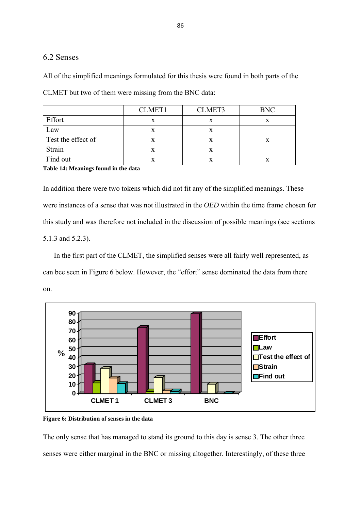## 6.2 Senses

All of the simplified meanings formulated for this thesis were found in both parts of the

|                                      | <b>CLMET1</b> | CLMET3 | <b>BNC</b> |  |  |
|--------------------------------------|---------------|--------|------------|--|--|
| Effort                               | X             |        | x          |  |  |
| Law                                  | x             |        |            |  |  |
| Test the effect of                   |               |        |            |  |  |
| Strain                               | X             | x      |            |  |  |
| Find out                             | x             |        | x          |  |  |
| Table 14: Meanings found in the Jots |               |        |            |  |  |

CLMET but two of them were missing from the BNC data:

**Table 14: Meanings found in the data** 

In addition there were two tokens which did not fit any of the simplified meanings. These were instances of a sense that was not illustrated in the *OED* within the time frame chosen for this study and was therefore not included in the discussion of possible meanings (see sections 5.1.3 and 5.2.3).

 In the first part of the CLMET, the simplified senses were all fairly well represented, as can bee seen in Figure 6 below. However, the "effort" sense dominated the data from there on.



**Figure 6: Distribution of senses in the data** 

The only sense that has managed to stand its ground to this day is sense 3. The other three senses were either marginal in the BNC or missing altogether. Interestingly, of these three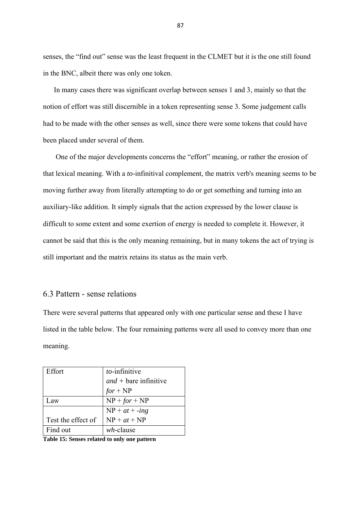senses, the "find out" sense was the least frequent in the CLMET but it is the one still found in the BNC, albeit there was only one token.

 In many cases there was significant overlap between senses 1 and 3, mainly so that the notion of effort was still discernible in a token representing sense 3. Some judgement calls had to be made with the other senses as well, since there were some tokens that could have been placed under several of them.

 One of the major developments concerns the "effort" meaning, or rather the erosion of that lexical meaning. With a *to*-infinitival complement, the matrix verb's meaning seems to be moving further away from literally attempting to do or get something and turning into an auxiliary-like addition. It simply signals that the action expressed by the lower clause is difficult to some extent and some exertion of energy is needed to complete it. However, it cannot be said that this is the only meaning remaining, but in many tokens the act of trying is still important and the matrix retains its status as the main verb.

#### 6.3 Pattern - sense relations

There were several patterns that appeared only with one particular sense and these I have listed in the table below. The four remaining patterns were all used to convey more than one meaning.

| Effort             | to-infinitive           |
|--------------------|-------------------------|
|                    | $and +$ bare infinitive |
|                    | $for + NP$              |
| $A$ W              | $NP + for + NP$         |
|                    | $NP + at + -ing$        |
| Test the effect of | $NP + at + NP$          |
| Find out           | wh-clause               |

**Table 15: Senses related to only one pattern**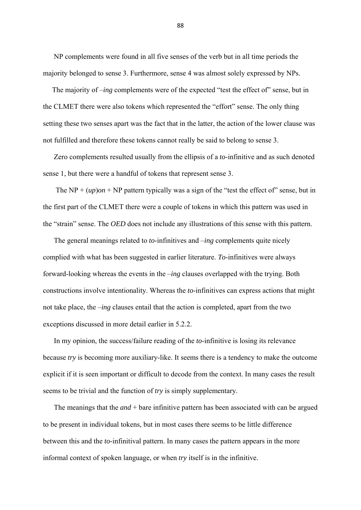NP complements were found in all five senses of the verb but in all time periods the majority belonged to sense 3. Furthermore, sense 4 was almost solely expressed by NPs.

The majority of *–ing* complements were of the expected "test the effect of" sense, but in the CLMET there were also tokens which represented the "effort" sense. The only thing setting these two senses apart was the fact that in the latter, the action of the lower clause was not fulfilled and therefore these tokens cannot really be said to belong to sense 3.

 Zero complements resulted usually from the ellipsis of a *to*-infinitive and as such denoted sense 1, but there were a handful of tokens that represent sense 3.

The NP +  $(up)$ *on* + NP pattern typically was a sign of the "test the effect of" sense, but in the first part of the CLMET there were a couple of tokens in which this pattern was used in the "strain" sense. The *OED* does not include any illustrations of this sense with this pattern.

 The general meanings related to *to*-infinitives and –*ing* complements quite nicely complied with what has been suggested in earlier literature. *To*-infinitives were always forward-looking whereas the events in the –*ing* clauses overlapped with the trying. Both constructions involve intentionality. Whereas the *to*-infinitives can express actions that might not take place, the –*ing* clauses entail that the action is completed, apart from the two exceptions discussed in more detail earlier in 5.2.2.

 In my opinion, the success/failure reading of the *to*-infinitive is losing its relevance because *try* is becoming more auxiliary-like. It seems there is a tendency to make the outcome explicit if it is seen important or difficult to decode from the context. In many cases the result seems to be trivial and the function of *try* is simply supplementary.

 The meanings that the *and* + bare infinitive pattern has been associated with can be argued to be present in individual tokens, but in most cases there seems to be little difference between this and the *to*-infinitival pattern. In many cases the pattern appears in the more informal context of spoken language, or when *try* itself is in the infinitive.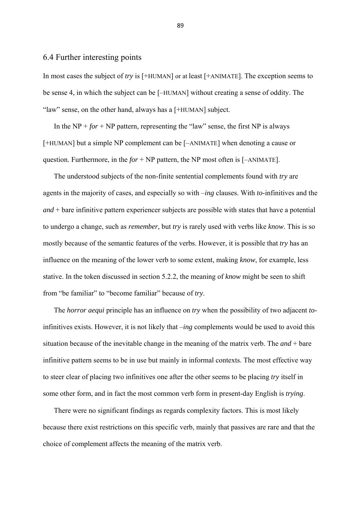## 6.4 Further interesting points

In most cases the subject of *try* is [+HUMAN] or at least [+ANIMATE]. The exception seems to be sense 4, in which the subject can be [–HUMAN] without creating a sense of oddity. The "law" sense, on the other hand, always has a [+HUMAN] subject.

In the  $NP + for + NP$  pattern, representing the "law" sense, the first NP is always [+HUMAN] but a simple NP complement can be [–ANIMATE] when denoting a cause or question. Furthermore, in the  $for + NP$  pattern, the NP most often is  $[-ANIMATE]$ .

 The understood subjects of the non-finite sentential complements found with *try* are agents in the majority of cases, and especially so with –*ing* clauses. With *to*-infinitives and the *and* + bare infinitive pattern experiencer subjects are possible with states that have a potential to undergo a change, such as *remember*, but *try* is rarely used with verbs like *know*. This is so mostly because of the semantic features of the verbs. However, it is possible that *try* has an influence on the meaning of the lower verb to some extent, making *know*, for example, less stative. In the token discussed in section 5.2.2, the meaning of *know* might be seen to shift from "be familiar" to "become familiar" because of *try*.

 The *horror aequi* principle has an influence on *try* when the possibility of two adjacent *to*infinitives exists. However, it is not likely that –*ing* complements would be used to avoid this situation because of the inevitable change in the meaning of the matrix verb. The *and* + bare infinitive pattern seems to be in use but mainly in informal contexts. The most effective way to steer clear of placing two infinitives one after the other seems to be placing *try* itself in some other form, and in fact the most common verb form in present-day English is *trying*.

 There were no significant findings as regards complexity factors. This is most likely because there exist restrictions on this specific verb, mainly that passives are rare and that the choice of complement affects the meaning of the matrix verb.

89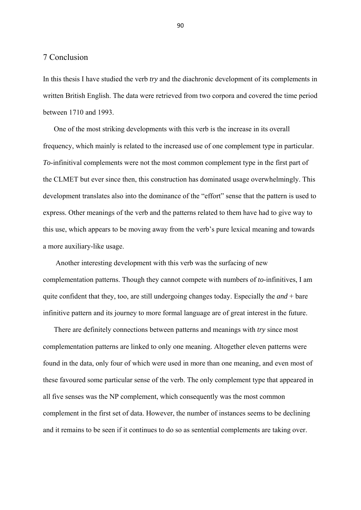### 7 Conclusion

In this thesis I have studied the verb *try* and the diachronic development of its complements in written British English. The data were retrieved from two corpora and covered the time period between 1710 and 1993.

 One of the most striking developments with this verb is the increase in its overall frequency, which mainly is related to the increased use of one complement type in particular. *To*-infinitival complements were not the most common complement type in the first part of the CLMET but ever since then, this construction has dominated usage overwhelmingly. This development translates also into the dominance of the "effort" sense that the pattern is used to express. Other meanings of the verb and the patterns related to them have had to give way to this use, which appears to be moving away from the verb's pure lexical meaning and towards a more auxiliary-like usage.

 Another interesting development with this verb was the surfacing of new complementation patterns. Though they cannot compete with numbers of *to*-infinitives, I am quite confident that they, too, are still undergoing changes today. Especially the *and* + bare infinitive pattern and its journey to more formal language are of great interest in the future.

 There are definitely connections between patterns and meanings with *try* since most complementation patterns are linked to only one meaning. Altogether eleven patterns were found in the data, only four of which were used in more than one meaning, and even most of these favoured some particular sense of the verb. The only complement type that appeared in all five senses was the NP complement, which consequently was the most common complement in the first set of data. However, the number of instances seems to be declining and it remains to be seen if it continues to do so as sentential complements are taking over.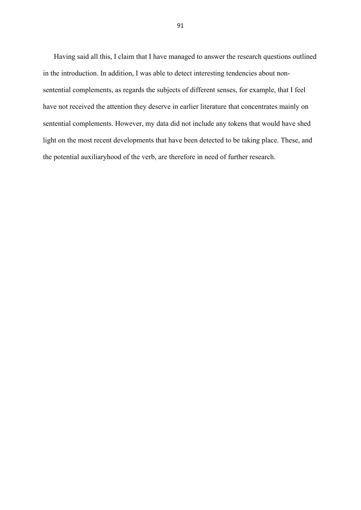Having said all this, I claim that I have managed to answer the research questions outlined in the introduction. In addition, I was able to detect interesting tendencies about nonsentential complements, as regards the subjects of different senses, for example, that I feel have not received the attention they deserve in earlier literature that concentrates mainly on sentential complements. However, my data did not include any tokens that would have shed light on the most recent developments that have been detected to be taking place. These, and the potential auxiliaryhood of the verb, are therefore in need of further research.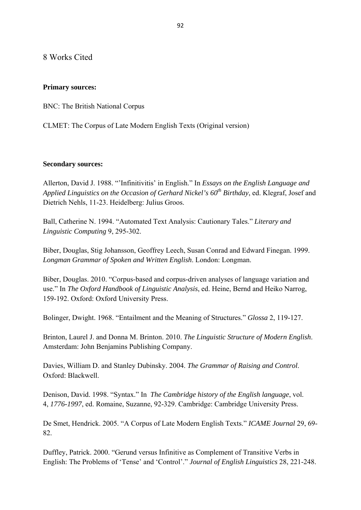8 Works Cited

## **Primary sources:**

BNC: The British National Corpus

CLMET: The Corpus of Late Modern English Texts (Original version)

### **Secondary sources:**

Allerton, David J. 1988. "'Infinitivitis' in English." In *Essays on the English Language and Applied Linguistics on the Occasion of Gerhard Nickel's 60<sup>th</sup> Birthday*, ed. Klegraf, Josef and Dietrich Nehls, 11-23. Heidelberg: Julius Groos.

Ball, Catherine N. 1994. "Automated Text Analysis: Cautionary Tales." *Literary and Linguistic Computing* 9, 295-302.

Biber, Douglas, Stig Johansson, Geoffrey Leech, Susan Conrad and Edward Finegan. 1999. *Longman Grammar of Spoken and Written English*. London: Longman.

Biber, Douglas. 2010. "Corpus-based and corpus-driven analyses of language variation and use." In *The Oxford Handbook of Linguistic Analysis*, ed. Heine, Bernd and Heiko Narrog, 159-192. Oxford: Oxford University Press.

Bolinger, Dwight. 1968. "Entailment and the Meaning of Structures." *Glossa* 2, 119-127.

Brinton, Laurel J. and Donna M. Brinton. 2010. *The Linguistic Structure of Modern English*. Amsterdam: John Benjamins Publishing Company.

Davies, William D. and Stanley Dubinsky. 2004. *The Grammar of Raising and Control*. Oxford: Blackwell.

Denison, David. 1998. "Syntax." In *The Cambridge history of the English language*, vol. 4, *1776-1997*, ed. Romaine, Suzanne, 92-329. Cambridge: Cambridge University Press.

De Smet, Hendrick. 2005. "A Corpus of Late Modern English Texts." *ICAME Journal* 29, 69- 82.

Duffley, Patrick. 2000. "Gerund versus Infinitive as Complement of Transitive Verbs in English: The Problems of 'Tense' and 'Control'." *Journal of English Linguistics* 28, 221-248.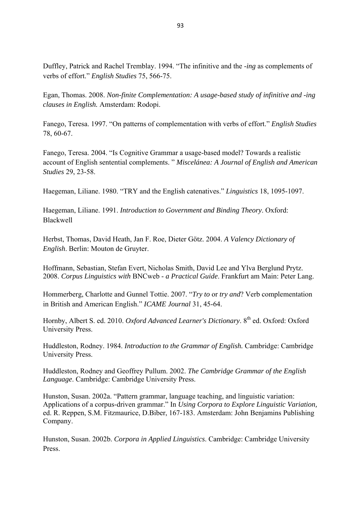Duffley, Patrick and Rachel Tremblay. 1994. "The infinitive and the -*ing* as complements of verbs of effort." *English Studies* 75, 566-75.

Egan, Thomas. 2008. *Non-finite Complementation: A usage-based study of infinitive and -ing clauses in English.* Amsterdam: Rodopi.

Fanego, Teresa. 1997. "On patterns of complementation with verbs of effort." *English Studies* 78, 60-67.

Fanego, Teresa. 2004. "Is Cognitive Grammar a usage-based model? Towards a realistic account of English sentential complements. " *Miscelánea: A Journal of English and American Studies* 29, 23-58.

Haegeman, Liliane. 1980. "TRY and the English catenatives." *Linguistics* 18, 1095-1097.

Haegeman, Liliane. 1991. *Introduction to Government and Binding Theory*. Oxford: Blackwell

Herbst, Thomas, David Heath, Jan F. Roe, Dieter Götz. 2004. *A Valency Dictionary of English*. Berlin: Mouton de Gruyter.

Hoffmann, Sebastian, Stefan Evert, Nicholas Smith, David Lee and Ylva Berglund Prytz. 2008. *Corpus Linguistics with* BNCweb - *a Practical Guide*. Frankfurt am Main: Peter Lang.

Hommerberg, Charlotte and Gunnel Tottie. 2007. "*Try to* or *try and*? Verb complementation in British and American English." *ICAME Journal* 31, 45-64.

Hornby, Albert S. ed. 2010. Oxford Advanced Learner's Dictionary. 8<sup>th</sup> ed. Oxford: Oxford University Press.

Huddleston, Rodney. 1984. *Introduction to the Grammar of English.* Cambridge: Cambridge University Press.

Huddleston, Rodney and Geoffrey Pullum. 2002. *The Cambridge Grammar of the English Language*. Cambridge: Cambridge University Press.

Hunston, Susan. 2002a. "Pattern grammar, language teaching, and linguistic variation: Applications of a corpus-driven grammar." In *Using Corpora to Explore Linguistic Variation,*  ed. R. Reppen, S.M. Fitzmaurice, D.Biber, 167-183. Amsterdam: John Benjamins Publishing Company.

Hunston, Susan. 2002b. *Corpora in Applied Linguistics*. Cambridge: Cambridge University Press.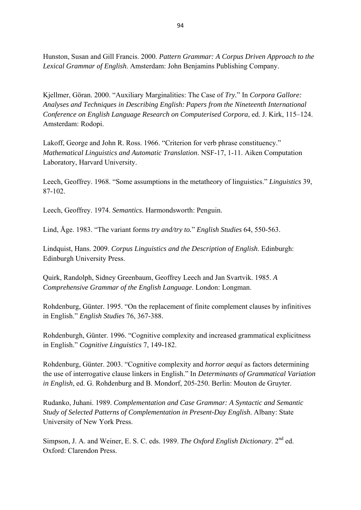Hunston, Susan and Gill Francis. 2000. *Pattern Grammar: A Corpus Driven Approach to the Lexical Grammar of English*. Amsterdam: John Benjamins Publishing Company.

Kjellmer, Göran. 2000. "Auxiliary Marginalities: The Case of *Try.*" In *Corpora Gallore: Analyses and Techniques in Describing English: Papers from the Nineteenth International Conference on English Language Research on Computerised Corpora*, ed. J. Kirk, 115–124. Amsterdam: Rodopi.

Lakoff, George and John R. Ross. 1966. "Criterion for verb phrase constituency." *Mathematical Linguistics and Automatic Translation*. NSF-17, 1-11. Aiken Computation Laboratory, Harvard University.

Leech, Geoffrey. 1968. "Some assumptions in the metatheory of linguistics." *Linguistics* 39, 87-102.

Leech, Geoffrey. 1974. *Semantics.* Harmondsworth: Penguin.

Lind, Åge. 1983. "The variant forms *try and/try to.*" *English Studies* 64, 550-563.

Lindquist, Hans. 2009. *Corpus Linguistics and the Description of English*. Edinburgh: Edinburgh University Press.

Quirk, Randolph, Sidney Greenbaum, Geoffrey Leech and Jan Svartvik. 1985. *A Comprehensive Grammar of the English Language*. London: Longman.

Rohdenburg, Günter. 1995. "On the replacement of finite complement clauses by infinitives in English." *English Studies* 76, 367-388.

Rohdenburgh, Günter. 1996. "Cognitive complexity and increased grammatical explicitness in English." *Cognitive Linguistics* 7, 149-182.

Rohdenburg, Günter. 2003. "Cognitive complexity and *horror aequi* as factors determining the use of interrogative clause linkers in English." In *Determinants of Grammatical Variation in English*, ed. G. Rohdenburg and B. Mondorf, 205-250. Berlin: Mouton de Gruyter.

Rudanko, Juhani. 1989. *Complementation and Case Grammar: A Syntactic and Semantic Study of Selected Patterns of Complementation in Present-Day English*. Albany: State University of New York Press.

Simpson, J. A. and Weiner, E. S. C. eds. 1989. *The Oxford English Dictionary*. 2nd ed. Oxford: Clarendon Press.